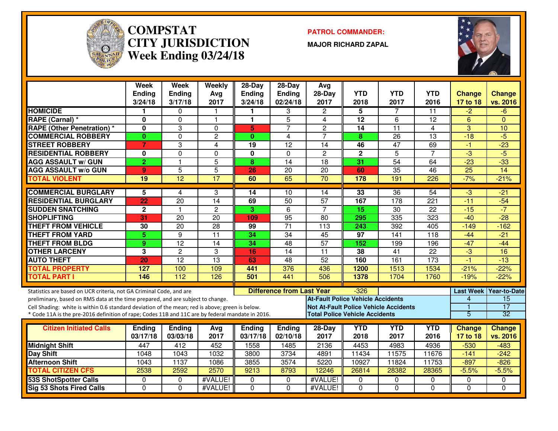

#### **COMPSTAT PATROL COMMANDER: CITY JURISDICTIONWeek Ending 03/24/18**

**MAJOR RICHARD ZAPAL**



|                                                                                                  | Week<br><b>Ending</b><br>3/24/18 | Week<br><b>Ending</b><br>3/17/18 | Weekly<br>Avg<br>2017 | 28-Day<br><b>Ending</b><br>3/24/18 | $28-Day$<br><b>Ending</b><br>02/24/18 | Avg<br>$28-Day$<br>2017                      | <b>YTD</b><br>2018 | <b>YTD</b><br>2017 | <b>YTD</b><br>2016 | Change<br>17 to 18 | <b>Change</b><br>vs. 2016 |
|--------------------------------------------------------------------------------------------------|----------------------------------|----------------------------------|-----------------------|------------------------------------|---------------------------------------|----------------------------------------------|--------------------|--------------------|--------------------|--------------------|---------------------------|
| <b>HOMICIDE</b>                                                                                  | 1                                | $\Omega$                         |                       |                                    | 3                                     | $\overline{2}$                               | 5                  | 7                  | 11                 | $-2$               | -6                        |
| RAPE (Carnal) *                                                                                  | $\mathbf{0}$                     | $\Omega$                         | 1                     | 1                                  | 5                                     | 4                                            | $\overline{12}$    | 6                  | 12                 | 6                  | $\Omega$                  |
| <b>RAPE (Other Penetration) *</b>                                                                | $\mathbf{0}$                     | 3                                | $\Omega$              | $\overline{\mathbf{5}}$            | $\overline{7}$                        | $\overline{2}$                               | 14                 | $\overline{11}$    | 4                  | 3                  | 10                        |
| <b>COMMERCIAL ROBBERY</b>                                                                        | $\mathbf{0}$                     | $\Omega$                         | $\overline{2}$        | $\mathbf{0}$                       | $\overline{4}$                        | $\overline{7}$                               | 8                  | $\overline{26}$    | $\overline{13}$    | $-18$              | $-5$                      |
| <b>STREET ROBBERY</b>                                                                            | $\overline{7}$                   | 3                                | 4                     | $\overline{19}$                    | $\overline{12}$                       | 14                                           | 46                 | $\overline{47}$    | 69                 | $-1$               | $-23$                     |
| <b>RESIDENTIAL ROBBERY</b>                                                                       | $\mathbf{0}$                     | $\Omega$                         | $\Omega$              | $\mathbf{0}$                       | $\Omega$                              | $\overline{2}$                               | $\mathbf{2}$       | $\overline{5}$     | $\overline{7}$     | $\overline{3}$     | $-5$                      |
| <b>AGG ASSAULT w/ GUN</b>                                                                        | $\overline{2}$                   | $\mathbf{1}$                     | $\overline{5}$        | 8                                  | 14                                    | 18                                           | $\overline{31}$    | 54                 | 64                 | $-23$              | $-33$                     |
| <b>AGG ASSAULT W/o GUN</b>                                                                       | $\mathbf{Q}$                     | $\overline{5}$                   | $\overline{5}$        | 26                                 | $\overline{20}$                       | $\overline{20}$                              | 60                 | $\overline{35}$    | $\overline{46}$    | $\overline{25}$    | $\overline{14}$           |
| <b>TOTAL VIOLENT</b>                                                                             | 19                               | $\overline{12}$                  | $\overline{17}$       | 60                                 | 65                                    | $\overline{70}$                              | 178                | 191                | $\overline{226}$   | $-7%$              | $-21%$                    |
| <b>COMMERCIAL BURGLARY</b>                                                                       | 5                                | 4                                | 3                     | 14                                 | 10                                    | 14                                           | 33                 | 36                 | 54                 | $-3$               | $-21$                     |
| <b>RESIDENTIAL BURGLARY</b>                                                                      | 22                               | 20                               | 14                    | 69                                 | 50                                    | $\overline{57}$                              | 167                | 178                | 221                | $-11$              | $-54$                     |
| <b>SUDDEN SNATCHING</b>                                                                          | $\mathbf{2}$                     | $\mathbf{1}$                     | $\overline{2}$        | 3                                  | $6\phantom{1}$                        | $\overline{7}$                               | 15                 | 30                 | 22                 | $-15$              | $-7$                      |
| <b>SHOPLIFTING</b>                                                                               | 31                               | 20                               | 20                    | 109                                | $\overline{95}$                       | 80                                           | 295                | 335                | 323                | $-40$              | $-28$                     |
| <b>THEFT FROM VEHICLE</b>                                                                        | 30                               | 20                               | $\overline{28}$       | 99                                 | $\overline{71}$                       | 113                                          | 243                | 392                | 405                | $-149$             | $-162$                    |
| <b>THEFT FROM YARD</b>                                                                           | 5                                | 9                                | $\overline{11}$       | 34                                 | $\overline{34}$                       | 45                                           | 97                 | 141                | 118                | $-44$              | $-21$                     |
| <b>THEFT FROM BLDG</b>                                                                           | 9                                | $\overline{12}$                  | $\overline{14}$       | 34                                 | 48                                    | $\overline{57}$                              | 152                | 199                | 196                | $-47$              | $-44$                     |
| <b>OTHER LARCENY</b>                                                                             | 3                                | $\overline{2}$                   | 3                     | 16                                 | $\overline{14}$                       | 11                                           | 38                 | 41                 | $\overline{22}$    | $\overline{3}$     | $\overline{16}$           |
| <b>AUTO THEFT</b>                                                                                | 20                               | $\overline{12}$                  | 13                    | 63                                 | $\overline{48}$                       | 52                                           | 160                | 161                | $\overline{173}$   | $-1$               | $-13$                     |
| <b>TOTAL PROPERTY</b>                                                                            | 127                              | 100                              | 109                   | 441                                | 376                                   | 436                                          | 1200               | 1513               | 1534               | $-21%$             | $-22%$                    |
| <b>TOTAL PART I</b>                                                                              | 146                              | 112                              | 126                   | 501                                | 441                                   | 506                                          | 1378               | 1704               | 1760               | $-19%$             | $-22%$                    |
| Statistics are based on UCR criteria, not GA Criminal Code, and are                              |                                  |                                  |                       |                                    | <b>Difference from Last Year</b>      |                                              | $-326$             |                    |                    | <b>Last Week</b>   | <b>Year-to-Date</b>       |
| preliminary, based on RMS data at the time prepared, and are subject to change.                  |                                  |                                  |                       |                                    |                                       | <b>At-Fault Police Vehicle Accidents</b>     |                    |                    |                    | 4                  | 15                        |
| Cell Shading: white is within 0.6 standard deviation of the mean; red is above; green is below.  |                                  |                                  |                       |                                    |                                       | <b>Not At-Fault Police Vehicle Accidents</b> |                    |                    |                    |                    | $\overline{17}$           |
| * Code 11A is the pre-2016 definition of rape; Codes 11B and 11C are by federal mandate in 2016. |                                  |                                  |                       |                                    |                                       | <b>Total Police Vehicle Accidents</b>        |                    |                    |                    | 5                  | 32                        |
| <b>Citizen Initiated Calls</b>                                                                   | <b>Ending</b>                    | <b>Ending</b>                    | Avg                   | <b>Ending</b>                      | <b>Ending</b>                         | 28-Day                                       | <b>YTD</b>         | <b>YTD</b>         | <b>YTD</b>         | <b>Change</b>      | Change                    |
|                                                                                                  | 03/17/18                         | 03/03/18                         | 2017                  | 03/17/18                           | 02/10/18                              | 2017                                         | 2018               | 2017               | 2016               | 17 to 18           | vs. 2016                  |
| <b>Midnight Shift</b>                                                                            | 447                              | 412                              | 452                   | 1558                               | 1485                                  | 2136                                         | 4453               | 4983               | 4936               | $-530$             | $-483$                    |
| Day Shift                                                                                        | 1048                             | 1043                             | 1032                  | 3800                               | 3734                                  | 4891                                         | 11434              | 11575              | 11676              | $-141$             | $-242$                    |
| <b>Afternoon Shift</b>                                                                           | 1043                             | 1137                             | 1086                  | 3855                               | 3574                                  | 5220                                         | 10927              | 11824              | 11753              | $-897$             | $-826$                    |
| <b>TOTAL CITIZEN CFS</b>                                                                         | 2538                             | 2592                             | 2570                  | 9213                               | 8793                                  | 12246                                        | 26814              | 28382              | 28365              | $-5.5%$            | $-5.5%$                   |
| <b>53S ShotSpotter Calls</b>                                                                     | $\Omega$                         | $\Omega$                         | #VALUE!               | 0                                  | $\Omega$                              | #VALUE!                                      | 0                  | $\Omega$           | 0                  | $\Omega$           | $\Omega$                  |
| <b>Sig 53 Shots Fired Calls</b>                                                                  | $\Omega$                         | $\overline{0}$                   | #VALUE!               | $\Omega$                           | $\overline{0}$                        | #VALUE!                                      | $\Omega$           | $\Omega$           | $\overline{0}$     | $\Omega$           | $\Omega$                  |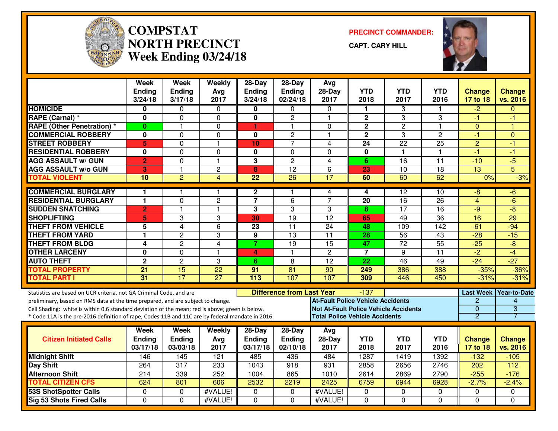

#### **COMPSTAT PRECINCT COMMANDER: NORTH PRECINCTWeek Ending 03/24/18**

**CAPT. CARY HILL**



|                                                                                                  | <b>Week</b><br><b>Ending</b> | <b>Week</b><br><b>Ending</b> | Weekly<br>Avg   | $28-Day$<br><b>Ending</b> | $28-Dav$<br>Ending               | Avg<br>$28-Day$                              | <b>YTD</b>              | <b>YTD</b>              | <b>YTD</b>      | <b>Change</b>    | <b>Change</b>       |
|--------------------------------------------------------------------------------------------------|------------------------------|------------------------------|-----------------|---------------------------|----------------------------------|----------------------------------------------|-------------------------|-------------------------|-----------------|------------------|---------------------|
|                                                                                                  | 3/24/18                      | 3/17/18                      | 2017            | 3/24/18                   | 02/24/18                         | 2017                                         | 2018                    | 2017                    | 2016            | 17 to 18         | vs. 2016            |
| <b>HOMICIDE</b>                                                                                  | 0                            | $\Omega$                     | 0               | 0                         | 0                                | $\Omega$                                     | 1                       | 3                       |                 | $-2$             | $\Omega$            |
| RAPE (Carnal) *                                                                                  | 0                            | $\mathbf{0}$                 | 0               | $\mathbf 0$               | $\overline{c}$                   | $\overline{\mathbf{1}}$                      | $\overline{\mathbf{c}}$ | 3                       | 3               | -1               | -1                  |
| <b>RAPE (Other Penetration) *</b>                                                                | $\bf{0}$                     | 1                            | 0               | 1                         | 1                                | $\mathbf{0}$                                 | $\mathbf{2}$            | $\overline{c}$          | 1.              | $\mathbf{0}$     | ۴                   |
| <b>COMMERCIAL ROBBERY</b>                                                                        | $\bf{0}$                     | $\mathbf{0}$                 | 0               | $\bf{0}$                  | $\overline{c}$                   | $\overline{\mathbf{1}}$                      | $\overline{2}$          | 3                       | $\overline{2}$  | $-1$             | $\Omega$            |
| <b>STREET ROBBERY</b>                                                                            | 5                            | $\mathbf 0$                  | $\mathbf{1}$    | 10                        | $\overline{7}$                   | 4                                            | 24                      | 22                      | 25              | $\overline{2}$   | $-1$                |
| <b>RESIDENTIAL ROBBERY</b>                                                                       | $\mathbf{0}$                 | $\Omega$                     | 0               | 0                         | $\mathbf 0$                      | $\Omega$                                     | $\mathbf 0$             | $\overline{\mathbf{1}}$ | 1.              | $-1$             | -1                  |
| <b>AGG ASSAULT w/ GUN</b>                                                                        | $\overline{2}$               | $\mathbf 0$                  | $\mathbf{1}$    | 3                         | $\overline{2}$                   | $\overline{4}$                               | 6                       | $\overline{16}$         | $\overline{11}$ | $-10$            | $-5$                |
| <b>AGG ASSAULT w/o GUN</b>                                                                       | 3                            | $\mathbf{1}$                 | $\overline{c}$  | 8                         | 12                               | 6                                            | 23                      | 10                      | 18              | 13               | 5                   |
| <b>TOTAL VIOLENT</b>                                                                             | 10                           | $\overline{2}$               | $\overline{4}$  | $\overline{22}$           | $\overline{26}$                  | $\overline{17}$                              | 60                      | 60                      | 62              | 0%               | $-3%$               |
| <b>COMMERCIAL BURGLARY</b>                                                                       | 1                            |                              | $\mathbf 1$     | $\mathbf{2}$              | 1                                | 4                                            | 4                       | 12                      | 10              | -8               | -6                  |
| <b>RESIDENTIAL BURGLARY</b>                                                                      | $\mathbf{1}$                 | $\mathbf 0$                  | $\overline{c}$  | $\overline{7}$            | 6                                | $\overline{7}$                               | 20                      | 16                      | 26              | $\overline{4}$   | $-6$                |
| <b>SUDDEN SNATCHING</b>                                                                          | $\overline{2}$               | $\mathbf{1}$                 | $\mathbf{1}$    | 3                         | 3                                | 3                                            | 8                       | $\overline{17}$         | 16              | $-9$             | $-8$                |
| <b>SHOPLIFTING</b>                                                                               | 5                            | 3                            | 3               | 30                        | $\overline{19}$                  | $\overline{12}$                              | 65                      | 49                      | 36              | 16               | $\overline{29}$     |
| <b>THEFT FROM VEHICLE</b>                                                                        | 5                            | $\overline{4}$               | 6               | 23                        | $\overline{11}$                  | 24                                           | 48                      | 109                     | 142             | $-61$            | $-94$               |
| <b>THEFT FROM YARD</b>                                                                           | $\mathbf{1}$                 | $\overline{2}$               | 3               | $\overline{9}$            | $\overline{13}$                  | $\overline{11}$                              | $\overline{28}$         | 56                      | 43              | $-28$            | $-15$               |
| <b>THEFT FROM BLDG</b>                                                                           | 4                            | $\overline{2}$               | $\overline{4}$  | $\overline{7}$            | $\overline{19}$                  | $\overline{15}$                              | 47                      | $\overline{72}$         | $\overline{55}$ | $-25$            | $\overline{-8}$     |
| <b>OTHER LARCENY</b>                                                                             | $\mathbf{0}$                 | $\Omega$                     | $\mathbf{1}$    | 4                         | 1                                | $\overline{2}$                               | $\overline{7}$          | 9                       | 11              | $\overline{2}$   | $-4$                |
| <b>AUTO THEFT</b>                                                                                | $\overline{2}$               | $\overline{2}$               | 3               | 6                         | 8                                | $\overline{12}$                              | 22                      | 46                      | 49              | $-24$            | $-27$               |
| <b>TOTAL PROPERTY</b>                                                                            | 21                           | $\overline{15}$              | $\overline{22}$ | 91                        | $\overline{81}$                  | 90                                           | 249                     | 386                     | 388             | $-35%$           | $-36%$              |
| <b>TOTAL PART I</b>                                                                              | $\overline{31}$              | 17                           | $\overline{27}$ | $\overline{113}$          | 107                              | 107                                          | 309                     | 446                     | 450             | $-31%$           | $-31%$              |
| Statistics are based on UCR criteria, not GA Criminal Code, and are                              |                              |                              |                 |                           | <b>Difference from Last Year</b> |                                              | $-137$                  |                         |                 | <b>Last Week</b> | <b>Year-to-Date</b> |
| preliminary, based on RMS data at the time prepared, and are subject to change.                  |                              |                              |                 |                           |                                  | <b>At-Fault Police Vehicle Accidents</b>     |                         |                         |                 | $\overline{2}$   | 4                   |
| Cell Shading: white is within 0.6 standard deviation of the mean; red is above; green is below.  |                              |                              |                 |                           |                                  | <b>Not At-Fault Police Vehicle Accidents</b> |                         |                         |                 | 0                | 3                   |
| * Code 11A is the pre-2016 definition of rape; Codes 11B and 11C are by federal mandate in 2016. |                              |                              |                 |                           |                                  | <b>Total Police Vehicle Accidents</b>        |                         |                         |                 | $\overline{2}$   |                     |
|                                                                                                  |                              |                              |                 |                           |                                  |                                              |                         |                         |                 |                  |                     |
|                                                                                                  | Week                         | Week                         | Weekly          | $28-Day$                  | $28-Day$                         | Avg                                          |                         |                         |                 |                  |                     |
| <b>Citizen Initiated Calls</b>                                                                   | <b>Ending</b>                | Ending                       | Avg             | <b>Ending</b>             | Ending                           | 28-Day                                       | <b>YTD</b>              | <b>YTD</b>              | <b>YTD</b>      | Change           | <b>Change</b>       |
|                                                                                                  | 03/17/18                     | 03/03/18                     | 2017            | 03/17/18                  | 02/10/18                         | 2017                                         | 2018                    | 2017                    | 2016            | 17 to 18         | vs. 2016            |
| <b>Midnight Shift</b>                                                                            | 146                          | 145                          | 121             | 485                       | 436                              | 484                                          | 1287                    | 1419                    | 1392            | $-132$           | $-105$              |
| <b>Day Shift</b>                                                                                 | 264                          | 317                          | 233             | 1043                      | 918                              | 931                                          | 2858                    | 2656                    | 2746            | 202              | 112                 |
| <b>Afternoon Shift</b>                                                                           | 214                          | 339                          | 252             | 1004                      | 865                              | 1010                                         | 2614                    | 2869                    | 2790            | $-255$           | $-176$              |
| <b>TOTAL CITIZEN CFS</b>                                                                         | 624                          | 801                          | 606             | 2532                      | 2219                             | 2425                                         | 6759                    | 6944                    | 6928            | $-2.7%$          | $-2.4%$             |
| <b>53S ShotSpotter Calls</b>                                                                     | 0                            | $\mathbf{0}$                 | #VALUE!         | 0                         | $\mathbf{0}$                     | #VALUE!                                      | 0                       | 0                       | 0               | 0                | 0                   |
| <b>Sig 53 Shots Fired Calls</b>                                                                  | $\Omega$                     | $\Omega$                     | #VALUE!         | $\Omega$                  | $\Omega$                         | #VALUE!                                      | $\Omega$                | $\Omega$                | $\Omega$        | $\Omega$         | $\Omega$            |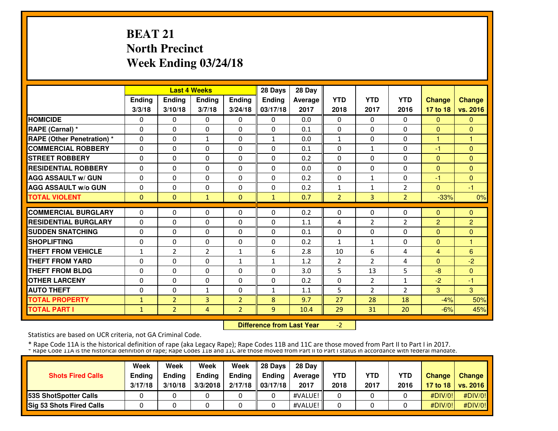# **BEAT 21 North PrecinctWeek Ending 03/24/18**

|                                   |              |                | <b>Last 4 Weeks</b> |                | 28 Days       | 28 Day  |                |                |                |                |                |
|-----------------------------------|--------------|----------------|---------------------|----------------|---------------|---------|----------------|----------------|----------------|----------------|----------------|
|                                   | Ending       | <b>Ending</b>  | <b>Ending</b>       | <b>Ending</b>  | <b>Ending</b> | Average | <b>YTD</b>     | <b>YTD</b>     | <b>YTD</b>     | <b>Change</b>  | <b>Change</b>  |
|                                   | 3/3/18       | 3/10/18        | 3/7/18              | 3/24/18        | 03/17/18      | 2017    | 2018           | 2017           | 2016           | 17 to 18       | vs. 2016       |
| <b>HOMICIDE</b>                   | 0            | 0              | $\mathbf{0}$        | 0              | $\mathbf{0}$  | 0.0     | $\Omega$       | $\mathbf{0}$   | 0              | $\Omega$       | $\mathbf{0}$   |
| RAPE (Carnal) *                   | 0            | $\Omega$       | $\mathbf{0}$        | $\Omega$       | $\Omega$      | 0.1     | $\Omega$       | $\Omega$       | $\Omega$       | $\Omega$       | $\Omega$       |
| <b>RAPE (Other Penetration)</b> * | $\Omega$     | $\Omega$       | $\mathbf{1}$        | $\Omega$       | $\mathbf{1}$  | 0.0     | $\mathbf{1}$   | $\Omega$       | $\Omega$       | 1              | $\mathbf{1}$   |
| <b>COMMERCIAL ROBBERY</b>         | $\Omega$     | $\Omega$       | $\mathbf{0}$        | $\Omega$       | 0             | 0.1     | $\mathbf{0}$   | $\mathbf{1}$   | $\Omega$       | $-1$           | $\Omega$       |
| <b>STREET ROBBERY</b>             | $\Omega$     | $\Omega$       | $\mathbf{0}$        | $\Omega$       | $\mathbf 0$   | 0.2     | $\Omega$       | 0              | $\Omega$       | $\Omega$       | $\Omega$       |
| <b>RESIDENTIAL ROBBERY</b>        | 0            | $\Omega$       | $\mathbf{0}$        | $\Omega$       | 0             | 0.0     | $\mathbf{0}$   | $\Omega$       | 0              | $\Omega$       | $\Omega$       |
| <b>AGG ASSAULT w/ GUN</b>         | 0            | $\Omega$       | $\mathbf{0}$        | 0              | 0             | 0.2     | $\mathbf{0}$   | $\mathbf{1}$   | 0              | $-1$           | $\Omega$       |
| <b>AGG ASSAULT w/o GUN</b>        | 0            | 0              | $\mathbf{0}$        | 0              | 0             | 0.2     | $\mathbf{1}$   | $\mathbf{1}$   | 2              | $\Omega$       | $-1$           |
| <b>TOTAL VIOLENT</b>              | $\mathbf{0}$ | $\mathbf{0}$   | $\mathbf{1}$        | $\mathbf{0}$   | $\mathbf{1}$  | 0.7     | $\overline{2}$ | 3              | $\overline{2}$ | $-33%$         | 0%             |
| <b>COMMERCIAL BURGLARY</b>        | 0            | 0              | $\mathbf{0}$        | 0              | $\Omega$      | 0.2     | $\mathbf{0}$   | 0              | $\Omega$       | $\Omega$       | $\mathbf{0}$   |
| <b>RESIDENTIAL BURGLARY</b>       |              |                |                     |                |               |         |                |                |                |                |                |
|                                   | 0            | 0              | $\mathbf{0}$        | 0              | 0             | 1.1     | 4              | $\overline{2}$ | 2<br>$\Omega$  | $\overline{2}$ | $\overline{2}$ |
| <b>SUDDEN SNATCHING</b>           | 0            | $\Omega$       | $\mathbf{0}$        | $\Omega$       | $\Omega$      | 0.1     | $\Omega$       | 0              |                | $\Omega$       | $\Omega$       |
| <b>SHOPLIFTING</b>                | 0            | $\Omega$       | $\Omega$            | $\Omega$       | $\Omega$      | 0.2     | $\mathbf{1}$   | $\mathbf{1}$   | 0              | $\Omega$       | 1              |
| <b>THEFT FROM VEHICLE</b>         | $\mathbf{1}$ | $\overline{2}$ | $\overline{2}$      | 1              | 6             | 2.8     | 10             | 6              | 4              | 4              | 6              |
| <b>THEFT FROM YARD</b>            | 0            | $\Omega$       | $\mathbf{0}$        | $\mathbf{1}$   | $\mathbf{1}$  | 1.2     | $\overline{2}$ | $\overline{2}$ | 4              | $\Omega$       | $-2$           |
| <b>THEFT FROM BLDG</b>            | 0            | $\Omega$       | $\Omega$            | 0              | $\Omega$      | 3.0     | 5              | 13             | 5              | $-8$           | $\Omega$       |
| <b>OTHER LARCENY</b>              | 0            | $\Omega$       | $\mathbf{0}$        | $\Omega$       | $\Omega$      | 0.2     | 0              | $\overline{2}$ | $\mathbf{1}$   | $-2$           | -1             |
| <b>AUTO THEFT</b>                 | 0            | $\Omega$       | $\mathbf{1}$        | $\Omega$       | $\mathbf{1}$  | 1.1     | 5              | $\overline{2}$ | $\overline{2}$ | 3              | 3              |
| <b>TOTAL PROPERTY</b>             | 1            | $\overline{2}$ | 3                   | $\overline{2}$ | 8             | 9.7     | 27             | 28             | 18             | $-4%$          | 50%            |
| <b>TOTAL PART I</b>               | $\mathbf{1}$ | $\overline{2}$ | $\overline{4}$      | $\overline{2}$ | 9             | 10.4    | 29             | 31             | 20             | $-6%$          | 45%            |

 **Difference from Last Year**-2

Statistics are based on UCR criteria, not GA Criminal Code.

|                                 | Week          | Week          | Week          | Week    | 28 Davs       | 28 Day     |            |            |            |               |                     |
|---------------------------------|---------------|---------------|---------------|---------|---------------|------------|------------|------------|------------|---------------|---------------------|
| <b>Shots Fired Calls</b>        | <b>Ending</b> | <b>Ending</b> | <b>Ending</b> | Ending  | <b>Endina</b> | Average II | <b>YTD</b> | <b>YTD</b> | <b>YTD</b> | <b>Change</b> | <b>Change</b>       |
|                                 | 3/17/18       | 3/10/18       | 3/3/2018      | 2/17/18 | 03/17/18      | 2017       | 2018       | 2017       | 2016       |               | 17 to 18   vs. 2016 |
| <b>53S ShotSpotter Calls</b>    |               |               |               |         |               | #VALUE!    |            |            |            | #DIV/0!       | #DIV/0!             |
| <b>Sig 53 Shots Fired Calls</b> |               |               |               |         |               | #VALUE!    |            |            |            | #DIV/O!!      | #DIV/0!             |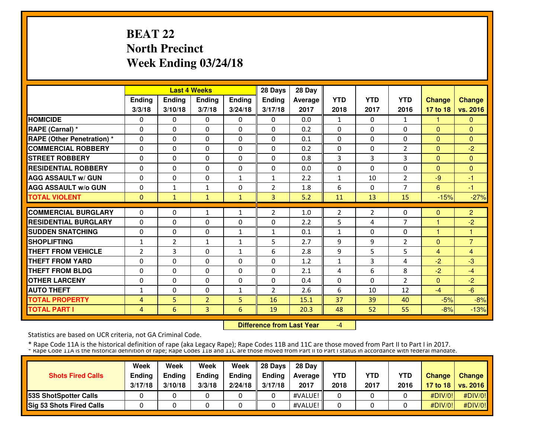# **BEAT 22 North PrecinctWeek Ending 03/24/18**

|                                   |                |                | <b>Last 4 Weeks</b> |               | 28 Days        | 28 Day  |                |            |                |               |                |
|-----------------------------------|----------------|----------------|---------------------|---------------|----------------|---------|----------------|------------|----------------|---------------|----------------|
|                                   | Ending         | <b>Ending</b>  | <b>Ending</b>       | <b>Ending</b> | <b>Ending</b>  | Average | <b>YTD</b>     | <b>YTD</b> | <b>YTD</b>     | <b>Change</b> | <b>Change</b>  |
|                                   | 3/3/18         | 3/10/18        | 3/7/18              | 3/24/18       | 3/17/18        | 2017    | 2018           | 2017       | 2016           | 17 to 18      | vs. 2016       |
| <b>HOMICIDE</b>                   | 0              | 0              | $\Omega$            | 0             | $\Omega$       | 0.0     | $\mathbf{1}$   | $\Omega$   | 1              | 1.            | $\mathbf{0}$   |
| RAPE (Carnal) *                   | $\Omega$       | $\Omega$       | $\Omega$            | $\Omega$      | $\Omega$       | 0.2     | $\Omega$       | 0          | 0              | $\Omega$      | $\Omega$       |
| <b>RAPE (Other Penetration) *</b> | $\Omega$       | $\Omega$       | $\Omega$            | $\Omega$      | $\Omega$       | 0.1     | $\mathbf{0}$   | 0          | 0              | $\Omega$      | $\mathbf{0}$   |
| <b>COMMERCIAL ROBBERY</b>         | $\Omega$       | $\Omega$       | $\Omega$            | $\mathbf{0}$  | $\Omega$       | 0.2     | $\mathbf{0}$   | 0          | $\overline{2}$ | $\Omega$      | $-2$           |
| <b>STREET ROBBERY</b>             | $\Omega$       | $\Omega$       | $\Omega$            | $\Omega$      | $\Omega$       | 0.8     | 3              | 3          | 3              | $\Omega$      | $\mathbf{0}$   |
| <b>RESIDENTIAL ROBBERY</b>        | 0              | $\Omega$       | 0                   | $\Omega$      | 0              | 0.0     | 0              | $\Omega$   | 0              | $\mathbf{0}$  | $\Omega$       |
| <b>AGG ASSAULT w/ GUN</b>         | $\mathbf{0}$   | 0              | 0                   | $\mathbf{1}$  | 1              | 2.2     | 1              | 10         | $\overline{2}$ | $-9$          | $-1$           |
| <b>AGG ASSAULT W/o GUN</b>        | $\mathbf{0}$   | $\mathbf{1}$   | $\mathbf{1}$        | $\mathbf{0}$  | $\overline{2}$ | 1.8     | 6              | 0          | $\overline{7}$ | 6             | $-1$           |
| <b>TOTAL VIOLENT</b>              | $\mathbf{0}$   | $\mathbf{1}$   | $\mathbf{1}$        | $\mathbf{1}$  | $\overline{3}$ | 5.2     | 11             | 13         | 15             | $-15%$        | $-27%$         |
| <b>COMMERCIAL BURGLARY</b>        | $\mathbf{0}$   | $\Omega$       | 1                   | 1             | 2              | 1.0     | $\overline{2}$ | 2          | 0              | $\Omega$      | $\overline{2}$ |
| <b>RESIDENTIAL BURGLARY</b>       | $\mathbf{0}$   | $\Omega$       | $\Omega$            | $\mathbf{0}$  | $\Omega$       | 2.2     | 5              | 4          | $\overline{7}$ | 1             | $-2$           |
| <b>SUDDEN SNATCHING</b>           | $\mathbf{0}$   | $\Omega$       | $\Omega$            | $\mathbf{1}$  | $\mathbf{1}$   | 0.1     | 1              | 0          | 0              | 1             |                |
| <b>SHOPLIFTING</b>                | $\mathbf{1}$   | $\overline{2}$ | $\mathbf{1}$        | $\mathbf{1}$  | 5              | 2.7     | 9              | 9          | $\overline{2}$ | $\Omega$      | $\overline{7}$ |
| <b>THEFT FROM VEHICLE</b>         | 2              | 3              | 0                   | $\mathbf{1}$  | 6              | 2.8     | 9              | 5          | 5              | 4             | $\overline{4}$ |
| <b>THEFT FROM YARD</b>            | $\mathbf{0}$   | 0              | 0                   | $\mathbf{0}$  | 0              | 1.2     | 1              | 3          | 4              | $-2$          | $-3$           |
| <b>THEFT FROM BLDG</b>            | $\mathbf{0}$   | 0              | $\Omega$            | $\Omega$      | 0              | 2.1     | 4              | 6          | 8              | $-2$          | $-4$           |
| <b>OTHER LARCENY</b>              | $\mathbf{0}$   | $\Omega$       | $\Omega$            | $\mathbf{0}$  | 0              | 0.4     | 0              | 0          | $\overline{2}$ | $\Omega$      | $-2$           |
| <b>AUTO THEFT</b>                 | 1              | $\Omega$       | $\Omega$            | 1             | $\overline{2}$ | 2.6     | 6              | 10         | 12             | $-4$          | $-6$           |
| <b>TOTAL PROPERTY</b>             | 4              | 5              | $\overline{2}$      | 5             | 16             | 15.1    | 37             | 39         | 40             | $-5%$         | $-8%$          |
| <b>TOTAL PART I</b>               | $\overline{4}$ | 6              | 3                   | 6             | 19             | 20.3    | 48             | 52         | 55             | $-8%$         | $-13%$         |

 **Difference from Last Year**-4

Statistics are based on UCR criteria, not GA Criminal Code.

|                                 | Week          | Week          | Week          | Week    | 28 Davs       | 28 Day            |            |            |            |               |                     |
|---------------------------------|---------------|---------------|---------------|---------|---------------|-------------------|------------|------------|------------|---------------|---------------------|
| <b>Shots Fired Calls</b>        | <b>Ending</b> | <b>Ending</b> | <b>Ending</b> | Ending  | <b>Endina</b> | <b>Average II</b> | <b>YTD</b> | <b>YTD</b> | <b>YTD</b> | <b>Change</b> | <b>Change</b>       |
|                                 | 3/17/18       | 3/10/18       | 3/3/18        | 2/24/18 | 3/17/18       | 2017              | 2018       | 2017       | 2016       |               | 17 to 18   vs. 2016 |
| <b>153S ShotSpotter Calls</b>   |               |               |               |         |               | #VALUE!           |            |            |            | #DIV/0!       | #DIV/0!             |
| <b>Sig 53 Shots Fired Calls</b> |               |               |               |         |               | #VALUE!           |            |            |            | #DIV/O!!      | #DIV/0!             |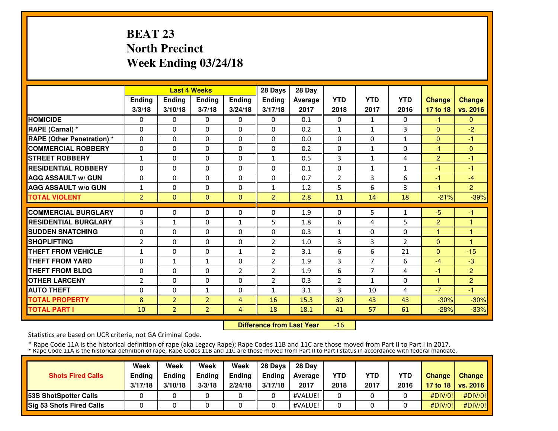# **BEAT 23 North PrecinctWeek Ending 03/24/18**

|                |                                                                                                         |                                                                                                                      |                                                                                                                                      | 28 Days                                                                                                      | 28 Day                                                                                                         |                                                                     |                                                              |                                                                            |                                                                      |                                                                                             |
|----------------|---------------------------------------------------------------------------------------------------------|----------------------------------------------------------------------------------------------------------------------|--------------------------------------------------------------------------------------------------------------------------------------|--------------------------------------------------------------------------------------------------------------|----------------------------------------------------------------------------------------------------------------|---------------------------------------------------------------------|--------------------------------------------------------------|----------------------------------------------------------------------------|----------------------------------------------------------------------|---------------------------------------------------------------------------------------------|
| <b>Ending</b>  | <b>Ending</b>                                                                                           | <b>Ending</b>                                                                                                        | <b>Ending</b>                                                                                                                        | <b>Ending</b>                                                                                                | Average                                                                                                        | <b>YTD</b>                                                          | <b>YTD</b>                                                   | <b>YTD</b>                                                                 | <b>Change</b>                                                        | <b>Change</b>                                                                               |
| 3/3/18         | 3/10/18                                                                                                 | 3/7/18                                                                                                               | 3/24/18                                                                                                                              | 3/17/18                                                                                                      | 2017                                                                                                           | 2018                                                                | 2017                                                         | 2016                                                                       | 17 to 18                                                             | vs. 2016                                                                                    |
| 0              | 0                                                                                                       | 0                                                                                                                    | 0                                                                                                                                    | $\Omega$                                                                                                     | 0.1                                                                                                            | 0                                                                   | 1                                                            | 0                                                                          | -1.                                                                  | $\mathbf{0}$                                                                                |
| $\mathbf{0}$   | $\Omega$                                                                                                | 0                                                                                                                    | $\Omega$                                                                                                                             | $\Omega$                                                                                                     | 0.2                                                                                                            | $\mathbf{1}$                                                        | $\mathbf{1}$                                                 | 3                                                                          | $\Omega$                                                             | $-2$                                                                                        |
| $\mathbf{0}$   | $\Omega$                                                                                                | 0                                                                                                                    | $\mathbf{0}$                                                                                                                         | $\Omega$                                                                                                     | 0.0                                                                                                            | 0                                                                   | 0                                                            | 1                                                                          | $\Omega$                                                             | $-1$                                                                                        |
| $\mathbf{0}$   | 0                                                                                                       | 0                                                                                                                    | $\mathbf{0}$                                                                                                                         | 0                                                                                                            | 0.2                                                                                                            | $\mathbf{0}$                                                        | $\mathbf{1}$                                                 | 0                                                                          | -1                                                                   | $\Omega$                                                                                    |
| $\mathbf{1}$   | 0                                                                                                       | 0                                                                                                                    | $\mathbf{0}$                                                                                                                         | $\mathbf{1}$                                                                                                 | 0.5                                                                                                            | 3                                                                   | $\mathbf{1}$                                                 | 4                                                                          | 2                                                                    | -1                                                                                          |
| $\mathbf{0}$   | $\Omega$                                                                                                | $\Omega$                                                                                                             | $\mathbf{0}$                                                                                                                         | 0                                                                                                            | 0.1                                                                                                            | 0                                                                   | 1                                                            | 1                                                                          | $-1$                                                                 | $-1$                                                                                        |
| $\mathbf{0}$   | 0                                                                                                       | 0                                                                                                                    | $\mathbf{0}$                                                                                                                         | 0                                                                                                            | 0.7                                                                                                            | 2                                                                   | 3                                                            | 6                                                                          | $-1$                                                                 | $-4$                                                                                        |
| 1              | 0                                                                                                       | $\Omega$                                                                                                             | 0                                                                                                                                    | 1                                                                                                            | 1.2                                                                                                            | 5                                                                   | 6                                                            | 3                                                                          | -1                                                                   | $\overline{2}$                                                                              |
| $\overline{2}$ | $\Omega$                                                                                                | $\Omega$                                                                                                             | $\mathbf{0}$                                                                                                                         | $\overline{2}$                                                                                               | 2.8                                                                                                            | 11                                                                  | 14                                                           | 18                                                                         | $-21%$                                                               | $-39%$                                                                                      |
|                |                                                                                                         |                                                                                                                      |                                                                                                                                      |                                                                                                              |                                                                                                                |                                                                     |                                                              |                                                                            |                                                                      | $-1$                                                                                        |
|                |                                                                                                         |                                                                                                                      |                                                                                                                                      |                                                                                                              |                                                                                                                |                                                                     |                                                              |                                                                            |                                                                      |                                                                                             |
|                |                                                                                                         |                                                                                                                      |                                                                                                                                      |                                                                                                              |                                                                                                                |                                                                     |                                                              |                                                                            |                                                                      |                                                                                             |
|                |                                                                                                         |                                                                                                                      |                                                                                                                                      |                                                                                                              |                                                                                                                |                                                                     |                                                              |                                                                            |                                                                      | н                                                                                           |
|                |                                                                                                         |                                                                                                                      |                                                                                                                                      |                                                                                                              |                                                                                                                |                                                                     |                                                              |                                                                            |                                                                      | $-15$                                                                                       |
|                |                                                                                                         |                                                                                                                      |                                                                                                                                      |                                                                                                              |                                                                                                                |                                                                     |                                                              |                                                                            |                                                                      | $-3$                                                                                        |
|                |                                                                                                         |                                                                                                                      |                                                                                                                                      |                                                                                                              |                                                                                                                |                                                                     |                                                              |                                                                            |                                                                      | $\overline{2}$                                                                              |
|                |                                                                                                         |                                                                                                                      |                                                                                                                                      |                                                                                                              |                                                                                                                |                                                                     |                                                              |                                                                            |                                                                      | $\overline{2}$                                                                              |
|                |                                                                                                         |                                                                                                                      |                                                                                                                                      |                                                                                                              |                                                                                                                |                                                                     |                                                              |                                                                            |                                                                      | $-1$                                                                                        |
|                |                                                                                                         |                                                                                                                      |                                                                                                                                      |                                                                                                              |                                                                                                                |                                                                     |                                                              |                                                                            |                                                                      | $-30%$                                                                                      |
| 10             | $\overline{2}$                                                                                          | $\overline{2}$                                                                                                       | $\overline{4}$                                                                                                                       | 18                                                                                                           | 18.1                                                                                                           | 41                                                                  | 57                                                           | 61                                                                         | $-28%$                                                               | $-33%$                                                                                      |
|                | $\mathbf{0}$<br>3<br>$\mathbf{0}$<br>$\overline{2}$<br>1<br>0<br>$\mathbf{0}$<br>2<br>$\mathbf{0}$<br>8 | 0<br>$\mathbf{1}$<br>0<br>$\Omega$<br>$\Omega$<br>$\mathbf{1}$<br>$\Omega$<br>$\Omega$<br>$\Omega$<br>$\overline{2}$ | <b>Last 4 Weeks</b><br>0<br>0<br>0<br>$\Omega$<br>$\Omega$<br>$\mathbf{1}$<br>$\Omega$<br>$\Omega$<br>$\mathbf{1}$<br>$\overline{2}$ | $\mathbf{0}$<br>$\mathbf{1}$<br>0<br>$\mathbf{0}$<br>$\mathbf{1}$<br>$\mathbf{0}$<br>2<br>$\Omega$<br>0<br>4 | 0<br>5<br>0<br>$\overline{2}$<br>2<br>$\overline{2}$<br>$\overline{2}$<br>$\overline{2}$<br>$\mathbf{1}$<br>16 | 1.9<br>1.8<br>0.3<br>1.0<br>3.1<br>1.9<br>1.9<br>0.3<br>3.1<br>15.3 | 0<br>6<br>1<br>3<br>6<br>3<br>6<br>$\overline{2}$<br>3<br>30 | 5<br>4<br>0<br>3<br>6<br>$\overline{7}$<br>$\overline{7}$<br>1<br>10<br>43 | 1<br>5<br>0<br>$\overline{2}$<br>21<br>6<br>4<br>$\Omega$<br>4<br>43 | $-5$<br>$\overline{2}$<br>1<br>$\Omega$<br>$\Omega$<br>$-4$<br>$-1$<br>1.<br>$-7$<br>$-30%$ |

 **Difference from Last Year**-16

Statistics are based on UCR criteria, not GA Criminal Code.

|                                 | Week          | Week          | Week          | Week    | 28 Davs       | 28 Day            |            |            |            |               |                     |
|---------------------------------|---------------|---------------|---------------|---------|---------------|-------------------|------------|------------|------------|---------------|---------------------|
| <b>Shots Fired Calls</b>        | <b>Ending</b> | <b>Ending</b> | <b>Ending</b> | Ending  | <b>Endina</b> | <b>Average II</b> | <b>YTD</b> | <b>YTD</b> | <b>YTD</b> | <b>Change</b> | <b>Change</b>       |
|                                 | 3/17/18       | 3/10/18       | 3/3/18        | 2/24/18 | 3/17/18       | 2017              | 2018       | 2017       | 2016       |               | 17 to 18   vs. 2016 |
| <b>153S ShotSpotter Calls</b>   |               |               |               |         |               | #VALUE!           |            |            |            | #DIV/0!       | #DIV/0!             |
| <b>Sig 53 Shots Fired Calls</b> |               |               |               |         |               | #VALUE!           |            |            |            | #DIV/O!!      | #DIV/0!             |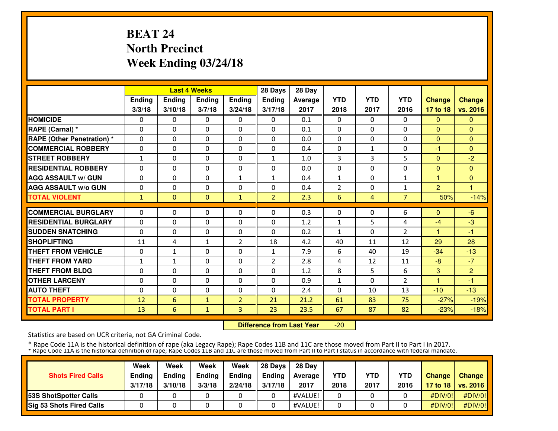# **BEAT 24 North PrecinctWeek Ending 03/24/18**

|                                   |              |               | <b>Last 4 Weeks</b> |                | 28 Days        | 28 Day  |              |              |                     |                |                |
|-----------------------------------|--------------|---------------|---------------------|----------------|----------------|---------|--------------|--------------|---------------------|----------------|----------------|
|                                   | Ending       | <b>Ending</b> | <b>Ending</b>       | <b>Ending</b>  | <b>Ending</b>  | Average | <b>YTD</b>   | <b>YTD</b>   | <b>YTD</b>          | <b>Change</b>  | <b>Change</b>  |
|                                   | 3/3/18       | 3/10/18       | 3/7/18              | 3/24/18        | 3/17/18        | 2017    | 2018         | 2017         | 2016                | 17 to 18       | vs. 2016       |
| <b>HOMICIDE</b>                   | 0            | 0             | $\Omega$            | 0              | $\Omega$       | 0.1     | 0            | $\Omega$     | $\Omega$            | $\Omega$       | $\Omega$       |
| RAPE (Carnal) *                   | $\Omega$     | $\Omega$      | $\Omega$            | $\Omega$       | $\Omega$       | 0.1     | $\Omega$     | 0            | $\Omega$            | $\Omega$       | $\Omega$       |
| <b>RAPE (Other Penetration) *</b> | $\Omega$     | $\Omega$      | $\Omega$            | $\mathbf{0}$   | $\Omega$       | 0.0     | $\mathbf{0}$ | 0            | 0                   | $\Omega$       | $\mathbf{0}$   |
| <b>COMMERCIAL ROBBERY</b>         | $\Omega$     | $\Omega$      | $\Omega$            | $\mathbf{0}$   | $\Omega$       | 0.4     | $\mathbf{0}$ | $\mathbf{1}$ | 0                   | -1             | $\Omega$       |
| <b>STREET ROBBERY</b>             | $\mathbf{1}$ | $\Omega$      | $\Omega$            | $\mathbf{0}$   | $\mathbf{1}$   | 1.0     | 3            | 3            | 5                   | $\Omega$       | $-2$           |
| <b>RESIDENTIAL ROBBERY</b>        | 0            | $\Omega$      | 0                   | $\Omega$       | 0              | 0.0     | 0            | 0            | 0                   | $\mathbf{0}$   | $\Omega$       |
| <b>AGG ASSAULT w/ GUN</b>         | $\mathbf{0}$ | 0             | 0                   | $\mathbf{1}$   | $\mathbf{1}$   | 0.4     | 1            | 0            | 1                   | 1              | $\mathbf{0}$   |
| <b>AGG ASSAULT W/o GUN</b>        | 0            | 0             | $\Omega$            | $\mathbf{0}$   | 0              | 0.4     | 2            | 0            | 1                   | $\overline{2}$ |                |
| <b>TOTAL VIOLENT</b>              | $\mathbf{1}$ | $\Omega$      | $\mathbf{0}$        | $\mathbf{1}$   | $\overline{2}$ | 2.3     | 6            | 4            | $\overline{7}$      | 50%            | $-14%$         |
| <b>COMMERCIAL BURGLARY</b>        | $\Omega$     | $\Omega$      | 0                   | 0              | 0              | 0.3     | 0            | 0            | 6                   | $\Omega$       | $-6$           |
| <b>RESIDENTIAL BURGLARY</b>       |              | $\Omega$      | $\Omega$            | $\mathbf{0}$   | $\Omega$       | 1.2     |              | 5            |                     |                | $-3$           |
| <b>SUDDEN SNATCHING</b>           | $\mathbf{0}$ | $\Omega$      | $\Omega$            | $\Omega$       |                | 0.2     | $\mathbf{1}$ | 0            | 4<br>$\overline{2}$ | -4<br>1        | $-1$           |
|                                   | $\mathbf{0}$ |               |                     |                | 0              |         | $\mathbf{1}$ |              |                     |                |                |
| <b>SHOPLIFTING</b>                | 11           | 4             | $\mathbf{1}$        | 2              | 18             | 4.2     | 40           | 11           | 12                  | 29             | 28             |
| <b>THEFT FROM VEHICLE</b>         | 0            | $\mathbf{1}$  | 0                   | $\mathbf{0}$   | $\mathbf{1}$   | 7.9     | 6            | 40           | 19                  | $-34$          | $-13$          |
| <b>THEFT FROM YARD</b>            | 1            | $\mathbf{1}$  | 0                   | $\mathbf{0}$   | $\overline{2}$ | 2.8     | 4            | 12           | 11                  | $-8$           | $-7$           |
| <b>THEFT FROM BLDG</b>            | $\mathbf{0}$ | 0             | $\Omega$            | $\Omega$       | 0              | 1.2     | 8            | 5            | 6                   | 3              | $\overline{2}$ |
| <b>OTHER LARCENY</b>              | $\mathbf{0}$ | $\Omega$      | $\Omega$            | $\Omega$       | 0              | 0.9     | $\mathbf{1}$ | 0            | $\overline{2}$      | 1              | -1             |
| <b>AUTO THEFT</b>                 | $\Omega$     | $\Omega$      | $\Omega$            | $\Omega$       | $\Omega$       | 2.4     | $\Omega$     | 10           | 13                  | $-10$          | $-13$          |
| <b>TOTAL PROPERTY</b>             | 12           | 6             | $\mathbf{1}$        | $\overline{2}$ | 21             | 21.2    | 61           | 83           | 75                  | $-27%$         | $-19%$         |
| <b>TOTAL PART I</b>               | 13           | 6             | $\mathbf{1}$        | 3              | 23             | 23.5    | 67           | 87           | 82                  | $-23%$         | $-18%$         |

 **Difference from Last Year** $-20$ 

Statistics are based on UCR criteria, not GA Criminal Code.

|                                 | Week          | Week          | Week          | Week    | 28 Davs       | 28 Day         |            |            |            |               |                     |
|---------------------------------|---------------|---------------|---------------|---------|---------------|----------------|------------|------------|------------|---------------|---------------------|
| <b>Shots Fired Calls</b>        | <b>Ending</b> | <b>Ending</b> | <b>Ending</b> | Ending  | <b>Endina</b> | <b>Average</b> | <b>YTD</b> | <b>YTD</b> | <b>YTD</b> | <b>Change</b> | <b>Change</b>       |
|                                 | 3/17/18       | 3/10/18       | 3/3/18        | 2/24/18 | 3/17/18       | 2017           | 2018       | 2017       | 2016       |               | 17 to 18   vs. 2016 |
| <b>153S ShotSpotter Calls</b>   |               |               |               |         |               | #VALUE!        |            |            |            | #DIV/0!       | #DIV/0!             |
| <b>Sig 53 Shots Fired Calls</b> |               |               |               |         |               | #VALUE!        |            |            |            | #DIV/O!!      | #DIV/0!             |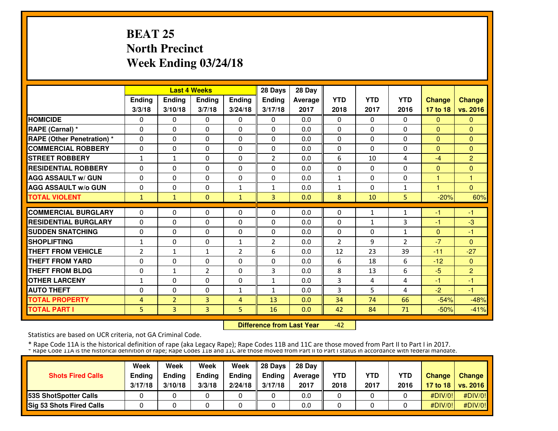# **BEAT 25 North PrecinctWeek Ending 03/24/18**

|                                   |               |                | <b>Last 4 Weeks</b> |                | 28 Days        | 28 Day  |                |            |                |               |                |
|-----------------------------------|---------------|----------------|---------------------|----------------|----------------|---------|----------------|------------|----------------|---------------|----------------|
|                                   | <b>Ending</b> | <b>Ending</b>  | <b>Endina</b>       | <b>Ending</b>  | <b>Endina</b>  | Average | <b>YTD</b>     | <b>YTD</b> | <b>YTD</b>     | <b>Change</b> | <b>Change</b>  |
|                                   | 3/3/18        | 3/10/18        | 3/7/18              | 3/24/18        | 3/17/18        | 2017    | 2018           | 2017       | 2016           | 17 to 18      | vs. 2016       |
| <b>HOMICIDE</b>                   | 0             | 0              | 0                   | 0              | $\Omega$       | 0.0     | 0              | 0          | 0              | $\mathbf{0}$  | $\mathbf{0}$   |
| <b>RAPE (Carnal)</b> *            | $\mathbf{0}$  | $\Omega$       | 0                   | $\Omega$       | $\Omega$       | 0.0     | $\mathbf{0}$   | 0          | $\Omega$       | $\Omega$      | $\Omega$       |
| <b>RAPE (Other Penetration) *</b> | $\mathbf{0}$  | 0              | 0                   | $\mathbf{0}$   | $\Omega$       | 0.0     | $\mathbf{0}$   | 0          | 0              | $\mathbf{0}$  | $\Omega$       |
| <b>COMMERCIAL ROBBERY</b>         | $\mathbf{0}$  | 0              | 0                   | $\mathbf{0}$   | $\Omega$       | 0.0     | $\mathbf{0}$   | $\Omega$   | 0              | $\Omega$      | $\Omega$       |
| <b>STREET ROBBERY</b>             | $\mathbf{1}$  | $\mathbf{1}$   | 0                   | $\mathbf{0}$   | $\overline{2}$ | 0.0     | 6              | 10         | 4              | $-4$          | $\overline{2}$ |
| <b>RESIDENTIAL ROBBERY</b>        | $\mathbf{0}$  | 0              | 0                   | $\mathbf{0}$   | $\Omega$       | 0.0     | $\mathbf{0}$   | 0          | 0              | $\mathbf{0}$  | $\mathbf{0}$   |
| <b>AGG ASSAULT w/ GUN</b>         | $\mathbf{0}$  | 0              | 0                   | $\mathbf{0}$   | $\Omega$       | 0.0     | 1              | 0          | 0              |               | и              |
| <b>AGG ASSAULT w/o GUN</b>        | 0             | 0              | 0                   | $\mathbf{1}$   | 1              | 0.0     | 1              | 0          | 1              |               | $\Omega$       |
| <b>TOTAL VIOLENT</b>              | $\mathbf{1}$  | $\mathbf{1}$   | $\Omega$            | $\mathbf{1}$   | $\overline{3}$ | 0.0     | 8              | 10         | 5              | $-20%$        | 60%            |
| <b>COMMERCIAL BURGLARY</b>        | $\mathbf{0}$  | 0              | 0                   | $\mathbf{0}$   | 0              | 0.0     | 0              |            |                |               | $-1$           |
| <b>RESIDENTIAL BURGLARY</b>       |               |                |                     |                |                |         |                | 1          | 1              | -1            |                |
|                                   | $\mathbf{0}$  | 0              | 0                   | $\mathbf{0}$   | $\Omega$       | 0.0     | 0              | 1          | 3              | $-1$          | $-3$           |
| <b>SUDDEN SNATCHING</b>           | $\mathbf{0}$  | 0              | 0                   | 0              | 0              | 0.0     | 0              | 0          | 1              | $\Omega$      | $-1$           |
| <b>SHOPLIFTING</b>                | 1             | $\Omega$       | 0                   | $\mathbf{1}$   | $\overline{2}$ | 0.0     | $\overline{2}$ | 9          | $\overline{2}$ | $-7$          | $\mathbf{0}$   |
| <b>THEFT FROM VEHICLE</b>         | 2             | 1              | $\mathbf{1}$        | 2              | 6              | 0.0     | 12             | 23         | 39             | $-11$         | $-27$          |
| <b>THEFT FROM YARD</b>            | 0             | $\Omega$       | 0                   | $\Omega$       | $\Omega$       | 0.0     | 6              | 18         | 6              | $-12$         | $\mathbf{0}$   |
| <b>THEFT FROM BLDG</b>            | $\mathbf{0}$  | $\mathbf{1}$   | $\overline{2}$      | $\Omega$       | 3              | 0.0     | 8              | 13         | 6              | $-5$          | $\overline{2}$ |
| <b>OTHER LARCENY</b>              | 1             | $\Omega$       | $\Omega$            | $\Omega$       | $\mathbf{1}$   | 0.0     | 3              | 4          | 4              | -1            | -1             |
| <b>AUTO THEFT</b>                 | $\mathbf{0}$  | $\Omega$       | $\Omega$            | $\mathbf{1}$   | $\mathbf{1}$   | 0.0     | 3              | 5          | 4              | $-2$          | $-1$           |
| <b>TOTAL PROPERTY</b>             | 4             | $\overline{2}$ | 3                   | $\overline{4}$ | 13             | 0.0     | 34             | 74         | 66             | $-54%$        | $-48%$         |
| <b>TOTAL PART I</b>               | 5             | 3              | 3                   | 5              | 16             | 0.0     | 42             | 84         | 71             | $-50%$        | $-41%$         |

 **Difference from Last Year**-42

Statistics are based on UCR criteria, not GA Criminal Code.

|                                 | Week          | Week          | Week          | Week    | 28 Davs       | 28 Day         |            |            |            |               |                     |
|---------------------------------|---------------|---------------|---------------|---------|---------------|----------------|------------|------------|------------|---------------|---------------------|
| <b>Shots Fired Calls</b>        | <b>Ending</b> | <b>Ending</b> | <b>Ending</b> | Ending  | <b>Ending</b> | <b>Average</b> | <b>YTD</b> | <b>YTD</b> | <b>YTD</b> | <b>Change</b> | <b>Change</b>       |
|                                 | 3/17/18       | 3/10/18       | 3/3/18        | 2/24/18 | 3/17/18       | 2017           | 2018       | 2017       | 2016       |               | 17 to 18   vs. 2016 |
| <b>53S ShotSpotter Calls</b>    |               |               |               |         |               | 0.0            |            |            |            | #DIV/0!       | #DIV/0!             |
| <b>Sig 53 Shots Fired Calls</b> |               |               |               |         |               | 0.0            |            |            |            | #DIV/O!!      | #DIV/0!             |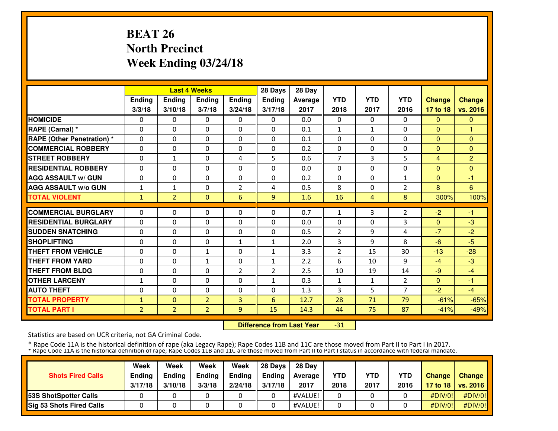# **BEAT 26 North PrecinctWeek Ending 03/24/18**

|                                  |                |                | <b>Last 4 Weeks</b> |              | 28 Days        | 28 Day  |                |              |                |                |                |
|----------------------------------|----------------|----------------|---------------------|--------------|----------------|---------|----------------|--------------|----------------|----------------|----------------|
|                                  | Ending         | <b>Ending</b>  | <b>Ending</b>       | Ending       | Ending         | Average | <b>YTD</b>     | <b>YTD</b>   | <b>YTD</b>     | <b>Change</b>  | <b>Change</b>  |
|                                  | 3/3/18         | 3/10/18        | 3/7/18              | 3/24/18      | 3/17/18        | 2017    | 2018           | 2017         | 2016           | 17 to 18       | vs. 2016       |
| <b>HOMICIDE</b>                  | 0              | 0              | $\Omega$            | 0            | $\Omega$       | 0.0     | 0              | $\Omega$     | 0              | $\mathbf{0}$   | $\Omega$       |
| RAPE (Carnal) *                  | $\Omega$       | $\Omega$       | $\Omega$            | $\Omega$     | $\Omega$       | 0.1     | $\mathbf{1}$   | $\mathbf{1}$ | $\Omega$       | $\Omega$       | 1              |
| <b>RAPE (Other Penetration)*</b> | 0              | $\Omega$       | $\Omega$            | $\Omega$     | $\Omega$       | 0.1     | $\mathbf{0}$   | $\Omega$     | $\Omega$       | $\Omega$       | $\Omega$       |
| <b>COMMERCIAL ROBBERY</b>        | 0              | $\Omega$       | $\Omega$            | 0            | $\Omega$       | 0.2     | $\mathbf{0}$   | $\Omega$     | $\Omega$       | $\Omega$       | $\Omega$       |
| <b>STREET ROBBERY</b>            | 0              | $\mathbf{1}$   | $\mathbf{0}$        | 4            | 5              | 0.6     | $\overline{7}$ | 3            | 5              | $\overline{4}$ | $\overline{2}$ |
| <b>RESIDENTIAL ROBBERY</b>       | $\Omega$       | $\Omega$       | $\mathbf{0}$        | $\Omega$     | $\Omega$       | 0.0     | $\Omega$       | $\Omega$     | $\Omega$       | $\Omega$       | $\Omega$       |
| <b>AGG ASSAULT w/ GUN</b>        | $\Omega$       | $\Omega$       | $\mathbf{0}$        | $\Omega$     | $\Omega$       | 0.2     | $\Omega$       | $\Omega$     | $\mathbf{1}$   | $\Omega$       | $-1$           |
| <b>AGG ASSAULT W/o GUN</b>       | $\mathbf 1$    | $\mathbf{1}$   | $\mathbf{0}$        | 2            | 4              | 0.5     | 8              | 0            | 2              | 8              | 6              |
| <b>TOTAL VIOLENT</b>             | $\mathbf{1}$   | $\overline{2}$ | $\mathbf{0}$        | 6            | 9              | 1.6     | 16             | 4            | 8              | 300%           | 100%           |
| <b>COMMERCIAL BURGLARY</b>       | 0              | 0              | $\mathbf{0}$        | 0            | 0              | 0.7     | 1              | 3            | $\overline{2}$ | $-2$           | $-1$           |
| <b>RESIDENTIAL BURGLARY</b>      | $\Omega$       | $\Omega$       | $\mathbf{0}$        | $\Omega$     | $\Omega$       | 0.0     | $\Omega$       | 0            | 3              | $\Omega$       | $-3$           |
| <b>SUDDEN SNATCHING</b>          | 0              | $\Omega$       | $\mathbf{0}$        | 0            | 0              | 0.5     | $\overline{2}$ | 9            | 4              | $-7$           | $-2$           |
| <b>SHOPLIFTING</b>               | 0              | $\Omega$       | $\mathbf{0}$        | $\mathbf{1}$ | 1              | 2.0     | 3              | 9            | 8              | $-6$           | $-5$           |
| <b>THEFT FROM VEHICLE</b>        | 0              | 0              | $\mathbf{1}$        | 0            | $\mathbf{1}$   | 3.3     | $\overline{2}$ | 15           | 30             | $-13$          | $-28$          |
| <b>THEFT FROM YARD</b>           | 0              | $\Omega$       | $\mathbf{1}$        | 0            | $\mathbf{1}$   | 2.2     | 6              | 10           | 9              | $-4$           | $-3$           |
| <b>THEFT FROM BLDG</b>           | 0              | $\Omega$       | $\Omega$            | 2            | $\overline{2}$ | 2.5     | 10             | 19           | 14             | $-9$           | $-4$           |
| <b>OTHER LARCENY</b>             | 1              | $\Omega$       | $\Omega$            | $\Omega$     | $\mathbf{1}$   | 0.3     | $\mathbf{1}$   | $\mathbf{1}$ | $\overline{2}$ | $\Omega$       | $-1$           |
| <b>AUTO THEFT</b>                | 0              | $\Omega$       | $\Omega$            | $\Omega$     | $\Omega$       | 1.3     | 3              | 5            | $\overline{7}$ | $-2$           | $-4$           |
| <b>TOTAL PROPERTY</b>            | $\mathbf{1}$   | $\Omega$       | $\overline{2}$      | 3            | 6              | 12.7    | 28             | 71           | 79             | $-61%$         | $-65%$         |
| <b>TOTAL PART I</b>              | $\overline{2}$ | $\overline{2}$ | 2 <sup>1</sup>      | 9            | 15             | 14.3    | 44             | 75           | 87             | $-41%$         | $-49%$         |

 **Difference from Last Year**-31

Statistics are based on UCR criteria, not GA Criminal Code.

| <b>Shots Fired Calls</b>        | Week<br><b>Ending</b><br>3/17/18 | Week<br><b>Endina</b><br>3/10/18 | Week<br><b>Ending</b><br>3/3/18 | Week<br>Ending<br>2/24/18 | 28 Davs<br><b>Endina</b><br>3/17/18 | 28 Day<br>Average II<br>2017 | <b>YTD</b><br>2018 | <b>YTD</b><br>2017 | <b>YTD</b><br>2016 | <b>Change</b> | Change<br>17 to 18   vs. 2016 |
|---------------------------------|----------------------------------|----------------------------------|---------------------------------|---------------------------|-------------------------------------|------------------------------|--------------------|--------------------|--------------------|---------------|-------------------------------|
| <b>153S ShotSpotter Calls</b>   |                                  |                                  |                                 |                           |                                     | #VALUE!                      |                    |                    |                    | #DIV/0!       | #DIV/0!                       |
| <b>Sig 53 Shots Fired Calls</b> |                                  |                                  |                                 |                           |                                     | #VALUE!                      |                    |                    |                    | #DIV/O!!      | #DIV/0!                       |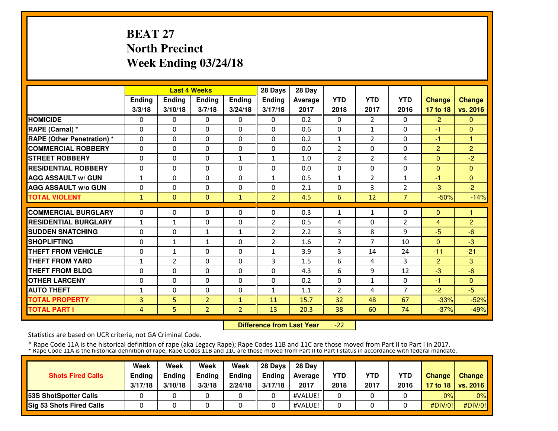# **BEAT 27 North PrecinctWeek Ending 03/24/18**

|                                   |              |                | <b>Last 4 Weeks</b> |                | 28 Days        | 28 Day  |                |                |                |                |                |
|-----------------------------------|--------------|----------------|---------------------|----------------|----------------|---------|----------------|----------------|----------------|----------------|----------------|
|                                   | Ending       | <b>Ending</b>  | <b>Ending</b>       | <b>Ending</b>  | <b>Ending</b>  | Average | <b>YTD</b>     | <b>YTD</b>     | <b>YTD</b>     | <b>Change</b>  | <b>Change</b>  |
|                                   | 3/3/18       | 3/10/18        | 3/7/18              | 3/24/18        | 3/17/18        | 2017    | 2018           | 2017           | 2016           | 17 to 18       | vs. 2016       |
| <b>HOMICIDE</b>                   | 0            | 0              | $\Omega$            | 0              | $\Omega$       | 0.2     | $\Omega$       | $\overline{2}$ | $\Omega$       | $-2$           | $\mathbf{0}$   |
| RAPE (Carnal) *                   | 0            | $\Omega$       | $\Omega$            | $\Omega$       | $\Omega$       | 0.6     | $\Omega$       | $\mathbf{1}$   | $\Omega$       | $-1$           | $\Omega$       |
| <b>RAPE (Other Penetration)</b> * | $\Omega$     | $\Omega$       | $\Omega$            | $\Omega$       | $\Omega$       | 0.2     | $\mathbf{1}$   | $\overline{2}$ | $\Omega$       | $-1$           | $\mathbf{1}$   |
| <b>COMMERCIAL ROBBERY</b>         | 0            | $\Omega$       | $\Omega$            | $\Omega$       | $\Omega$       | 0.0     | $\overline{2}$ | $\Omega$       | $\Omega$       | $\overline{2}$ | $\overline{2}$ |
| <b>STREET ROBBERY</b>             | 0            | $\Omega$       | $\mathbf{0}$        | 1              | 1              | 1.0     | $\overline{2}$ | $\overline{2}$ | 4              | $\Omega$       | $-2$           |
| <b>RESIDENTIAL ROBBERY</b>        | 0            | $\Omega$       | $\Omega$            | $\Omega$       | $\Omega$       | 0.0     | $\Omega$       | 0              | $\Omega$       | $\Omega$       | $\Omega$       |
| <b>AGG ASSAULT w/ GUN</b>         | $\mathbf{1}$ | $\Omega$       | $\Omega$            | $\Omega$       | $\mathbf{1}$   | 0.5     | $\mathbf{1}$   | $\overline{2}$ | $\mathbf{1}$   | $-1$           | $\Omega$       |
| <b>AGG ASSAULT W/o GUN</b>        | 0            | $\Omega$       | $\Omega$            | $\Omega$       | 0              | 2.1     | $\mathbf{0}$   | 3              | $\overline{2}$ | $-3$           | $-2$           |
| <b>TOTAL VIOLENT</b>              | 1            | $\Omega$       | $\mathbf{0}$        | $\mathbf{1}$   | $\overline{2}$ | 4.5     | 6              | 12             | $\overline{7}$ | $-50%$         | $-14%$         |
| <b>COMMERCIAL BURGLARY</b>        | 0            | 0              | $\mathbf{0}$        | 0              | $\Omega$       | 0.3     | 1              | 1              | 0              | $\mathbf{0}$   | 1              |
| <b>RESIDENTIAL BURGLARY</b>       | $\mathbf{1}$ | $\mathbf{1}$   | $\mathbf{0}$        | $\Omega$       | $\overline{2}$ | 0.5     | 4              | 0              | $\overline{2}$ | 4              | $\overline{2}$ |
| <b>SUDDEN SNATCHING</b>           | $\Omega$     | $\Omega$       | $\mathbf{1}$        | $\mathbf{1}$   | $\overline{2}$ | 2.2     | 3              | 8              | 9              | $-5$           | $-6$           |
| <b>SHOPLIFTING</b>                | 0            | $\mathbf{1}$   | $\mathbf{1}$        | 0              | $\overline{2}$ | 1.6     | 7              | $\overline{7}$ | 10             | $\Omega$       | $-3$           |
| <b>THEFT FROM VEHICLE</b>         | 0            | 1              | $\mathbf{0}$        | 0              | 1              | 3.9     | 3              | 14             | 24             | $-11$          | $-21$          |
| <b>THEFT FROM YARD</b>            | 1            | $\overline{2}$ | $\Omega$            | 0              | 3              | 1.5     | 6              | 4              | 3              | $\overline{2}$ | 3              |
| <b>THEFT FROM BLDG</b>            | 0            | $\Omega$       | $\Omega$            | $\Omega$       | $\Omega$       | 4.3     | 6              | 9              | 12             | $-3$           | $-6$           |
| <b>OTHER LARCENY</b>              | 0            | $\Omega$       | $\Omega$            | $\Omega$       | $\Omega$       | 0.2     | $\Omega$       | 1              | $\Omega$       | -1             | $\Omega$       |
| <b>AUTO THEFT</b>                 | $\mathbf{1}$ | $\Omega$       | $\Omega$            | 0              | $\mathbf{1}$   | 1.1     | $\overline{2}$ | 4              | $\overline{7}$ | $-2$           | $-5$           |
| <b>TOTAL PROPERTY</b>             | 3            | 5              | $\overline{2}$      | $\mathbf{1}$   | 11             | 15.7    | 32             | 48             | 67             | $-33%$         | $-52%$         |
| <b>TOTAL PART I</b>               | 4            | 5              | 2 <sup>1</sup>      | $\overline{2}$ | 13             | 20.3    | 38             | 60             | 74             | $-37%$         | $-49%$         |

 **Difference from Last Year** $-22$ 

Statistics are based on UCR criteria, not GA Criminal Code.

| <b>Shots Fired Calls</b>        | Week<br><b>Ending</b><br>3/17/18 | Week<br><b>Endina</b><br>3/10/18 | Week<br><b>Ending</b><br>3/3/18 | Week<br>Ending<br>2/24/18 | 28 Davs<br><b>Endina</b><br>3/17/18 | 28 Day<br>Average II<br>2017 | <b>YTD</b><br>2018 | <b>YTD</b><br>2017 | <b>YTD</b><br>2016 | <b>Change</b> | Change<br>17 to 18   vs. 2016 |
|---------------------------------|----------------------------------|----------------------------------|---------------------------------|---------------------------|-------------------------------------|------------------------------|--------------------|--------------------|--------------------|---------------|-------------------------------|
| <b>153S ShotSpotter Calls</b>   |                                  |                                  |                                 |                           |                                     | #VALUE!                      |                    |                    |                    | 0%            | $0\%$                         |
| <b>Sig 53 Shots Fired Calls</b> |                                  |                                  |                                 |                           |                                     | #VALUE!                      |                    |                    |                    | #DIV/0!       | #DIV/0!                       |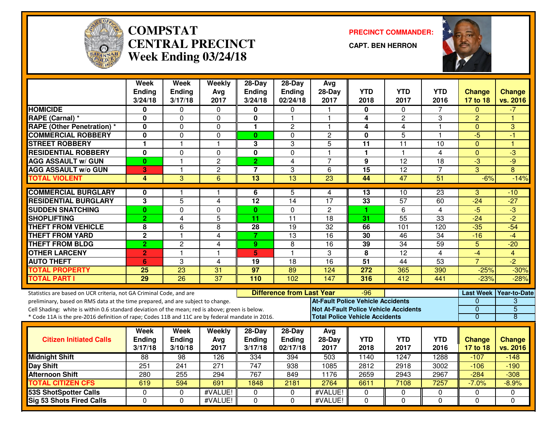

#### **COMPSTAT PRECINCT COMMANDER: CENTRAL PRECINCTWeek Ending 03/24/18**

**CAPT. BEN HERRON**



|                                                                                                                                                                                                     | <b>Week</b><br><b>Ending</b><br>3/24/18 | Week<br>Ending<br>3/17/18 | Weekly<br>Avg<br>2017   | 28-Day<br><b>Ending</b><br>3/24/18 | 28-Day<br><b>Ending</b><br>02/24/18 | Avg<br>$28-Day$<br>2017                                                                  | <b>YTD</b><br>2018      | <b>YTD</b><br>2017 | <b>YTD</b><br>2016 | <b>Change</b><br>17 to 18 | <b>Change</b><br>vs. 2016 |
|-----------------------------------------------------------------------------------------------------------------------------------------------------------------------------------------------------|-----------------------------------------|---------------------------|-------------------------|------------------------------------|-------------------------------------|------------------------------------------------------------------------------------------|-------------------------|--------------------|--------------------|---------------------------|---------------------------|
| <b>HOMICIDE</b>                                                                                                                                                                                     | 0                                       | 0                         | 0                       | 0                                  | $\mathbf{0}$                        |                                                                                          | 0                       | 0                  | 7                  | $\Omega$                  | $-7$                      |
| RAPE (Carnal) *                                                                                                                                                                                     | $\mathbf{0}$                            | $\Omega$                  | $\mathbf 0$             | $\mathbf 0$                        | $\mathbf{1}$                        | $\overline{1}$                                                                           | $\overline{\mathbf{4}}$ | $\overline{2}$     | 3                  | $\overline{2}$            | $\overline{1}$            |
| <b>RAPE (Other Penetration) *</b>                                                                                                                                                                   | 0                                       | $\Omega$                  | $\Omega$                | $\mathbf{1}$                       | 2                                   | $\mathbf{1}$                                                                             | 4                       | 4                  | 1                  | $\Omega$                  | 3                         |
| <b>COMMERCIAL ROBBERY</b>                                                                                                                                                                           | 0                                       | 0                         | $\mathbf 0$             | $\mathbf{0}$                       | $\Omega$                            | $\overline{c}$                                                                           | 0                       | 5                  | 1                  | $-5$                      | -1                        |
| <b>STREET ROBBERY</b>                                                                                                                                                                               | 1                                       | 1                         | $\mathbf 1$             | 3                                  | 3                                   | 5                                                                                        | 11                      | 11                 | 10                 | $\mathbf{0}$              | 1                         |
| <b>RESIDENTIAL ROBBERY</b>                                                                                                                                                                          | 0                                       | 0                         | $\Omega$                | $\mathbf 0$                        | $\mathbf 0$                         | $\blacktriangleleft$                                                                     | $\mathbf{1}$            | $\mathbf{1}$       | 4                  | $\mathbf{0}$              | $\overline{\omega}$       |
| <b>AGG ASSAULT w/ GUN</b>                                                                                                                                                                           | $\bf{0}$                                | $\mathbf{1}$              | $\overline{c}$          | $\overline{2}$                     | $\overline{4}$                      | $\overline{7}$                                                                           | $\mathbf{9}$            | $\overline{12}$    | 18                 | $-3$                      | -9                        |
| <b>AGG ASSAULT w/o GUN</b>                                                                                                                                                                          | 3                                       | 1                         | $\overline{2}$          | $\overline{7}$                     | 3                                   | 6                                                                                        | 15                      | $\overline{12}$    | $\overline{7}$     | $\overline{3}$            | $\overline{8}$            |
| <b>TOTAL VIOLENT</b>                                                                                                                                                                                | 4                                       | 3                         | $\overline{6}$          | $\overline{13}$                    | 13                                  | 23                                                                                       | 44                      | 47                 | $\overline{51}$    | $-6%$                     | $-14%$                    |
| <b>COMMERCIAL BURGLARY</b>                                                                                                                                                                          | 0                                       | 1.                        | -1                      | 6                                  | 5                                   | 4                                                                                        | 13                      | 10                 | $\overline{23}$    | 3                         | -10                       |
| <b>RESIDENTIAL BURGLARY</b>                                                                                                                                                                         | 3                                       | 5                         | 4                       | 12                                 | 14                                  | 17                                                                                       | 33                      | $\overline{57}$    | 60                 | $-24$                     | $-27$                     |
| <b>SUDDEN SNATCHING</b>                                                                                                                                                                             | $\bf{0}$                                | $\overline{0}$            | $\mathbf 0$             | $\mathbf{0}$                       | $\mathbf{0}$                        | $\overline{2}$                                                                           | 1                       | 6                  | $\overline{4}$     | $-5$                      | $\overline{3}$            |
| <b>SHOPLIFTING</b>                                                                                                                                                                                  | $\overline{2}$                          | $\overline{4}$            | 5                       | 11                                 | 11                                  | 18                                                                                       | 31                      | $\overline{55}$    | 33                 | $-24$                     | $-2$                      |
| <b>THEFT FROM VEHICLE</b>                                                                                                                                                                           | 8                                       | 6                         | 8                       | 28                                 | 19                                  | $\overline{32}$                                                                          | 66                      | 101                | 120                | $-35$                     | $-54$                     |
| <b>THEFT FROM YARD</b>                                                                                                                                                                              | $\mathbf 2$                             | 1                         | 4                       | $\overline{7}$                     | 13                                  | 16                                                                                       | 30                      | 46                 | 34                 | $-16$                     | $-4$                      |
| <b>THEFT FROM BLDG</b>                                                                                                                                                                              | $\overline{2}$                          | $\overline{2}$            | 4                       | 9                                  | 8                                   | $\overline{16}$                                                                          | 39                      | 34                 | $\overline{59}$    | $\overline{5}$            | $-20$                     |
| <b>OTHER LARCENY</b>                                                                                                                                                                                | $\overline{2}$                          | $\mathbf{1}$              | $\overline{\mathbf{1}}$ | 5                                  | $\mathbf{1}$                        | 3                                                                                        | 8                       | $\overline{12}$    | 4                  | $-4$                      | $\overline{4}$            |
| <b>AUTO THEFT</b>                                                                                                                                                                                   | $6\phantom{1}$                          | 3                         | $\overline{4}$          | 19                                 | 18                                  | $\overline{16}$                                                                          | $\overline{51}$         | 44                 | $\overline{53}$    | $\overline{7}$            | $\overline{-2}$           |
| <b>TOTAL PROPERTY</b>                                                                                                                                                                               | 25                                      | 23                        | 31                      | $\overline{97}$                    | 89                                  | 124                                                                                      | 272                     | 365                | 390                | $-25%$                    | $-30%$                    |
| <b>TOTAL PART I</b>                                                                                                                                                                                 | 29                                      | $\overline{26}$           | $\overline{37}$         | 110                                | 102                                 | 147                                                                                      | 316                     | 412                | 441                | $-23%$                    | $-28%$                    |
| Statistics are based on UCR criteria, not GA Criminal Code, and are                                                                                                                                 |                                         |                           |                         |                                    | <b>Difference from Last Year</b>    |                                                                                          | -96                     |                    |                    | <b>Last Week</b>          | Year-to-Date              |
| preliminary, based on RMS data at the time prepared, and are subject to change.                                                                                                                     |                                         |                           |                         |                                    |                                     | <b>At-Fault Police Vehicle Accidents</b><br><b>Not At-Fault Police Vehicle Accidents</b> |                         |                    |                    | $\Omega$<br>$\mathbf{0}$  | 3<br>$\overline{5}$       |
| Cell Shading: white is within 0.6 standard deviation of the mean; red is above; green is below.<br>* Code 11A is the pre-2016 definition of rape; Codes 11B and 11C are by federal mandate in 2016. |                                         |                           |                         |                                    |                                     | <b>Total Police Vehicle Accidents</b>                                                    |                         |                    |                    | $\overline{0}$            | 8                         |
|                                                                                                                                                                                                     |                                         |                           |                         |                                    |                                     |                                                                                          |                         |                    |                    |                           |                           |
|                                                                                                                                                                                                     | Week                                    | Week                      | Weekly                  | $28-Day$                           | $28-Day$                            | Avg                                                                                      |                         | YTD                |                    |                           |                           |
| <b>Citizen Initiated Calls</b>                                                                                                                                                                      | <b>Ending</b><br>3/17/18                | <b>Ending</b><br>3/10/18  | Avg<br>2017             | Ending<br>3/17/18                  | <b>Ending</b><br>02/17/18           | 28-Day<br>2017                                                                           | <b>YTD</b><br>2018      | 2017               | <b>YTD</b><br>2016 | <b>Change</b><br>17 to 18 | <b>Change</b><br>vs. 2016 |
| <b>Midnight Shift</b>                                                                                                                                                                               | $\overline{88}$                         | 98                        | 126                     | 334                                | 394                                 | 503                                                                                      | 1140                    | 1247               | 1288               | $-107$                    | $-148$                    |
| Day Shift                                                                                                                                                                                           | 251                                     | 241                       | 271                     | 747                                | 938                                 | 1085                                                                                     | 2812                    | 2918               | 3002               | $-106$                    | $-190$                    |
| <b>Afternoon Shift</b>                                                                                                                                                                              | 280                                     | 255                       | 294                     | 767                                | 849                                 | 1176                                                                                     | 2659                    | 2943               | 2967               | $-284$                    | $-308$                    |
| <b>TOTAL CITIZEN CFS</b>                                                                                                                                                                            | 619                                     | 594                       | 691                     | 1848                               | 2181                                | 2764                                                                                     | 6611                    | 7108               | 7257               | $-7.0%$                   | $-8.9%$                   |
| <b>53S ShotSpotter Calls</b>                                                                                                                                                                        | 0                                       | 0                         | #VALUE!                 | 0                                  | 0                                   | #VALUE!                                                                                  | $\mathbf 0$             | 0                  | 0                  | 0                         | $\Omega$                  |
| <b>Sig 53 Shots Fired Calls</b>                                                                                                                                                                     | $\Omega$                                | $\Omega$                  | #VALUE!                 | $\Omega$                           | $\Omega$                            | #VALUE!                                                                                  | $\Omega$                | $\Omega$           | $\Omega$           | $\Omega$                  | $\Omega$                  |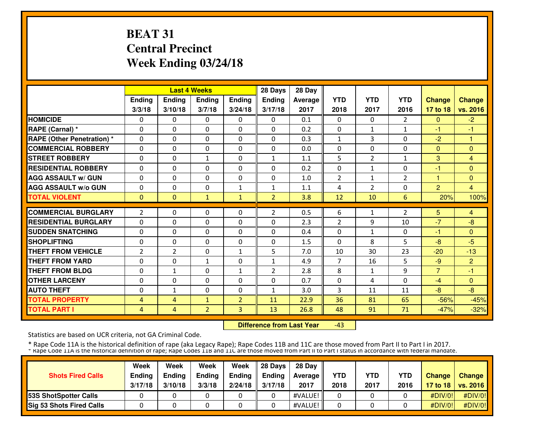# **BEAT 31 Central PrecinctWeek Ending 03/24/18**

|                                   |                |                | <b>Last 4 Weeks</b> |                | 28 Days        | 28 Day  |                |                |                |                |                |
|-----------------------------------|----------------|----------------|---------------------|----------------|----------------|---------|----------------|----------------|----------------|----------------|----------------|
|                                   | <b>Ending</b>  | <b>Ending</b>  | <b>Ending</b>       | <b>Ending</b>  | <b>Ending</b>  | Average | <b>YTD</b>     | <b>YTD</b>     | <b>YTD</b>     | <b>Change</b>  | <b>Change</b>  |
|                                   | 3/3/18         | 3/10/18        | 3/7/18              | 3/24/18        | 3/17/18        | 2017    | 2018           | 2017           | 2016           | 17 to 18       | vs. 2016       |
| <b>HOMICIDE</b>                   | 0              | 0              | $\Omega$            | 0              | $\Omega$       | 0.1     | $\Omega$       | $\Omega$       | $\overline{2}$ | $\Omega$       | $-2$           |
| RAPE (Carnal) *                   | 0              | $\Omega$       | $\Omega$            | $\Omega$       | $\Omega$       | 0.2     | $\Omega$       | $\mathbf{1}$   | $\mathbf{1}$   | -1             | -1             |
| <b>RAPE (Other Penetration)</b> * | $\Omega$       | $\Omega$       | $\Omega$            | $\Omega$       | $\Omega$       | 0.3     | $\mathbf{1}$   | 3              | $\Omega$       | $-2$           | $\mathbf{1}$   |
| <b>COMMERCIAL ROBBERY</b>         | 0              | $\Omega$       | $\Omega$            | $\Omega$       | $\Omega$       | 0.0     | $\mathbf{0}$   | $\Omega$       | $\Omega$       | $\Omega$       | $\Omega$       |
| <b>STREET ROBBERY</b>             | 0              | $\Omega$       | $\mathbf{1}$        | 0              | 1              | 1.1     | 5              | $\overline{2}$ | $\mathbf{1}$   | 3              | $\overline{4}$ |
| <b>RESIDENTIAL ROBBERY</b>        | 0              | $\Omega$       | $\Omega$            | $\Omega$       | $\Omega$       | 0.2     | $\Omega$       | $\mathbf{1}$   | $\Omega$       | -1             | $\Omega$       |
| <b>AGG ASSAULT w/ GUN</b>         | 0              | $\Omega$       | $\Omega$            | $\Omega$       | $\Omega$       | 1.0     | $\overline{2}$ | $\mathbf{1}$   | $\overline{2}$ | 1              | $\Omega$       |
| <b>AGG ASSAULT W/o GUN</b>        | 0              | $\Omega$       | $\Omega$            | 1              | 1              | 1.1     | 4              | $\overline{2}$ | 0              | $\overline{2}$ | 4              |
| <b>TOTAL VIOLENT</b>              | $\mathbf{0}$   | $\Omega$       | $\mathbf{1}$        | $\mathbf{1}$   | $\overline{2}$ | 3.8     | 12             | 10             | 6              | 20%            | 100%           |
| <b>COMMERCIAL BURGLARY</b>        | $\overline{2}$ | $\Omega$       | 0                   | 0              | $\overline{2}$ | 0.5     | 6              | 1              | 2              | 5              | $\overline{4}$ |
| <b>RESIDENTIAL BURGLARY</b>       | 0              | $\Omega$       | $\mathbf{0}$        | 0              | $\Omega$       | 2.3     | $\overline{2}$ | 9              | 10             | $-7$           | $-8$           |
| <b>SUDDEN SNATCHING</b>           | $\Omega$       | $\Omega$       | $\Omega$            | $\Omega$       | $\Omega$       | 0.4     | $\Omega$       | $\mathbf{1}$   | $\Omega$       | -1             | $\Omega$       |
| <b>SHOPLIFTING</b>                | 0              | $\Omega$       | $\Omega$            | 0              | $\Omega$       | 1.5     | $\mathbf{0}$   | 8              | 5              | $-8$           | $-5$           |
| <b>THEFT FROM VEHICLE</b>         | $\overline{2}$ | $\overline{2}$ | $\Omega$            | $\mathbf{1}$   | 5              | 7.0     | 10             | 30             | 23             | $-20$          | $-13$          |
| <b>THEFT FROM YARD</b>            | 0              | $\Omega$       | $\mathbf{1}$        | $\Omega$       | $\mathbf{1}$   | 4.9     | $\overline{7}$ | 16             | 5              | $-9$           | $\overline{2}$ |
| <b>THEFT FROM BLDG</b>            | 0              | $\mathbf{1}$   | $\Omega$            | 1              | $\overline{2}$ | 2.8     | 8              | 1              | 9              | $\overline{7}$ | -1             |
| <b>OTHER LARCENY</b>              | 0              | $\Omega$       | $\Omega$            | $\Omega$       | $\Omega$       | 0.7     | $\mathbf{0}$   | 4              | $\Omega$       | $-4$           | $\Omega$       |
| <b>AUTO THEFT</b>                 | 0              | $\mathbf{1}$   | $\Omega$            | $\Omega$       | $\mathbf{1}$   | 3.0     | 3              | 11             | 11             | $-8$           | $-8$           |
| <b>TOTAL PROPERTY</b>             | 4              | 4              | $\mathbf{1}$        | $\overline{2}$ | 11             | 22.9    | 36             | 81             | 65             | $-56%$         | $-45%$         |
| <b>TOTAL PART I</b>               | 4              | $\overline{4}$ | 2 <sup>1</sup>      | 3              | 13             | 26.8    | 48             | 91             | 71             | $-47%$         | $-32%$         |

 **Difference from Last Year**-43

Statistics are based on UCR criteria, not GA Criminal Code.

| <b>Shots Fired Calls</b>        | Week<br><b>Ending</b><br>3/17/18 | Week<br><b>Endina</b><br>3/10/18 | Week<br><b>Ending</b><br>3/3/18 | Week<br><b>Ending</b><br>2/24/18 | 28 Davs<br><b>Endina</b><br>3/17/18 | 28 Day<br>Average II<br>2017 | <b>YTD</b><br>2018 | <b>YTD</b><br>2017 | <b>YTD</b><br>2016 | <b>Change</b> | Change<br>17 to 18   vs. 2016 |
|---------------------------------|----------------------------------|----------------------------------|---------------------------------|----------------------------------|-------------------------------------|------------------------------|--------------------|--------------------|--------------------|---------------|-------------------------------|
| <b>153S ShotSpotter Calls</b>   |                                  |                                  |                                 |                                  |                                     | #VALUE!                      |                    |                    |                    | #DIV/0!       | #DIV/0!                       |
| <b>Sig 53 Shots Fired Calls</b> |                                  |                                  |                                 |                                  |                                     | #VALUE!                      |                    |                    |                    | #DIV/0!       | #DIV/0!                       |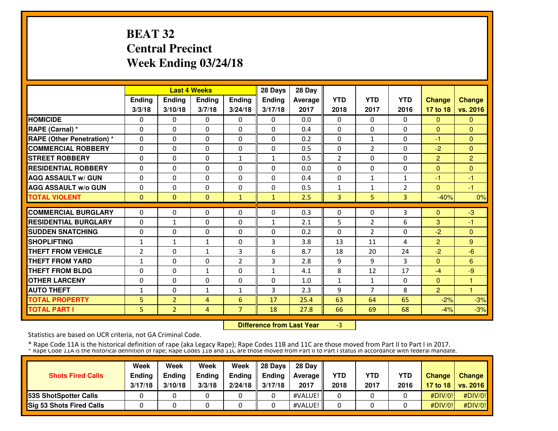# **BEAT 32 Central PrecinctWeek Ending 03/24/18**

|                                   |                |                | <b>Last 4 Weeks</b> |                | 28 Days      | 28 Day  |                |                |              |                |                |
|-----------------------------------|----------------|----------------|---------------------|----------------|--------------|---------|----------------|----------------|--------------|----------------|----------------|
|                                   | Ending         | <b>Ending</b>  | <b>Ending</b>       | <b>Ending</b>  | Ending       | Average | <b>YTD</b>     | <b>YTD</b>     | <b>YTD</b>   | <b>Change</b>  | <b>Change</b>  |
|                                   | 3/3/18         | 3/10/18        | 3/7/18              | 3/24/18        | 3/17/18      | 2017    | 2018           | 2017           | 2016         | 17 to 18       | vs. 2016       |
| <b>HOMICIDE</b>                   | 0              | 0              | $\Omega$            | 0              | $\Omega$     | 0.0     | $\mathbf{0}$   | $\Omega$       | $\mathbf{0}$ | $\Omega$       | $\Omega$       |
| <b>RAPE (Carnal) *</b>            | $\mathbf{0}$   | 0              | 0                   | $\mathbf{0}$   | $\Omega$     | 0.4     | $\mathbf{0}$   | 0              | 0            | $\Omega$       | $\mathbf{0}$   |
| <b>RAPE (Other Penetration) *</b> | $\mathbf{0}$   | $\Omega$       | 0                   | $\mathbf{0}$   | $\Omega$     | 0.2     | 0              | $\mathbf{1}$   | 0            | -1             | $\mathbf{0}$   |
| <b>COMMERCIAL ROBBERY</b>         | $\mathbf{0}$   | 0              | 0                   | $\mathbf{0}$   | $\Omega$     | 0.5     | $\mathbf{0}$   | $\overline{2}$ | $\Omega$     | $-2$           | $\mathbf{0}$   |
| <b>STREET ROBBERY</b>             | $\mathbf{0}$   | 0              | 0                   | 1              | $\mathbf{1}$ | 0.5     | $\overline{2}$ | 0              | 0            | $\overline{2}$ | $\overline{2}$ |
| <b>RESIDENTIAL ROBBERY</b>        | $\mathbf{0}$   | $\Omega$       | $\Omega$            | $\Omega$       | $\Omega$     | 0.0     | $\Omega$       | 0              | 0            | $\Omega$       | $\Omega$       |
| <b>AGG ASSAULT w/ GUN</b>         | $\Omega$       | $\Omega$       | $\Omega$            | $\mathbf{0}$   | 0            | 0.4     | $\Omega$       | $\mathbf{1}$   | $\mathbf{1}$ | -1             | $-1$           |
| <b>AGG ASSAULT w/o GUN</b>        | $\Omega$       | $\Omega$       | $\Omega$            | $\mathbf{0}$   | 0            | 0.5     | $\mathbf{1}$   | $\mathbf{1}$   | 2            | $\Omega$       | $-1$           |
| <b>TOTAL VIOLENT</b>              | $\mathbf{0}$   | $\Omega$       | $\mathbf{0}$        | 1              | $\mathbf{1}$ | 2.5     | 3              | 5              | 3            | $-40%$         | 0%             |
| <b>COMMERCIAL BURGLARY</b>        | $\mathbf{0}$   | 0              | 0                   | $\mathbf{0}$   | 0            | 0.3     |                | 0              | 3            |                | $-3$           |
| <b>RESIDENTIAL BURGLARY</b>       |                |                |                     |                |              |         | 0              |                |              | $\Omega$       |                |
|                                   | $\mathbf{0}$   | $\mathbf{1}$   | 0                   | 0              | $\mathbf{1}$ | 2.1     | 5              | $\overline{2}$ | 6            | 3              | -1             |
| <b>SUDDEN SNATCHING</b>           | $\Omega$       | $\Omega$       | $\Omega$            | $\mathbf{0}$   | $\Omega$     | 0.2     | $\mathbf{0}$   | $\overline{2}$ | 0            | $-2$           | $\mathbf{0}$   |
| <b>SHOPLIFTING</b>                | $\mathbf{1}$   | $\mathbf{1}$   | $\mathbf{1}$        | $\mathbf{0}$   | 3            | 3.8     | 13             | 11             | 4            | $\overline{2}$ | 9              |
| <b>THEFT FROM VEHICLE</b>         | $\overline{2}$ | 0              | $\mathbf{1}$        | 3              | 6            | 8.7     | 18             | 20             | 24           | $-2$           | $-6$           |
| <b>THEFT FROM YARD</b>            | $\mathbf{1}$   | 0              | 0                   | 2              | 3            | 2.8     | 9              | 9              | 3            | $\mathbf{0}$   | 6              |
| <b>THEFT FROM BLDG</b>            | 0              | 0              | $\mathbf{1}$        | $\Omega$       | 1            | 4.1     | 8              | 12             | 17           | $-4$           | $-9$           |
| <b>OTHER LARCENY</b>              | $\mathbf{0}$   | $\Omega$       | $\Omega$            | $\mathbf{0}$   | $\Omega$     | 1.0     | $\mathbf{1}$   | 1              | $\Omega$     | $\Omega$       | 1              |
| <b>AUTO THEFT</b>                 | 1              | $\Omega$       | $\mathbf{1}$        | $\mathbf{1}$   | 3            | 2.3     | 9              | $\overline{7}$ | 8            | $\overline{2}$ | н              |
| <b>TOTAL PROPERTY</b>             | 5              | $\overline{2}$ | 4                   | 6              | 17           | 25.4    | 63             | 64             | 65           | $-2%$          | $-3%$          |
| <b>TOTAL PART I</b>               | 5.             | $\overline{2}$ | 4                   | $\overline{7}$ | 18           | 27.8    | 66             | 69             | 68           | $-4%$          | $-3%$          |

 **Difference from Last Year**-3

Statistics are based on UCR criteria, not GA Criminal Code.

| <b>Shots Fired Calls</b>        | Week<br>Ending<br>3/17/18 | Week<br><b>Endina</b><br>3/10/18 | Week<br><b>Ending</b><br>3/3/18 | Week<br><b>Endina</b><br>2/24/18 | 28 Davs<br><b>Endina</b><br>3/17/18 | 28 Day<br>Average II<br>2017 | YTD<br>2018 | YTD<br>2017 | YTD<br>2016 | <b>Change</b> | Change<br>17 to 18   vs. 2016 |
|---------------------------------|---------------------------|----------------------------------|---------------------------------|----------------------------------|-------------------------------------|------------------------------|-------------|-------------|-------------|---------------|-------------------------------|
| 53S ShotSpotter Calls           |                           |                                  |                                 |                                  |                                     | #VALUE!                      |             |             |             | #DIV/0!       | #DIV/0!                       |
| <b>Sig 53 Shots Fired Calls</b> |                           |                                  |                                 |                                  |                                     | #VALUE!                      |             |             |             | #DIV/0!       | #DIV/0!                       |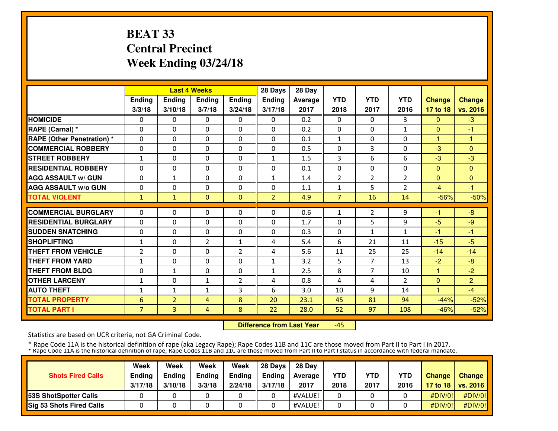# **BEAT 33 Central PrecinctWeek Ending 03/24/18**

|                                   |                |                | <b>Last 4 Weeks</b> |                | 28 Days        | 28 Day  |                |                |                |                |                |
|-----------------------------------|----------------|----------------|---------------------|----------------|----------------|---------|----------------|----------------|----------------|----------------|----------------|
|                                   | <b>Ending</b>  | <b>Ending</b>  | <b>Ending</b>       | <b>Ending</b>  | Ending         | Average | <b>YTD</b>     | <b>YTD</b>     | <b>YTD</b>     | <b>Change</b>  | <b>Change</b>  |
|                                   | 3/3/18         | 3/10/18        | 3/7/18              | 3/24/18        | 3/17/18        | 2017    | 2018           | 2017           | 2016           | 17 to 18       | vs. 2016       |
| <b>HOMICIDE</b>                   | 0              | 0              | $\Omega$            | 0              | $\Omega$       | 0.2     | 0              | $\Omega$       | 3              | $\Omega$       | $-3$           |
| RAPE (Carnal) *                   | $\Omega$       | $\Omega$       | $\Omega$            | $\Omega$       | $\Omega$       | 0.2     | $\Omega$       | $\Omega$       | $\mathbf{1}$   | $\Omega$       | -1             |
| <b>RAPE (Other Penetration) *</b> | $\Omega$       | $\Omega$       | $\mathbf{0}$        | $\Omega$       | $\Omega$       | 0.1     | $\mathbf{1}$   | $\Omega$       | $\Omega$       | 1              | $\mathbf{1}$   |
| <b>COMMERCIAL ROBBERY</b>         | $\Omega$       | $\Omega$       | $\mathbf{0}$        | 0              | $\Omega$       | 0.5     | $\mathbf{0}$   | 3              | $\Omega$       | $-3$           | $\Omega$       |
| <b>STREET ROBBERY</b>             | $\mathbf{1}$   | $\Omega$       | $\mathbf{0}$        | $\Omega$       | $\mathbf{1}$   | 1.5     | 3              | 6              | 6              | $-3$           | $-3$           |
| <b>RESIDENTIAL ROBBERY</b>        | 0              | $\Omega$       | $\mathbf{0}$        | $\Omega$       | $\Omega$       | 0.1     | 0              | 0              | 0              | $\overline{0}$ | $\Omega$       |
| <b>AGG ASSAULT w/ GUN</b>         | 0              | 1              | $\mathbf{0}$        | 0              | $\mathbf{1}$   | 1.4     | $\overline{2}$ | $\overline{2}$ | 2              | $\Omega$       | $\Omega$       |
| <b>AGG ASSAULT W/o GUN</b>        | 0              | 0              | $\mathbf{0}$        | 0              | $\Omega$       | 1.1     | 1              | 5              | 2              | $-4$           | -1             |
| <b>TOTAL VIOLENT</b>              | 1              | 1              | $\mathbf{0}$        | $\Omega$       | $\overline{2}$ | 4.9     | $\overline{7}$ | 16             | 14             | $-56%$         | $-50%$         |
| <b>COMMERCIAL BURGLARY</b>        | 0              | $\Omega$       | $\Omega$            | 0              | $\Omega$       | 0.6     | 1              | 2              | 9              | -1             | -8             |
| <b>RESIDENTIAL BURGLARY</b>       | 0              | $\Omega$       | $\mathbf{0}$        | $\Omega$       | $\Omega$       | 1.7     | $\Omega$       | 5              | 9              | $-5$           | $-9$           |
| <b>SUDDEN SNATCHING</b>           | 0              | $\Omega$       | $\mathbf{0}$        | $\Omega$       | 0              | 0.3     | $\mathbf{0}$   | $\mathbf{1}$   | $\mathbf{1}$   | -1             | $-1$           |
| <b>SHOPLIFTING</b>                | $\mathbf{1}$   | 0              | $\overline{2}$      | $\mathbf{1}$   | 4              | 5.4     | 6              | 21             | 11             | $-15$          | $-5$           |
| <b>THEFT FROM VEHICLE</b>         | 2              | 0              | $\mathbf{0}$        | 2              | 4              | 5.6     | 11             | 25             | 25             | $-14$          | $-14$          |
| <b>THEFT FROM YARD</b>            | 1              | 0              | $\mathbf{0}$        | 0              | $\mathbf{1}$   | 3.2     | 5              | $\overline{7}$ | 13             | $-2$           | $-8$           |
| <b>THEFT FROM BLDG</b>            | 0              | $\mathbf{1}$   | $\Omega$            | 0              | $\mathbf{1}$   | 2.5     | 8              | $\overline{7}$ | 10             | 1              | $-2$           |
| <b>OTHER LARCENY</b>              | 1              | $\Omega$       | $\mathbf{1}$        | $\overline{2}$ | 4              | 0.8     | 4              | 4              | $\overline{2}$ | $\Omega$       | $\overline{2}$ |
| <b>AUTO THEFT</b>                 | 1              | $\mathbf{1}$   | $\mathbf{1}$        | 3              | 6              | 3.0     | 10             | 9              | 14             | 4              | $-4$           |
| <b>TOTAL PROPERTY</b>             | 6              | $\overline{2}$ | 4                   | 8              | 20             | 23.1    | 45             | 81             | 94             | $-44%$         | $-52%$         |
| <b>TOTAL PART I</b>               | $\overline{7}$ | 3              | 4                   | 8              | 22             | 28.0    | 52             | 97             | 108            | $-46%$         | $-52%$         |

 **Difference from Last Year**-45

Statistics are based on UCR criteria, not GA Criminal Code.

| <b>Shots Fired Calls</b>        | Week<br><b>Ending</b><br>3/17/18 | Week<br><b>Endina</b><br>3/10/18 | Week<br><b>Ending</b><br>3/3/18 | Week<br><b>Ending</b><br>2/24/18 | 28 Davs<br><b>Endina</b><br>3/17/18 | 28 Day<br>Average II<br>2017 | <b>YTD</b><br>2018 | <b>YTD</b><br>2017 | <b>YTD</b><br>2016 | <b>Change</b> | Change<br>17 to 18   vs. 2016 |
|---------------------------------|----------------------------------|----------------------------------|---------------------------------|----------------------------------|-------------------------------------|------------------------------|--------------------|--------------------|--------------------|---------------|-------------------------------|
| <b>153S ShotSpotter Calls</b>   |                                  |                                  |                                 |                                  |                                     | #VALUE!                      |                    |                    |                    | #DIV/0!       | #DIV/0!                       |
| <b>Sig 53 Shots Fired Calls</b> |                                  |                                  |                                 |                                  |                                     | #VALUE!                      |                    |                    |                    | #DIV/0!       | #DIV/0!                       |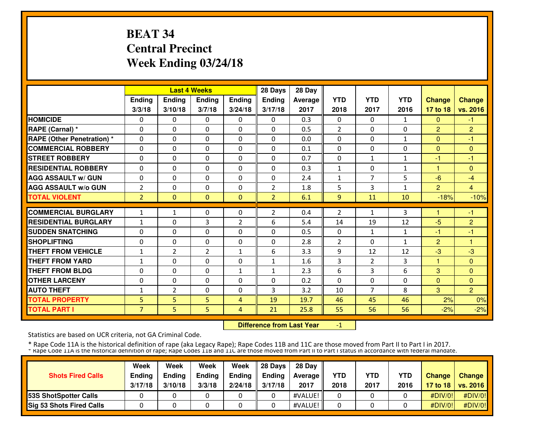# **BEAT 34 Central PrecinctWeek Ending 03/24/18**

|                                   |                |                | <b>Last 4 Weeks</b> |               | 28 Days        | 28 Day  |                |                |              |                |                |
|-----------------------------------|----------------|----------------|---------------------|---------------|----------------|---------|----------------|----------------|--------------|----------------|----------------|
|                                   | <b>Ending</b>  | Ending         | Ending              | <b>Ending</b> | Ending         | Average | <b>YTD</b>     | <b>YTD</b>     | <b>YTD</b>   | <b>Change</b>  | <b>Change</b>  |
|                                   | 3/3/18         | 3/10/18        | 3/7/18              | 3/24/18       | 3/17/18        | 2017    | 2018           | 2017           | 2016         | 17 to 18       | vs. 2016       |
| <b>HOMICIDE</b>                   | 0              | 0              | $\mathbf{0}$        | 0             | 0              | 0.3     | $\mathbf{0}$   | 0              | 1            | $\Omega$       | $-1$           |
| RAPE (Carnal) *                   | $\Omega$       | 0              | $\Omega$            | $\Omega$      | $\Omega$       | 0.5     | $\overline{2}$ | $\Omega$       | $\Omega$     | $\overline{2}$ | $\overline{2}$ |
| <b>RAPE (Other Penetration)</b> * | $\Omega$       | $\Omega$       | $\Omega$            | $\Omega$      | $\Omega$       | 0.0     | $\Omega$       | $\Omega$       | $\mathbf{1}$ | $\Omega$       | $-1$           |
| <b>COMMERCIAL ROBBERY</b>         | $\Omega$       | $\Omega$       | $\Omega$            | $\Omega$      | $\Omega$       | 0.1     | 0              | $\Omega$       | $\Omega$     | $\Omega$       | $\Omega$       |
| <b>STREET ROBBERY</b>             | $\Omega$       | $\Omega$       | $\Omega$            | $\Omega$      | $\Omega$       | 0.7     | $\Omega$       | 1              | 1            | $-1$           | $-1$           |
| <b>RESIDENTIAL ROBBERY</b>        | 0              | 0              | $\mathbf{0}$        | $\mathbf{0}$  | 0              | 0.3     | $\mathbf{1}$   | 0              | $\mathbf{1}$ | 1.             | $\Omega$       |
| <b>AGG ASSAULT w/ GUN</b>         | 0              | 0              | $\mathbf{0}$        | $\Omega$      | 0              | 2.4     | $\mathbf{1}$   | $\overline{7}$ | 5            | $-6$           | $-4$           |
| <b>AGG ASSAULT w/o GUN</b>        | $\overline{2}$ | 0              | $\Omega$            | $\Omega$      | $\overline{2}$ | 1.8     | 5              | 3              | $\mathbf{1}$ | $\overline{2}$ | $\overline{4}$ |
| <b>TOTAL VIOLENT</b>              | $\overline{2}$ | $\Omega$       | $\Omega$            | $\mathbf{0}$  | $\overline{2}$ | 6.1     | 9              | 11             | 10           | $-18%$         | $-10%$         |
| <b>COMMERCIAL BURGLARY</b>        | $\mathbf{1}$   | $\mathbf{1}$   | $\mathbf{0}$        | $\mathbf{0}$  | $\overline{2}$ | 0.4     |                | $\mathbf{1}$   | 3            | 1              | $-1$           |
|                                   |                |                |                     |               |                |         | $\overline{2}$ |                |              |                |                |
| <b>RESIDENTIAL BURGLARY</b>       | $\mathbf{1}$   | 0              | 3                   | 2             | 6              | 5.4     | 14             | 19             | 12           | $-5$           | $\overline{2}$ |
| <b>SUDDEN SNATCHING</b>           | 0              | 0              | $\Omega$            | $\Omega$      | $\Omega$       | 0.5     | $\Omega$       | $\mathbf{1}$   | 1            | -1             | $-1$           |
| <b>SHOPLIFTING</b>                | $\Omega$       | $\Omega$       | $\Omega$            | $\Omega$      | $\Omega$       | 2.8     | $\overline{2}$ | $\Omega$       | $\mathbf{1}$ | $\overline{2}$ | 1              |
| <b>THEFT FROM VEHICLE</b>         | $\mathbf 1$    | $\overline{2}$ | 2                   | $\mathbf{1}$  | 6              | 3.3     | 9              | 12             | 12           | $-3$           | $-3$           |
| <b>THEFT FROM YARD</b>            | 1              | $\Omega$       | $\Omega$            | $\Omega$      | 1              | 1.6     | 3              | $\overline{2}$ | 3            | $\mathbf{1}$   | $\Omega$       |
| <b>THEFT FROM BLDG</b>            | 0              | 0              | $\Omega$            | 1             | $\mathbf{1}$   | 2.3     | 6              | 3              | 6            | 3              | $\Omega$       |
| <b>OTHER LARCENY</b>              | 0              | $\Omega$       | $\Omega$            | $\Omega$      | 0              | 0.2     | $\Omega$       | $\Omega$       | $\Omega$     | $\Omega$       | $\overline{0}$ |
| <b>AUTO THEFT</b>                 | $\mathbf{1}$   | $\overline{2}$ | $\Omega$            | 0             | 3              | 3.2     | 10             | $\overline{7}$ | 8            | 3              | $\overline{2}$ |
| <b>TOTAL PROPERTY</b>             | 5              | 5              | 5                   | 4             | 19             | 19.7    | 46             | 45             | 46           | 2%             | 0%             |
| <b>TOTAL PART I</b>               | $\overline{7}$ | 5.             | 5.                  | 4             | 21             | 25.8    | 55             | 56             | 56           | $-2%$          | $-2%$          |

 **Difference from Last Year**-1

Statistics are based on UCR criteria, not GA Criminal Code.

| <b>Shots Fired Calls</b>        | Week<br>Ending<br>3/17/18 | Week<br><b>Endina</b><br>3/10/18 | Week<br><b>Ending</b><br>3/3/18 | Week<br><b>Endina</b><br>2/24/18 | 28 Davs<br><b>Endina</b><br>3/17/18 | 28 Day<br>Average II<br>2017 | YTD<br>2018 | YTD<br>2017 | YTD<br>2016 | <b>Change</b> | Change<br>17 to 18   vs. 2016 |
|---------------------------------|---------------------------|----------------------------------|---------------------------------|----------------------------------|-------------------------------------|------------------------------|-------------|-------------|-------------|---------------|-------------------------------|
| 53S ShotSpotter Calls           |                           |                                  |                                 |                                  |                                     | #VALUE!                      |             |             |             | #DIV/0!       | #DIV/0!                       |
| <b>Sig 53 Shots Fired Calls</b> |                           |                                  |                                 |                                  |                                     | #VALUE!                      |             |             |             | #DIV/0!       | #DIV/0!                       |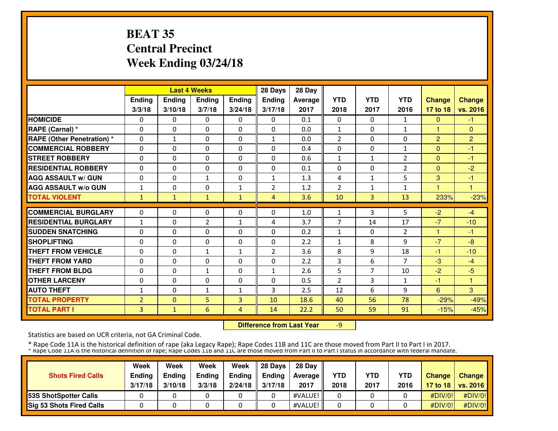# **BEAT 35 Central PrecinctWeek Ending 03/24/18**

|                                   |                |               | <b>Last 4 Weeks</b> |               | 28 Days        | 28 Day  |                |                |                |                |                |
|-----------------------------------|----------------|---------------|---------------------|---------------|----------------|---------|----------------|----------------|----------------|----------------|----------------|
|                                   | Ending         | <b>Ending</b> | <b>Ending</b>       | <b>Ending</b> | <b>Ending</b>  | Average | <b>YTD</b>     | <b>YTD</b>     | <b>YTD</b>     | <b>Change</b>  | <b>Change</b>  |
|                                   | 3/3/18         | 3/10/18       | 3/7/18              | 3/24/18       | 3/17/18        | 2017    | 2018           | 2017           | 2016           | 17 to 18       | vs. 2016       |
| <b>HOMICIDE</b>                   | 0              | 0             | $\Omega$            | 0             | $\Omega$       | 0.1     | $\mathbf{0}$   | 0              | 1              | $\mathbf{0}$   | $-1$           |
| <b>RAPE (Carnal) *</b>            | $\mathbf{0}$   | 0             | 0                   | $\mathbf{0}$  | $\Omega$       | 0.0     | $\mathbf{1}$   | 0              | $\mathbf{1}$   | $\mathbf{1}$   | $\mathbf{0}$   |
| <b>RAPE (Other Penetration) *</b> | $\mathbf{0}$   | $\mathbf{1}$  | 0                   | $\mathbf{0}$  | $\mathbf{1}$   | 0.0     | $\overline{2}$ | 0              | 0              | $\overline{2}$ | $\overline{2}$ |
| <b>COMMERCIAL ROBBERY</b>         | $\mathbf{0}$   | 0             | 0                   | $\mathbf{0}$  | $\Omega$       | 0.4     | $\mathbf{0}$   | 0              | $\mathbf{1}$   | $\Omega$       | -1             |
| <b>STREET ROBBERY</b>             | $\mathbf{0}$   | 0             | 0                   | 0             | $\Omega$       | 0.6     | 1              | 1              | 2              | $\mathbf{0}$   | -1             |
| <b>RESIDENTIAL ROBBERY</b>        | $\mathbf{0}$   | $\Omega$      | $\Omega$            | $\Omega$      | $\Omega$       | 0.1     | $\mathbf{0}$   | 0              | $\overline{2}$ | $\Omega$       | $-2$           |
| <b>AGG ASSAULT w/ GUN</b>         | $\Omega$       | $\Omega$      | $\mathbf{1}$        | $\Omega$      | $\mathbf{1}$   | 1.3     | 4              | $\mathbf{1}$   | 5              | 3              | $-1$           |
| <b>AGG ASSAULT w/o GUN</b>        | $\mathbf{1}$   | $\Omega$      | $\Omega$            | $\mathbf{1}$  | $\overline{2}$ | 1.2     | 2              | $\mathbf{1}$   | 1              |                | ٠              |
| <b>TOTAL VIOLENT</b>              | 1              | $\mathbf{1}$  | $\mathbf{1}$        | 1             | 4              | 3.6     | 10             | 3              | 13             | 233%           | $-23%$         |
| <b>COMMERCIAL BURGLARY</b>        | $\mathbf{0}$   | $\Omega$      | 0                   | $\mathbf{0}$  | $\Omega$       |         |                | 3              | 5              |                | $-4$           |
| <b>RESIDENTIAL BURGLARY</b>       |                |               |                     |               |                | 1.0     | 1              |                |                | $-2$           |                |
|                                   | 1              | 0             | $\overline{2}$      | 1             | 4              | 3.7     | 7              | 14             | 17             | $-7$           | $-10$          |
| <b>SUDDEN SNATCHING</b>           | $\Omega$       | $\Omega$      | $\Omega$            | $\Omega$      | $\Omega$       | 0.2     | $\mathbf{1}$   | $\Omega$       | $\overline{2}$ | 1              | $-1$           |
| <b>SHOPLIFTING</b>                | $\mathbf{0}$   | $\Omega$      | 0                   | $\mathbf{0}$  | 0              | 2.2     | $\mathbf{1}$   | 8              | 9              | $-7$           | $-8$           |
| <b>THEFT FROM VEHICLE</b>         | 0              | $\Omega$      | $\mathbf{1}$        | $\mathbf{1}$  | 2              | 3.6     | 8              | 9              | 18             | $-1$           | $-10$          |
| <b>THEFT FROM YARD</b>            | $\mathbf{0}$   | 0             | 0                   | $\mathbf{0}$  | 0              | 2.2     | 3              | 6              | $\overline{7}$ | $-3$           | $-4$           |
| <b>THEFT FROM BLDG</b>            | 0              | 0             | $\mathbf{1}$        | 0             | 1              | 2.6     | 5              | $\overline{7}$ | 10             | $-2$           | $-5$           |
| <b>OTHER LARCENY</b>              | $\mathbf{0}$   | $\Omega$      | $\Omega$            | $\mathbf{0}$  | $\Omega$       | 0.5     | $\overline{2}$ | 3              | $\mathbf{1}$   | $-1$           | 1              |
| <b>AUTO THEFT</b>                 | 1              | $\Omega$      | $\mathbf{1}$        | $\mathbf{1}$  | 3              | 2.5     | 12             | 6              | 9              | 6              | 3              |
| <b>TOTAL PROPERTY</b>             | $\overline{2}$ | $\Omega$      | 5                   | 3             | 10             | 18.6    | 40             | 56             | 78             | $-29%$         | $-49%$         |
| <b>TOTAL PART I</b>               | 3              | $\mathbf{1}$  | 6                   | 4             | 14             | 22.2    | 50             | 59             | 91             | $-15%$         | $-45%$         |

 **Difference from Last Year**-9

Statistics are based on UCR criteria, not GA Criminal Code.

| <b>Shots Fired Calls</b>        | Week<br>Ending<br>3/17/18 | Week<br><b>Endina</b><br>3/10/18 | Week<br><b>Ending</b><br>3/3/18 | Week<br><b>Endina</b><br>2/24/18 | 28 Davs<br><b>Endina</b><br>3/17/18 | 28 Day<br>Average II<br>2017 | YTD<br>2018 | YTD<br>2017 | YTD<br>2016 | <b>Change</b> | Change<br>17 to 18   vs. 2016 |
|---------------------------------|---------------------------|----------------------------------|---------------------------------|----------------------------------|-------------------------------------|------------------------------|-------------|-------------|-------------|---------------|-------------------------------|
| 53S ShotSpotter Calls           |                           |                                  |                                 |                                  |                                     | #VALUE!                      |             |             |             | #DIV/0!       | #DIV/0!                       |
| <b>Sig 53 Shots Fired Calls</b> |                           |                                  |                                 |                                  |                                     | #VALUE!                      |             |             |             | #DIV/0!       | #DIV/0!                       |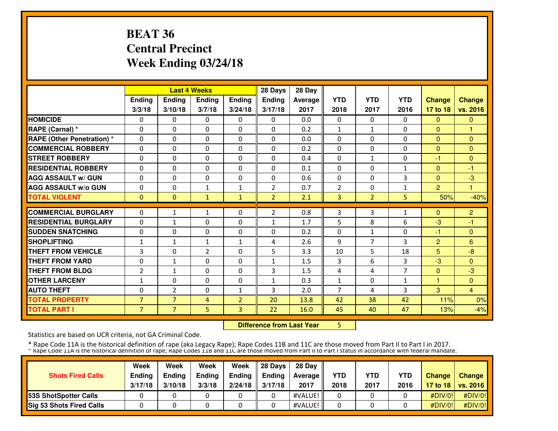# **BEAT 36 Central PrecinctWeek Ending 03/24/18**

|                                   |                |                | <b>Last 4 Weeks</b> |                | 28 Days        | 28 Day  |                |                |                |                |                |
|-----------------------------------|----------------|----------------|---------------------|----------------|----------------|---------|----------------|----------------|----------------|----------------|----------------|
|                                   | Ending         | <b>Ending</b>  | <b>Ending</b>       | <b>Ending</b>  | Ending         | Average | <b>YTD</b>     | <b>YTD</b>     | <b>YTD</b>     | <b>Change</b>  | <b>Change</b>  |
|                                   | 3/3/18         | 3/10/18        | 3/7/18              | 3/24/18        | 3/17/18        | 2017    | 2018           | 2017           | 2016           | 17 to 18       | vs. 2016       |
| <b>HOMICIDE</b>                   | 0              | 0              | $\mathbf{0}$        | 0              | $\mathbf{0}$   | 0.0     | $\Omega$       | $\Omega$       | 0              | $\Omega$       | $\mathbf{0}$   |
| RAPE (Carnal) *                   | 0              | 0              | $\mathbf{0}$        | $\Omega$       | 0              | 0.2     | $\mathbf{1}$   | $\mathbf{1}$   | 0              | $\Omega$       | 1              |
| <b>RAPE (Other Penetration) *</b> | 0              | $\Omega$       | $\mathbf{0}$        | 0              | $\Omega$       | 0.0     | $\mathbf{0}$   | $\Omega$       | $\Omega$       | $\overline{0}$ | $\Omega$       |
| <b>COMMERCIAL ROBBERY</b>         | 0              | 0              | $\mathbf{0}$        | 0              | $\Omega$       | 0.2     | $\mathbf{0}$   | $\mathbf{0}$   | $\Omega$       | $\Omega$       | $\Omega$       |
| <b>STREET ROBBERY</b>             | 0              | $\Omega$       | $\mathbf{0}$        | 0              | $\Omega$       | 0.4     | 0              | $\mathbf{1}$   | 0              | -1             | $\Omega$       |
| <b>RESIDENTIAL ROBBERY</b>        | $\Omega$       | $\Omega$       | $\mathbf{0}$        | $\Omega$       | $\Omega$       | 0.1     | $\Omega$       | $\Omega$       | $\mathbf{1}$   | $\Omega$       | $-1$           |
| <b>AGG ASSAULT w/ GUN</b>         | $\Omega$       | $\Omega$       | $\mathbf{0}$        | $\Omega$       | $\Omega$       | 0.6     | $\Omega$       | 0              | 3              | $\Omega$       | $-3$           |
| <b>AGG ASSAULT w/o GUN</b>        | 0              | $\Omega$       | $\mathbf{1}$        | $\mathbf{1}$   | $\overline{2}$ | 0.7     | $\overline{2}$ | 0              | $\mathbf{1}$   | $\overline{2}$ | 1              |
| <b>TOTAL VIOLENT</b>              | $\mathbf{0}$   | $\mathbf{0}$   | $\mathbf{1}$        | $\mathbf{1}$   | $\overline{2}$ | 2.1     | 3              | $\overline{2}$ | 5              | 50%            | $-40%$         |
| <b>COMMERCIAL BURGLARY</b>        | 0              | 1              | 1                   | 0              | $\overline{2}$ | 0.8     | 3              | 3              | $\mathbf{1}$   | $\Omega$       | $\overline{2}$ |
| <b>RESIDENTIAL BURGLARY</b>       | 0              | 1              | $\mathbf{0}$        | 0              | 1              | 1.7     | 5              | 8              | 6              | $-3$           | $-1$           |
| <b>SUDDEN SNATCHING</b>           | $\Omega$       | $\Omega$       | $\mathbf{0}$        | $\Omega$       | $\Omega$       | 0.2     | $\Omega$       | $\mathbf{1}$   | $\Omega$       | -1             | $\Omega$       |
| <b>SHOPLIFTING</b>                | $\mathbf{1}$   | $\mathbf{1}$   | $\mathbf{1}$        | $\mathbf{1}$   | 4              | 2.6     | 9              | $\overline{7}$ | 3              | $\overline{2}$ | 6              |
| <b>THEFT FROM VEHICLE</b>         | 3              | 0              | $\overline{2}$      | 0              | 5              | 3.3     | 10             | 5              | 18             | 5              | $-8$           |
| <b>THEFT FROM YARD</b>            | 0              | $\mathbf{1}$   | $\mathbf{0}$        | 0              | $\mathbf{1}$   | 1.5     | 3              | 6              | 3              | $-3$           | $\Omega$       |
| <b>THEFT FROM BLDG</b>            | $\overline{2}$ | 1              | $\mathbf{0}$        | 0              | 3              | 1.5     | 4              | 4              | $\overline{7}$ | $\mathbf{0}$   | $-3$           |
| <b>OTHER LARCENY</b>              | 1              | $\Omega$       | $\Omega$            | $\Omega$       | $\mathbf{1}$   | 0.3     | $\mathbf{1}$   | $\Omega$       | $\mathbf{1}$   | 1              | $\Omega$       |
| <b>AUTO THEFT</b>                 | $\Omega$       | $\overline{2}$ | $\mathbf{0}$        | $\mathbf{1}$   | 3              | 2.0     | 7              | 4              | 3              | 3              | $\overline{4}$ |
| <b>TOTAL PROPERTY</b>             | $\overline{7}$ | $\overline{7}$ | 4                   | $\overline{2}$ | 20             | 13.8    | 42             | 38             | 42             | 11%            | 0%             |
| <b>TOTAL PART I</b>               | $\overline{7}$ | 7 <sup>1</sup> | 5                   | 3              | 22             | 16.0    | 45             | 40             | 47             | 13%            | $-4%$          |

**Difference from Last Year** 5

Statistics are based on UCR criteria, not GA Criminal Code.

| <b>Shots Fired Calls</b>        | Week<br>Ending<br>3/17/18 | Week<br><b>Endina</b><br>3/10/18 | Week<br><b>Ending</b><br>3/3/18 | Week<br><b>Endina</b><br>2/24/18 | 28 Davs<br><b>Endina</b><br>3/17/18 | 28 Day<br>Average II<br>2017 | YTD<br>2018 | YTD<br>2017 | YTD<br>2016 | <b>Change</b> | Change<br>17 to 18   vs. 2016 |
|---------------------------------|---------------------------|----------------------------------|---------------------------------|----------------------------------|-------------------------------------|------------------------------|-------------|-------------|-------------|---------------|-------------------------------|
| 53S ShotSpotter Calls           |                           |                                  |                                 |                                  |                                     | #VALUE!                      |             |             |             | #DIV/0!       | #DIV/0!                       |
| <b>Sig 53 Shots Fired Calls</b> |                           |                                  |                                 |                                  |                                     | #VALUE!                      |             |             |             | #DIV/0!       | #DIV/0!                       |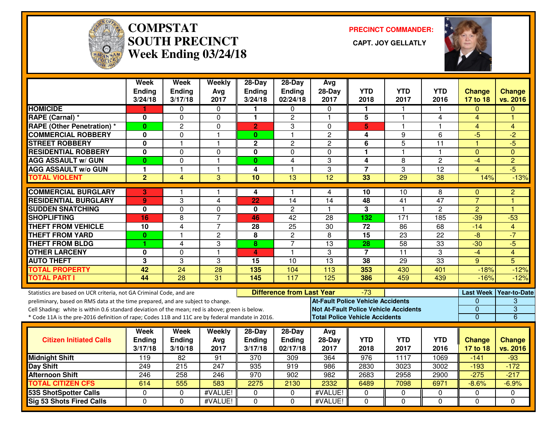

#### **COMPSTATSOUTH PRECINCT Week Ending 03/24/18**

**PRECINCT COMMANDER:**



|                                                                                                  | <b>Week</b><br><b>Ending</b><br>3/24/18 | Week<br><b>Ending</b><br>3/17/18 | Weekly<br>Avg<br>2017 | 28-Day<br><b>Ending</b><br>3/24/18 | 28-Day<br>Ending<br>02/24/18     | Avg<br>$28-Day$<br>2017                      | <b>YTD</b><br>2018      | <b>YTD</b><br>2017      | <b>YTD</b><br>2016 | <b>Change</b><br>17 to 18 | <b>Change</b><br>vs. 2016 |
|--------------------------------------------------------------------------------------------------|-----------------------------------------|----------------------------------|-----------------------|------------------------------------|----------------------------------|----------------------------------------------|-------------------------|-------------------------|--------------------|---------------------------|---------------------------|
| <b>HOMICIDE</b>                                                                                  | 1                                       | 0                                | 0                     | 1                                  | 0                                | 0                                            | 1.                      | 1                       |                    | $\Omega$                  | $\Omega$                  |
| RAPE (Carnal) *                                                                                  | 0                                       | 0                                | $\mathbf 0$           | 1                                  | $\overline{c}$                   | $\overline{\mathbf{1}}$                      | 5                       | $\overline{\mathbf{1}}$ | 4                  | 4                         | ۴                         |
| <b>RAPE (Other Penetration) *</b>                                                                | $\bf{0}$                                | $\overline{2}$                   | $\mathbf 0$           | $\overline{2}$                     | 3                                | $\Omega$                                     | 5                       | $\overline{1}$          | 1                  | $\overline{4}$            | $\overline{4}$            |
| <b>COMMERCIAL ROBBERY</b>                                                                        | 0                                       | 0                                | $\mathbf{1}$          | $\mathbf{0}$                       | 1                                | $\overline{2}$                               | 4                       | 9                       | 6                  | $-5$                      | $-2$                      |
| <b>STREET ROBBERY</b>                                                                            | 0                                       | $\mathbf 1$                      | $\mathbf{1}$          | $\mathbf 2$                        | $\overline{c}$                   | $\overline{c}$                               | 6                       | $\overline{5}$          | 11                 | 1                         | $-5$                      |
| <b>RESIDENTIAL ROBBERY</b>                                                                       | $\mathbf 0$                             | $\Omega$                         | $\Omega$              | 0                                  | $\Omega$                         | $\Omega$                                     | 1                       | $\mathbf{1}$            | 1.                 | $\Omega$                  | $\Omega$                  |
| <b>AGG ASSAULT w/ GUN</b>                                                                        | $\bf{0}$                                | $\mathbf 0$                      | $\mathbf{1}$          | $\bf{0}$                           | $\overline{4}$                   | 3                                            | 4                       | 8                       | $\overline{2}$     | $-4$                      | $\overline{2}$            |
| <b>AGG ASSAULT w/o GUN</b>                                                                       | 1                                       | $\overline{\mathbf{1}}$          | $\mathbf{1}$          | 4                                  | 1                                | 3                                            | $\overline{7}$          | 3                       | 12                 | 4                         | $-5$                      |
| <b>TOTAL VIOLENT</b>                                                                             | $\overline{2}$                          | $\overline{4}$                   | 3                     | 10                                 | $\overline{13}$                  | $\overline{12}$                              | 33                      | 29                      | $\overline{38}$    | 14%                       | $-13%$                    |
| <b>COMMERCIAL BURGLARY</b>                                                                       | 3                                       | -1                               | $\mathbf{1}$          | 4                                  | 1.                               | 4                                            | 10                      | 10                      | 8                  | $\mathbf{0}$              | 2                         |
| <b>RESIDENTIAL BURGLARY</b>                                                                      | 9                                       | 3                                | 4                     | 22                                 | 14                               | 14                                           | 48                      | 41                      | $\overline{47}$    | $\overline{7}$            | ۴                         |
| <b>SUDDEN SNATCHING</b>                                                                          | $\mathbf 0$                             | $\mathbf 0$                      | 0                     | 0                                  | $\overline{c}$                   | -1                                           | $\overline{\mathbf{3}}$ | $\blacktriangleleft$    | $\overline{2}$     | $\overline{2}$            |                           |
| <b>SHOPLIFTING</b>                                                                               | 16                                      | 8                                | $\overline{7}$        | 46                                 | 42                               | 28                                           | 132                     | 171                     | 185                | $-39$                     | $-53$                     |
| <b>THEFT FROM VEHICLE</b>                                                                        | 10                                      | $\overline{4}$                   | $\overline{7}$        | 28                                 | 25                               | 30                                           | 72                      | 86                      | 68                 | $-14$                     | $\overline{4}$            |
| <b>THEFT FROM YARD</b>                                                                           | $\bf{0}$                                | 1                                | $\mathbf{2}$          | 8                                  | $\overline{c}$                   | 8                                            | $\overline{15}$         | $\overline{23}$         | $\overline{22}$    | $-\frac{1}{\sqrt{2}}$     | $-7$                      |
| <b>THEFT FROM BLDG</b>                                                                           | 1                                       | 4                                | 3                     | 8                                  | $\overline{7}$                   | $\overline{13}$                              | 28                      | $\overline{58}$         | 33                 | $-30$                     | $-5$                      |
| <b>OTHER LARCENY</b>                                                                             | 0                                       | $\mathbf 0$                      | $\mathbf{1}$          | 4                                  | $\mathbf{1}$                     | 3                                            | $\overline{7}$          | $\overline{11}$         | 3                  | $-4$                      | $\overline{4}$            |
| <b>AUTO THEFT</b>                                                                                | 3                                       | 3                                | 3                     | 15                                 | $\overline{10}$                  | $\overline{13}$                              | 38                      | $\overline{29}$         | 33                 | 9                         | 5                         |
| <b>TOTAL PROPERTY</b>                                                                            | 42                                      | $\overline{24}$                  | 28                    | 135                                | 104                              | 113                                          | 353                     | 430                     | 401                | $-18%$                    | $-12%$                    |
| <b>TOTAL PART I</b>                                                                              | 44                                      | $\overline{28}$                  | 31                    | 145                                | 117                              | 125                                          | 386                     | 459                     | 439                | $-16%$                    | $-12%$                    |
| Statistics are based on UCR criteria, not GA Criminal Code, and are                              |                                         |                                  |                       |                                    | <b>Difference from Last Year</b> |                                              | -73                     |                         |                    |                           | Last Week Year-to-Date    |
| preliminary, based on RMS data at the time prepared, and are subject to change.                  |                                         |                                  |                       |                                    |                                  | <b>At-Fault Police Vehicle Accidents</b>     |                         |                         |                    | 0                         | 3                         |
| Cell Shading: white is within 0.6 standard deviation of the mean; red is above; green is below.  |                                         |                                  |                       |                                    |                                  | <b>Not At-Fault Police Vehicle Accidents</b> |                         |                         |                    | $\overline{0}$            | $\overline{3}$            |
| * Code 11A is the pre-2016 definition of rape; Codes 11B and 11C are by federal mandate in 2016. |                                         |                                  |                       |                                    |                                  | <b>Total Police Vehicle Accidents</b>        |                         |                         |                    | $\mathbf{0}$              | $\overline{6}$            |
|                                                                                                  | Week                                    | Week                             | Weekly                | 28-Day                             | 28-Day                           | Avg                                          |                         |                         |                    |                           |                           |
| <b>Citizen Initiated Calls</b>                                                                   | Ending                                  | <b>Ending</b>                    | Avg                   | Ending                             | Ending                           | 28-Day                                       | <b>YTD</b>              | <b>YTD</b>              | <b>YTD</b>         | <b>Change</b>             | <b>Change</b>             |
|                                                                                                  | 3/17/18                                 | 3/10/18                          | 2017                  | 3/17/18                            | 02/17/18                         | 2017                                         | 2018                    | 2017                    | 2016               | 17 to 18                  | vs. 2016                  |
| <b>Midnight Shift</b>                                                                            | $\overline{119}$                        | 82                               | 91                    | $\overline{370}$                   | 309                              | 364                                          | 976                     | 1117                    | 1069               | $-141$                    | $-93$                     |
| <b>Day Shift</b>                                                                                 | 249                                     | 215                              | 247                   | 935                                | 919                              | 986                                          | 2830                    | 3023                    | 3002               | $-193$                    | $-172$                    |
| <b>Afternoon Shift</b>                                                                           | 246                                     | 258                              | 246                   | 970                                | 902                              | 982                                          | 2683                    | 2958                    | 2900               | $-275$                    | $-217$                    |
| <b>TOTAL CITIZEN CFS</b>                                                                         | 614                                     | 555                              | 583                   | 2275                               | 2130                             | 2332                                         | 6489                    | 7098                    | 6971               | $-8.6%$                   | $-6.9%$                   |
| <b>53S ShotSpotter Calls</b>                                                                     | $\mathbf 0$                             | $\Omega$                         | #VALUE!               | $\Omega$                           | $\mathbf{0}$                     | #VALUE!                                      | $\mathbf 0$             | $\mathbf 0$             | 0                  | $\mathbf 0$               | $\mathbf 0$               |
| <b>Sig 53 Shots Fired Calls</b>                                                                  | $\Omega$                                | $\Omega$                         | #VALUE!               | $\Omega$                           | $\Omega$                         | #VALUE!                                      | $\Omega$                | $\Omega$                | $\Omega$           | $\Omega$                  | $\Omega$                  |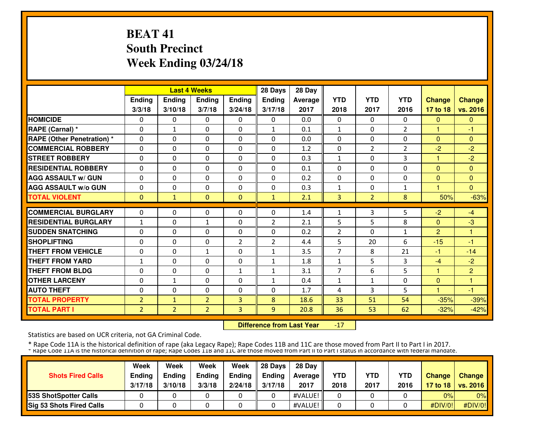# **BEAT 41 South PrecinctWeek Ending 03/24/18**

|                                   |                |                | <b>Last 4 Weeks</b> |               | 28 Days        | 28 Day  |                |                |                |                |                |
|-----------------------------------|----------------|----------------|---------------------|---------------|----------------|---------|----------------|----------------|----------------|----------------|----------------|
|                                   | Ending         | <b>Ending</b>  | <b>Ending</b>       | <b>Ending</b> | Ending         | Average | <b>YTD</b>     | <b>YTD</b>     | <b>YTD</b>     | <b>Change</b>  | <b>Change</b>  |
|                                   | 3/3/18         | 3/10/18        | 3/7/18              | 3/24/18       | 3/17/18        | 2017    | 2018           | 2017           | 2016           | 17 to 18       | vs. 2016       |
| <b>HOMICIDE</b>                   | 0              | 0              | $\mathbf{0}$        | 0             | $\Omega$       | 0.0     | $\Omega$       | $\Omega$       | 0              | $\Omega$       | $\Omega$       |
| RAPE (Carnal) *                   | $\Omega$       | $\mathbf{1}$   | $\Omega$            | $\Omega$      | $\mathbf{1}$   | 0.1     | $\mathbf{1}$   | $\Omega$       | $\overline{2}$ | 1              | -1             |
| <b>RAPE (Other Penetration) *</b> | $\Omega$       | $\Omega$       | $\mathbf{0}$        | $\Omega$      | $\Omega$       | 0.0     | $\Omega$       | $\Omega$       | $\Omega$       | $\Omega$       | $\Omega$       |
| <b>COMMERCIAL ROBBERY</b>         | $\Omega$       | $\Omega$       | $\mathbf{0}$        | 0             | $\Omega$       | 1.2     | $\mathbf{0}$   | $\overline{2}$ | $\overline{2}$ | $-2$           | $-2$           |
| <b>STREET ROBBERY</b>             | $\Omega$       | $\Omega$       | $\mathbf{0}$        | $\Omega$      | $\Omega$       | 0.3     | $\mathbf{1}$   | 0              | 3              | 1              | $-2$           |
| <b>RESIDENTIAL ROBBERY</b>        | 0              | $\Omega$       | $\mathbf{0}$        | $\Omega$      | $\Omega$       | 0.1     | 0              | 0              | $\Omega$       | $\Omega$       | $\Omega$       |
| <b>AGG ASSAULT w/ GUN</b>         | 0              | $\Omega$       | $\mathbf{0}$        | 0             | 0              | 0.2     | $\mathbf{0}$   | $\Omega$       | 0              | $\mathbf{0}$   | $\Omega$       |
| <b>AGG ASSAULT W/o GUN</b>        | 0              | $\Omega$       | $\mathbf{0}$        | 0             | $\Omega$       | 0.3     | 1              | 0              | 1              |                | $\Omega$       |
| <b>TOTAL VIOLENT</b>              | $\mathbf{0}$   | 1              | $\mathbf{0}$        | $\Omega$      | $\mathbf{1}$   | 2.1     | 3              | $\overline{2}$ | 8              | 50%            | $-63%$         |
| <b>COMMERCIAL BURGLARY</b>        | 0              | $\Omega$       | $\mathbf{0}$        | 0             | $\Omega$       | 1.4     | 1              | 3              | 5              | $-2$           | $-4$           |
| <b>RESIDENTIAL BURGLARY</b>       | $\mathbf{1}$   | $\Omega$       | $\mathbf{1}$        | $\Omega$      | $\overline{2}$ | 2.1     | 5              | 5              | 8              | $\Omega$       | $-3$           |
| <b>SUDDEN SNATCHING</b>           | 0              | $\Omega$       | $\mathbf{0}$        | $\Omega$      | 0              | 0.2     | $\overline{2}$ | 0              | $\mathbf{1}$   | $\overline{2}$ | 1              |
| <b>SHOPLIFTING</b>                | 0              | 0              | 0                   | 2             | $\overline{2}$ | 4.4     | 5              | 20             | 6              | $-15$          | $-1$           |
| <b>THEFT FROM VEHICLE</b>         | 0              | 0              | $\mathbf{1}$        | 0             | $\mathbf{1}$   | 3.5     | 7              | 8              | 21             | $-1$           | $-14$          |
| <b>THEFT FROM YARD</b>            | 1              | 0              | $\mathbf{0}$        | 0             | $\mathbf{1}$   | 1.8     | $\mathbf{1}$   | 5              | 3              | $-4$           | $-2$           |
| <b>THEFT FROM BLDG</b>            | 0              | 0              | $\Omega$            | $\mathbf{1}$  | $\mathbf{1}$   | 3.1     | 7              | 6              | 5              | 1              | $\overline{2}$ |
| <b>OTHER LARCENY</b>              | 0              | 1              | $\Omega$            | 0             | 1              | 0.4     | 1              | $\mathbf{1}$   | 0              | $\Omega$       | 1              |
| <b>AUTO THEFT</b>                 | 0              | $\Omega$       | $\Omega$            | $\Omega$      | $\Omega$       | 1.7     | 4              | 3              | 5.             | 4              | -1             |
| <b>TOTAL PROPERTY</b>             | $\overline{2}$ | $\mathbf{1}$   | $\overline{2}$      | 3             | 8              | 18.6    | 33             | 51             | 54             | $-35%$         | $-39%$         |
| <b>TOTAL PART I</b>               | $\overline{2}$ | $\overline{2}$ | $\overline{2}$      | 3             | 9              | 20.8    | 36             | 53             | 62             | $-32%$         | $-42%$         |

 **Difference from Last Year**-17

Statistics are based on UCR criteria, not GA Criminal Code.

| <b>Shots Fired Calls</b>        | Week<br><b>Ending</b><br>3/17/18 | Week<br><b>Endina</b><br>3/10/18 | Week<br><b>Ending</b><br>3/3/18 | Week<br>Ending<br>2/24/18 | 28 Davs<br><b>Endina</b><br>3/17/18 | 28 Day<br>Average II<br>2017 | <b>YTD</b><br>2018 | <b>YTD</b><br>2017 | <b>YTD</b><br>2016 | <b>Change</b> | Change<br>17 to 18   vs. 2016 |
|---------------------------------|----------------------------------|----------------------------------|---------------------------------|---------------------------|-------------------------------------|------------------------------|--------------------|--------------------|--------------------|---------------|-------------------------------|
| <b>153S ShotSpotter Calls</b>   |                                  |                                  |                                 |                           |                                     | #VALUE!                      |                    |                    |                    | 0%            | $0\%$                         |
| <b>Sig 53 Shots Fired Calls</b> |                                  |                                  |                                 |                           |                                     | #VALUE!                      |                    |                    |                    | #DIV/0!       | #DIV/0!                       |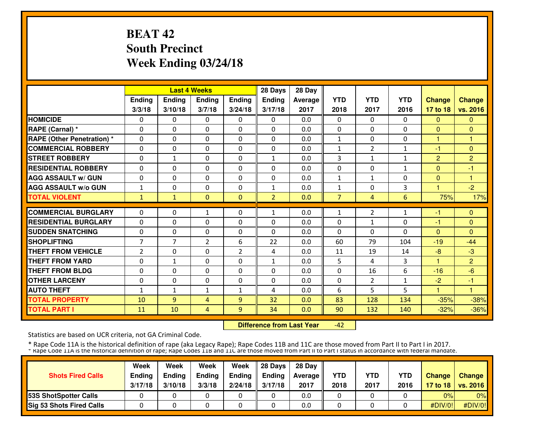# **BEAT 42 South PrecinctWeek Ending 03/24/18**

|                                  |                |                | <b>Last 4 Weeks</b> |              | 28 Days        | 28 Day  |                |                |              |                |                |
|----------------------------------|----------------|----------------|---------------------|--------------|----------------|---------|----------------|----------------|--------------|----------------|----------------|
|                                  | Ending         | <b>Ending</b>  | <b>Ending</b>       | Ending       | Ending         | Average | <b>YTD</b>     | <b>YTD</b>     | <b>YTD</b>   | <b>Change</b>  | <b>Change</b>  |
|                                  | 3/3/18         | 3/10/18        | 3/7/18              | 3/24/18      | 3/17/18        | 2017    | 2018           | 2017           | 2016         | 17 to 18       | vs. 2016       |
| <b>HOMICIDE</b>                  | 0              | 0              | $\Omega$            | 0            | $\Omega$       | 0.0     | 0              | $\Omega$       | 0            | $\Omega$       | $\Omega$       |
| RAPE (Carnal) *                  | $\Omega$       | $\Omega$       | $\Omega$            | $\Omega$     | $\Omega$       | 0.0     | $\Omega$       | $\Omega$       | $\Omega$     | $\Omega$       | $\Omega$       |
| <b>RAPE (Other Penetration)*</b> | 0              | $\Omega$       | $\Omega$            | $\Omega$     | $\Omega$       | 0.0     | $\mathbf{1}$   | $\Omega$       | $\Omega$     | 1              | 1              |
| <b>COMMERCIAL ROBBERY</b>        | 0              | $\Omega$       | $\Omega$            | 0            | $\Omega$       | 0.0     | $\mathbf{1}$   | $\overline{2}$ | $\mathbf{1}$ | -1             | $\Omega$       |
| <b>STREET ROBBERY</b>            | 0              | $\mathbf{1}$   | $\mathbf{0}$        | $\Omega$     | $\mathbf{1}$   | 0.0     | 3              | $\mathbf{1}$   | $\mathbf{1}$ | $\overline{2}$ | $\overline{2}$ |
| <b>RESIDENTIAL ROBBERY</b>       | $\Omega$       | $\Omega$       | $\Omega$            | $\Omega$     | $\Omega$       | 0.0     | $\Omega$       | 0              | $\mathbf{1}$ | $\Omega$       | $-1$           |
| <b>AGG ASSAULT w/ GUN</b>        | $\Omega$       | $\Omega$       | $\Omega$            | $\Omega$     | $\Omega$       | 0.0     | 1              | $\mathbf{1}$   | $\Omega$     | $\Omega$       | 1              |
| <b>AGG ASSAULT W/o GUN</b>       | $\mathbf 1$    | 0              | $\Omega$            | $\Omega$     | 1              | 0.0     | $\mathbf 1$    | 0              | 3            |                | $-2$           |
| <b>TOTAL VIOLENT</b>             | $\mathbf{1}$   | $\mathbf{1}$   | $\mathbf{0}$        | $\Omega$     | $\overline{2}$ | 0.0     | $\overline{7}$ | 4              | 6            | 75%            | 17%            |
| <b>COMMERCIAL BURGLARY</b>       | 0              | 0              | 1                   | 0            | 1              | 0.0     | 1              | 2              | $\mathbf{1}$ | -1             | $\Omega$       |
| <b>RESIDENTIAL BURGLARY</b>      | $\Omega$       | $\Omega$       | $\Omega$            | $\Omega$     | $\Omega$       | 0.0     | $\Omega$       | $\mathbf{1}$   | 0            | $-1$           | $\Omega$       |
| <b>SUDDEN SNATCHING</b>          | 0              | 0              | $\Omega$            | 0            | $\Omega$       | 0.0     | $\mathbf{0}$   | 0              | 0            | $\Omega$       | $\Omega$       |
| <b>SHOPLIFTING</b>               | $\overline{7}$ | $\overline{7}$ | $\overline{2}$      | 6            | 22             | 0.0     | 60             | 79             | 104          | $-19$          | $-44$          |
| <b>THEFT FROM VEHICLE</b>        | $\overline{2}$ | $\Omega$       | $\Omega$            | 2            | 4              | 0.0     | 11             | 19             | 14           | $-8$           | $-3$           |
| <b>THEFT FROM YARD</b>           | 0              | $\mathbf{1}$   | $\Omega$            | 0            | $\mathbf{1}$   | 0.0     | 5              | 4              | 3            | 1              | $\overline{2}$ |
| <b>THEFT FROM BLDG</b>           | 0              | $\Omega$       | $\Omega$            | $\Omega$     | $\Omega$       | 0.0     | $\mathbf{0}$   | 16             | 6            | $-16$          | $-6$           |
| <b>OTHER LARCENY</b>             | 0              | $\Omega$       | $\Omega$            | 0            | $\Omega$       | 0.0     | $\Omega$       | 2              | $\mathbf{1}$ | $-2$           | $-1$           |
| <b>AUTO THEFT</b>                | 1              | $\mathbf{1}$   | $\mathbf{1}$        | $\mathbf{1}$ | 4              | 0.0     | 6              | 5              | 5            | 1              | 1              |
| <b>TOTAL PROPERTY</b>            | 10             | $\overline{9}$ | 4                   | 9            | 32             | 0.0     | 83             | 128            | 134          | $-35%$         | $-38%$         |
| <b>TOTAL PART I</b>              | 11             | 10             | 4                   | 9            | 34             | 0.0     | 90             | 132            | 140          | $-32%$         | $-36%$         |

 **Difference from Last Year**-42

Statistics are based on UCR criteria, not GA Criminal Code.

| <b>Shots Fired Calls</b>      | Week<br>Ending<br>3/17/18 | Week<br><b>Endina</b><br>3/10/18 | Week<br><b>Ending</b><br>3/3/18 | Week<br>Ending<br>2/24/18 | 28 Davs<br><b>Endina</b><br>3/17/18 | 28 Dav<br><b>Average II</b><br>2017 | <b>YTD</b><br>2018 | YTD<br>2017 | <b>YTD</b><br>2016 | <b>Change</b> | <b>Change</b><br>17 to 18   vs. 2016 |
|-------------------------------|---------------------------|----------------------------------|---------------------------------|---------------------------|-------------------------------------|-------------------------------------|--------------------|-------------|--------------------|---------------|--------------------------------------|
| <b>153S ShotSpotter Calls</b> |                           |                                  |                                 |                           |                                     | 0.0                                 |                    |             |                    | 0%            | $0\%$                                |
| Sig 53 Shots Fired Calls      |                           |                                  |                                 |                           |                                     | 0.0                                 |                    |             |                    | #DIV/0!       | #DIV/0!                              |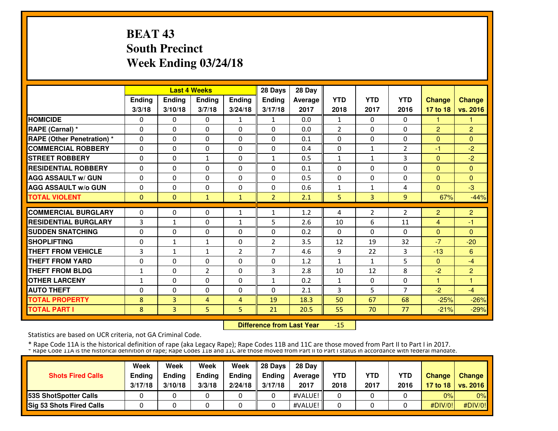# **BEAT 43 South PrecinctWeek Ending 03/24/18**

|                                   |               |              | <b>Last 4 Weeks</b> |                | 28 Days        | 28 Day  |                |                |                |                |                |
|-----------------------------------|---------------|--------------|---------------------|----------------|----------------|---------|----------------|----------------|----------------|----------------|----------------|
|                                   | <b>Ending</b> | Ending       | <b>Ending</b>       | Ending         | <b>Ending</b>  | Average | <b>YTD</b>     | <b>YTD</b>     | <b>YTD</b>     | <b>Change</b>  | <b>Change</b>  |
|                                   | 3/3/18        | 3/10/18      | 3/7/18              | 3/24/18        | 3/17/18        | 2017    | 2018           | 2017           | 2016           | 17 to 18       | vs. 2016       |
| <b>HOMICIDE</b>                   | 0             | 0            | $\mathbf{0}$        | 1              | $\mathbf{1}$   | 0.0     | $\mathbf{1}$   | 0              | 0              | 1.             |                |
| RAPE (Carnal) *                   | $\Omega$      | 0            | $\Omega$            | $\Omega$       | $\Omega$       | 0.0     | $\overline{2}$ | 0              | $\Omega$       | 2              | $\overline{2}$ |
| <b>RAPE (Other Penetration) *</b> | $\Omega$      | $\Omega$     | $\Omega$            | $\Omega$       | $\Omega$       | 0.1     | $\Omega$       | 0              | $\Omega$       | $\Omega$       | $\Omega$       |
| <b>COMMERCIAL ROBBERY</b>         | $\Omega$      | 0            | $\Omega$            | $\Omega$       | $\Omega$       | 0.4     | $\Omega$       | $\mathbf{1}$   | 2              | -1             | $-2$           |
| <b>STREET ROBBERY</b>             | $\Omega$      | $\Omega$     | $\mathbf{1}$        | $\Omega$       | $\mathbf{1}$   | 0.5     | 1              | $\mathbf{1}$   | 3              | $\Omega$       | $-2$           |
| <b>RESIDENTIAL ROBBERY</b>        | 0             | $\Omega$     | $\Omega$            | $\Omega$       | 0              | 0.1     | 0              | 0              | $\Omega$       | $\Omega$       | $\mathbf{0}$   |
| <b>AGG ASSAULT w/ GUN</b>         | $\Omega$      | 0            | $\mathbf{0}$        | 0              | $\Omega$       | 0.5     | 0              | 0              | 0              | $\Omega$       | $\Omega$       |
| <b>AGG ASSAULT W/o GUN</b>        | 0             | 0            | $\mathbf{0}$        | 0              | 0              | 0.6     | 1              | $\mathbf{1}$   | 4              | $\Omega$       | $-3$           |
| <b>TOTAL VIOLENT</b>              | $\mathbf{0}$  | $\Omega$     | $\mathbf{1}$        | $\mathbf{1}$   | $\overline{2}$ | 2.1     | 5              | 3              | 9              | 67%            | $-44%$         |
| <b>COMMERCIAL BURGLARY</b>        | 0             | 0            | $\mathbf{0}$        |                | $\mathbf{1}$   |         |                |                |                |                |                |
|                                   |               |              |                     | $\mathbf{1}$   |                | 1.2     | 4              | $\overline{2}$ | 2              | $\overline{2}$ | $\overline{2}$ |
| <b>RESIDENTIAL BURGLARY</b>       | 3             | $\mathbf{1}$ | $\mathbf{0}$        | $\mathbf{1}$   | 5              | 2.6     | 10             | 6              | 11             | $\overline{4}$ | $-1$           |
| <b>SUDDEN SNATCHING</b>           | $\mathbf 0$   | $\Omega$     | $\Omega$            | $\Omega$       | $\Omega$       | 0.2     | $\Omega$       | $\Omega$       | $\Omega$       | $\Omega$       | $\Omega$       |
| <b>SHOPLIFTING</b>                | $\Omega$      | $\mathbf{1}$ | $\mathbf{1}$        | $\Omega$       | $\overline{2}$ | 3.5     | 12             | 19             | 32             | $-7$           | $-20$          |
| <b>THEFT FROM VEHICLE</b>         | 3             | $\mathbf{1}$ | $\mathbf{1}$        | $\overline{2}$ | $\overline{7}$ | 4.6     | 9              | 22             | 3              | $-13$          | 6              |
| <b>THEFT FROM YARD</b>            | $\Omega$      | 0            | $\Omega$            | 0              | $\Omega$       | 1.2     | $\mathbf{1}$   | $\mathbf{1}$   | 5              | $\Omega$       | $-4$           |
| <b>THEFT FROM BLDG</b>            | 1             | 0            | $\overline{2}$      | 0              | 3              | 2.8     | 10             | 12             | 8              | $-2$           | $\overline{2}$ |
| <b>OTHER LARCENY</b>              | 1             | 0            | $\Omega$            | $\Omega$       | $\mathbf{1}$   | 0.2     | $\mathbf{1}$   | 0              | $\Omega$       | 1              | н              |
| <b>AUTO THEFT</b>                 | 0             | 0            | $\Omega$            | 0              | $\Omega$       | 2.1     | 3              | 5              | $\overline{7}$ | $-2$           | $-4$           |
| <b>TOTAL PROPERTY</b>             | 8             | 3            | 4                   | $\overline{4}$ | 19             | 18.3    | 50             | 67             | 68             | $-25%$         | $-26%$         |
| <b>TOTAL PART I</b>               | 8             | 3            | 5.                  | 5              | 21             | 20.5    | 55             | 70             | 77             | $-21%$         | $-29%$         |

 **Difference from Last Year**-15

Statistics are based on UCR criteria, not GA Criminal Code.

| <b>Shots Fired Calls</b>        | Week<br><b>Ending</b><br>3/17/18 | Week<br><b>Endina</b><br>3/10/18 | Week<br><b>Ending</b><br>3/3/18 | Week<br>Ending<br>2/24/18 | 28 Davs<br><b>Endina</b><br>3/17/18 | 28 Dav<br>Average II<br>2017 | <b>YTD</b><br>2018 | <b>YTD</b><br>2017 | <b>YTD</b><br>2016 | <b>Change</b> | Change<br>17 to 18   vs. 2016 |
|---------------------------------|----------------------------------|----------------------------------|---------------------------------|---------------------------|-------------------------------------|------------------------------|--------------------|--------------------|--------------------|---------------|-------------------------------|
| <b>153S ShotSpotter Calls</b>   |                                  |                                  |                                 |                           |                                     | #VALUE!                      |                    |                    |                    | 0%            | $0\%$                         |
| <b>Sig 53 Shots Fired Calls</b> |                                  |                                  |                                 |                           |                                     | #VALUE!                      |                    |                    |                    | #DIV/0!       | #DIV/0!                       |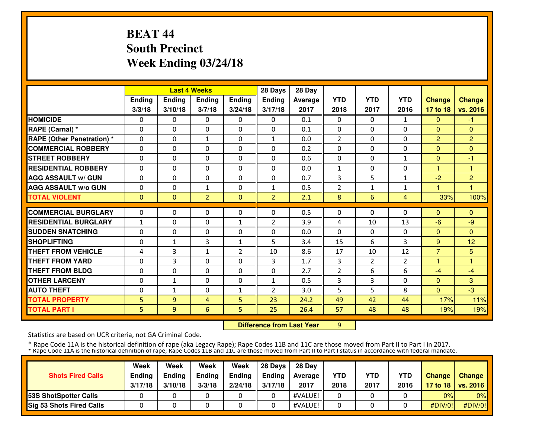# **BEAT 44 South PrecinctWeek Ending 03/24/18**

|                                   |               |                | <b>Last 4 Weeks</b> |                   | 28 Days        | 28 Day  |                   |              |                |                |                |
|-----------------------------------|---------------|----------------|---------------------|-------------------|----------------|---------|-------------------|--------------|----------------|----------------|----------------|
|                                   | Ending        | <b>Ending</b>  | <b>Ending</b>       | <b>Ending</b>     | Ending         | Average | <b>YTD</b>        | <b>YTD</b>   | <b>YTD</b>     | <b>Change</b>  | <b>Change</b>  |
|                                   | 3/3/18        | 3/10/18        | 3/7/18              | 3/24/18           | 3/17/18        | 2017    | 2018              | 2017         | 2016           | 17 to 18       | vs. 2016       |
| <b>HOMICIDE</b>                   | 0             | 0              | $\Omega$            | 0                 | $\Omega$       | 0.1     | $\mathbf{0}$      | 0            | 1              | $\Omega$       | $-1$           |
| <b>RAPE (Carnal) *</b>            | $\mathbf{0}$  | 0              | 0                   | $\mathbf{0}$      | $\Omega$       | 0.1     | $\mathbf{0}$      | 0            | 0              | $\Omega$       | $\mathbf{0}$   |
| <b>RAPE (Other Penetration) *</b> | $\mathbf{0}$  | 0              | $\mathbf{1}$        | $\mathbf{0}$      | $\mathbf{1}$   | 0.0     | $\overline{2}$    | 0            | $\Omega$       | $\overline{2}$ | $\overline{2}$ |
| <b>COMMERCIAL ROBBERY</b>         | $\mathbf{0}$  | 0              | 0                   | $\mathbf{0}$      | $\Omega$       | 0.2     | $\mathbf{0}$      | 0            | 0              | $\Omega$       | $\Omega$       |
| <b>STREET ROBBERY</b>             | $\mathbf{0}$  | 0              | 0                   | $\mathbf{0}$      | $\Omega$       | 0.6     | 0                 | 0            | 1              | $\mathbf{0}$   | -1             |
| <b>RESIDENTIAL ROBBERY</b>        | $\mathbf{0}$  | $\Omega$       | $\Omega$            | $\Omega$          | $\Omega$       | 0.0     | $\mathbf{1}$      | 0            | 0              | $\mathbf{1}$   | 1              |
| <b>AGG ASSAULT w/ GUN</b>         | $\Omega$      | $\Omega$       | $\Omega$            | $\Omega$          | 0              | 0.7     | 3                 | 5            | $\mathbf{1}$   | $-2$           | $\overline{2}$ |
| <b>AGG ASSAULT w/o GUN</b>        | $\Omega$      | $\Omega$       | $\mathbf{1}$        | $\mathbf{0}$      | $\mathbf{1}$   | 0.5     | 2                 | $\mathbf{1}$ | 1              |                |                |
| <b>TOTAL VIOLENT</b>              | $\mathbf{0}$  | $\Omega$       | $\overline{2}$      | $\mathbf{0}$      | $\overline{2}$ | 2.1     | 8                 | 6            | 4              | 33%            | 100%           |
| <b>COMMERCIAL BURGLARY</b>        | $\mathbf{0}$  | 0              | 0                   | $\mathbf{0}$      | 0              | 0.5     | 0                 | 0            | 0              | $\Omega$       | $\Omega$       |
| <b>RESIDENTIAL BURGLARY</b>       |               | 0              | 0                   |                   | $\overline{2}$ | 3.9     |                   | 10           | 13             | $-6$           | $-9$           |
| <b>SUDDEN SNATCHING</b>           | 1<br>$\Omega$ | $\Omega$       | $\Omega$            | 1<br>$\mathbf{0}$ | $\Omega$       | 0.0     | 4<br>$\mathbf{0}$ | $\Omega$     | 0              | $\Omega$       | $\mathbf{0}$   |
| <b>SHOPLIFTING</b>                | $\mathbf{0}$  | $\mathbf{1}$   | 3                   | $\mathbf{1}$      | 5              | 3.4     | 15                | 6            | 3              | 9              | 12             |
| <b>THEFT FROM VEHICLE</b>         | 4             | 3              | $\mathbf{1}$        | 2                 | 10             | 8.6     | 17                | 10           | 12             | $\overline{7}$ | 5              |
| <b>THEFT FROM YARD</b>            | $\mathbf{0}$  | 3              | 0                   | $\mathbf{0}$      | 3              | 1.7     | 3                 | 2            | $\overline{2}$ | 1              | н              |
| <b>THEFT FROM BLDG</b>            | 0             | 0              | $\Omega$            | 0                 | 0              | 2.7     | 2                 | 6            | 6              | $-4$           | $-4$           |
| <b>OTHER LARCENY</b>              | $\mathbf{0}$  | $\mathbf{1}$   | $\Omega$            | $\mathbf{0}$      | 1              | 0.5     | 3                 | 3            | $\Omega$       | $\Omega$       | 3              |
| <b>AUTO THEFT</b>                 | $\mathbf{0}$  | $\mathbf{1}$   | $\Omega$            | $\mathbf{1}$      | $\overline{2}$ | 3.0     | 5                 | 5            | 8              | $\Omega$       | $-3$           |
| <b>TOTAL PROPERTY</b>             | 5.            | $\overline{9}$ | 4                   | 5                 | 23             | 24.2    | 49                | 42           | 44             | 17%            | 11%            |
| <b>TOTAL PART I</b>               | 5.            | 9              | 6                   | 5                 | 25             | 26.4    | 57                | 48           | 48             | 19%            | 19%            |
|                                   |               |                |                     |                   |                |         |                   |              |                |                |                |

**Difference from Last Year** 9

Statistics are based on UCR criteria, not GA Criminal Code.

| <b>Shots Fired Calls</b>        | Week<br><b>Ending</b><br>3/17/18 | Week<br><b>Endina</b><br>3/10/18 | Week<br><b>Ending</b><br>3/3/18 | Week<br>Ending<br>2/24/18 | 28 Davs<br><b>Endina</b><br>3/17/18 | 28 Dav<br>Average II<br>2017 | <b>YTD</b><br>2018 | <b>YTD</b><br>2017 | <b>YTD</b><br>2016 | <b>Change</b> | Change<br>17 to 18   vs. 2016 |
|---------------------------------|----------------------------------|----------------------------------|---------------------------------|---------------------------|-------------------------------------|------------------------------|--------------------|--------------------|--------------------|---------------|-------------------------------|
| <b>153S ShotSpotter Calls</b>   |                                  |                                  |                                 |                           |                                     | #VALUE!                      |                    |                    |                    | 0%            | $0\%$                         |
| <b>Sig 53 Shots Fired Calls</b> |                                  |                                  |                                 |                           |                                     | #VALUE!                      |                    |                    |                    | #DIV/0!       | #DIV/0!                       |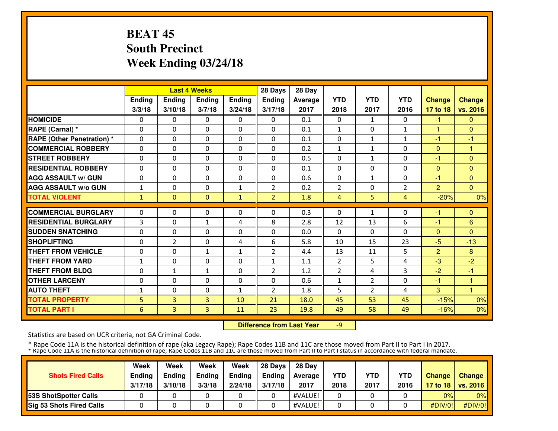# **BEAT 45 South PrecinctWeek Ending 03/24/18**

|                                   |              |                | <b>Last 4 Weeks</b> |               | 28 Days        | 28 Day  |                |              |                |                |               |
|-----------------------------------|--------------|----------------|---------------------|---------------|----------------|---------|----------------|--------------|----------------|----------------|---------------|
|                                   | Ending       | <b>Ending</b>  | <b>Ending</b>       | <b>Ending</b> | <b>Ending</b>  | Average | <b>YTD</b>     | <b>YTD</b>   | <b>YTD</b>     | <b>Change</b>  | <b>Change</b> |
|                                   | 3/3/18       | 3/10/18        | 3/7/18              | 3/24/18       | 3/17/18        | 2017    | 2018           | 2017         | 2016           | 17 to 18       | vs. 2016      |
| <b>HOMICIDE</b>                   | 0            | 0              | $\mathbf{0}$        | 0             | $\mathbf{0}$   | 0.1     | $\Omega$       | $\mathbf{1}$ | 0              | $-1$           | $\mathbf{0}$  |
| RAPE (Carnal) *                   | 0            | 0              | $\mathbf{0}$        | 0             | 0              | 0.1     | $\mathbf{1}$   | $\mathbf{0}$ | $\mathbf{1}$   | 1              | $\Omega$      |
| <b>RAPE (Other Penetration)</b> * | $\Omega$     | $\Omega$       | $\mathbf{0}$        | $\Omega$      | $\Omega$       | 0.1     | 0              | $\mathbf{1}$ | $\mathbf{1}$   | $-1$           | $-1$          |
| <b>COMMERCIAL ROBBERY</b>         | 0            | 0              | $\mathbf{0}$        | 0             | 0              | 0.2     | $\mathbf{1}$   | $\mathbf{1}$ | $\Omega$       | $\mathbf{0}$   | 1             |
| <b>STREET ROBBERY</b>             | 0            | $\Omega$       | $\mathbf{0}$        | $\Omega$      | 0              | 0.5     | $\mathbf{0}$   | $\mathbf{1}$ | 0              | -1             | $\Omega$      |
| <b>RESIDENTIAL ROBBERY</b>        | 0            | $\Omega$       | $\mathbf{0}$        | 0             | 0              | 0.1     | $\mathbf{0}$   | 0            | $\Omega$       | $\Omega$       | $\Omega$      |
| <b>AGG ASSAULT w/ GUN</b>         | $\Omega$     | $\Omega$       | $\Omega$            | $\Omega$      | $\Omega$       | 0.6     | $\Omega$       | $\mathbf{1}$ | $\Omega$       | -1             | $\Omega$      |
| <b>AGG ASSAULT W/o GUN</b>        | $\mathbf{1}$ | $\Omega$       | $\mathbf{0}$        | $\mathbf{1}$  | $\overline{2}$ | 0.2     | $\overline{2}$ | 0            | $\overline{2}$ | $\overline{2}$ | $\Omega$      |
| <b>TOTAL VIOLENT</b>              | $\mathbf{1}$ | $\Omega$       | $\mathbf{0}$        | $\mathbf{1}$  | $\overline{2}$ | 1.8     | $\overline{4}$ | 5            | 4              | $-20%$         | 0%            |
| <b>COMMERCIAL BURGLARY</b>        | 0            | 0              | $\mathbf{0}$        | 0             | $\Omega$       | 0.3     | $\mathbf{0}$   | $\mathbf{1}$ | 0              | -1             | $\Omega$      |
| <b>RESIDENTIAL BURGLARY</b>       | 3            | 0              | $\mathbf{1}$        | 4             | 8              | 2.8     | 12             | 13           | 6              | $-1$           | 6             |
| <b>SUDDEN SNATCHING</b>           | 0            | $\Omega$       | $\mathbf{0}$        | 0             | 0              | 0.0     | $\mathbf{0}$   | $\mathbf{0}$ | $\Omega$       | $\Omega$       | $\Omega$      |
| <b>SHOPLIFTING</b>                | 0            | $\overline{2}$ | $\Omega$            | 4             | 6              | 5.8     | 10             | 15           | 23             | $-5$           | $-13$         |
| <b>THEFT FROM VEHICLE</b>         | 0            | $\Omega$       | $\mathbf{1}$        | $\mathbf{1}$  | $\overline{2}$ | 4.4     | 13             | 11           | 5              | $\overline{2}$ | 8             |
| <b>THEFT FROM YARD</b>            | $\mathbf{1}$ | $\Omega$       | $\Omega$            | 0             | $\mathbf{1}$   | 1.1     | $\overline{2}$ | 5            | 4              | $-3$           | $-2$          |
| <b>THEFT FROM BLDG</b>            | 0            | 1              | $\mathbf{1}$        | 0             | $\overline{2}$ | 1.2     | $\overline{2}$ | 4            | 3              | $-2$           | -1            |
| <b>OTHER LARCENY</b>              | 0            | 0              | $\mathbf{0}$        | 0             | 0              | 0.6     | $\mathbf{1}$   | 2            | $\Omega$       | -1             | 1             |
| <b>AUTO THEFT</b>                 | 1            | 0              | $\mathbf{0}$        | $\mathbf{1}$  | $\overline{2}$ | 1.8     | 5              | 2            | 4              | 3              | 1             |
| <b>TOTAL PROPERTY</b>             | 5            | 3              | 3                   | 10            | 21             | 18.0    | 45             | 53           | 45             | $-15%$         | 0%            |
| <b>TOTAL PART I</b>               | 6            | 3              | 3                   | 11            | 23             | 19.8    | 49             | 58           | 49             | $-16%$         | 0%            |

 **Difference from Last Year**-9

Statistics are based on UCR criteria, not GA Criminal Code.

| <b>Shots Fired Calls</b>        | Week<br><b>Ending</b><br>3/17/18 | Week<br><b>Endina</b><br>3/10/18 | Week<br><b>Ending</b><br>3/3/18 | Week<br>Ending<br>2/24/18 | 28 Davs<br><b>Endina</b><br>3/17/18 | 28 Dav<br>Average II<br>2017 | <b>YTD</b><br>2018 | <b>YTD</b><br>2017 | <b>YTD</b><br>2016 | <b>Change</b> | Change<br>17 to 18   vs. 2016 |
|---------------------------------|----------------------------------|----------------------------------|---------------------------------|---------------------------|-------------------------------------|------------------------------|--------------------|--------------------|--------------------|---------------|-------------------------------|
| <b>153S ShotSpotter Calls</b>   |                                  |                                  |                                 |                           |                                     | #VALUE!                      |                    |                    |                    | 0%            | $0\%$                         |
| <b>Sig 53 Shots Fired Calls</b> |                                  |                                  |                                 |                           |                                     | #VALUE!                      |                    |                    |                    | #DIV/0!       | #DIV/0!                       |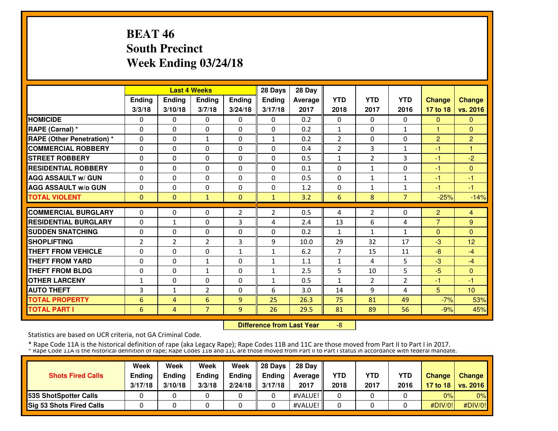# **BEAT 46 South PrecinctWeek Ending 03/24/18**

|                                   |                |                | <b>Last 4 Weeks</b> |                | 28 Days        | 28 Day  |                |                |                |                |                |
|-----------------------------------|----------------|----------------|---------------------|----------------|----------------|---------|----------------|----------------|----------------|----------------|----------------|
|                                   | Ending         | <b>Ending</b>  | <b>Ending</b>       | <b>Ending</b>  | Ending         | Average | <b>YTD</b>     | <b>YTD</b>     | <b>YTD</b>     | <b>Change</b>  | <b>Change</b>  |
|                                   | 3/3/18         | 3/10/18        | 3/7/18              | 3/24/18        | 3/17/18        | 2017    | 2018           | 2017           | 2016           | 17 to 18       | vs. 2016       |
| <b>HOMICIDE</b>                   | 0              | 0              | $\Omega$            | 0              | $\Omega$       | 0.2     | $\mathbf{0}$   | $\Omega$       | $\mathbf{0}$   | $\Omega$       | $\Omega$       |
| <b>RAPE (Carnal) *</b>            | $\mathbf{0}$   | 0              | 0                   | $\mathbf{0}$   | $\Omega$       | 0.2     | $\mathbf{1}$   | 0              | $\mathbf{1}$   | $\mathbf{1}$   | $\Omega$       |
| <b>RAPE (Other Penetration) *</b> | $\mathbf{0}$   | 0              | $\mathbf{1}$        | $\mathbf{0}$   | $\mathbf{1}$   | 0.2     | $\overline{2}$ | 0              | 0              | $\overline{2}$ | $\overline{2}$ |
| <b>COMMERCIAL ROBBERY</b>         | $\mathbf{0}$   | 0              | 0                   | $\mathbf{0}$   | $\Omega$       | 0.4     | $\overline{2}$ | 3              | $\mathbf{1}$   | $-1$           | 1              |
| <b>STREET ROBBERY</b>             | $\mathbf{0}$   | 0              | 0                   | $\mathbf{0}$   | $\Omega$       | 0.5     | $\mathbf{1}$   | $\overline{2}$ | 3              | -1             | $-2$           |
| <b>RESIDENTIAL ROBBERY</b>        | $\mathbf{0}$   | $\Omega$       | $\Omega$            | $\Omega$       | $\Omega$       | 0.1     | $\mathbf{0}$   | $\mathbf{1}$   | 0              | $-1$           | $\Omega$       |
| <b>AGG ASSAULT w/ GUN</b>         | $\Omega$       | $\Omega$       | $\Omega$            | $\mathbf{0}$   | 0              | 0.5     | $\Omega$       | $\mathbf{1}$   | $\mathbf{1}$   | -1             | $-1$           |
| <b>AGG ASSAULT w/o GUN</b>        | $\Omega$       | $\Omega$       | $\Omega$            | $\mathbf{0}$   | 0              | 1.2     | $\Omega$       | $\mathbf{1}$   | 1              | $-1$           | $-1$           |
| <b>TOTAL VIOLENT</b>              | $\mathbf{0}$   | $\Omega$       | $\mathbf{1}$        | $\mathbf{0}$   | $\mathbf{1}$   | 3.2     | 6              | 8              | $\overline{7}$ | $-25%$         | $-14%$         |
| <b>COMMERCIAL BURGLARY</b>        | $\mathbf{0}$   | 0              | 0                   | $\overline{2}$ | $\overline{2}$ | 0.5     |                | 2              | 0              | $\overline{2}$ |                |
| <b>RESIDENTIAL BURGLARY</b>       |                |                |                     | 3              |                |         | 4              | 6              |                | $\overline{7}$ | 4              |
|                                   | $\mathbf{0}$   | $\mathbf{1}$   | 0                   |                | 4              | 2.4     | 13             |                | 4              |                | 9              |
| <b>SUDDEN SNATCHING</b>           | $\Omega$       | $\Omega$       | $\Omega$            | $\mathbf{0}$   | $\Omega$       | 0.2     | $\mathbf{1}$   | $\mathbf{1}$   | $\mathbf{1}$   | $\Omega$       | $\Omega$       |
| <b>SHOPLIFTING</b>                | $\overline{2}$ | $\overline{2}$ | 2                   | 3              | 9              | 10.0    | 29             | 32             | 17             | $-3$           | 12             |
| <b>THEFT FROM VEHICLE</b>         | 0              | $\Omega$       | 0                   | $\mathbf{1}$   | $\mathbf{1}$   | 6.2     | 7              | 15             | 11             | $-8$           | $-4$           |
| <b>THEFT FROM YARD</b>            | $\mathbf{0}$   | 0              | $\mathbf{1}$        | $\mathbf{0}$   | $\mathbf{1}$   | 1.1     | 1              | 4              | 5              | $-3$           | $-4$           |
| <b>THEFT FROM BLDG</b>            | 0              | 0              | $\mathbf{1}$        | 0              | 1              | 2.5     | 5              | 10             | 5              | $-5$           | $\mathbf{0}$   |
| <b>OTHER LARCENY</b>              | 1              | $\Omega$       | $\Omega$            | $\Omega$       | 1              | 0.5     | $\mathbf{1}$   | $\mathcal{P}$  | $\overline{2}$ | $-1$           | $-1$           |
| <b>AUTO THEFT</b>                 | 3              | $\mathbf{1}$   | $\overline{2}$      | $\Omega$       | 6              | 3.0     | 14             | 9              | 4              | 5              | 10             |
| <b>TOTAL PROPERTY</b>             | 6              | 4              | 6                   | 9              | 25             | 26.3    | 75             | 81             | 49             | $-7%$          | 53%            |
| <b>TOTAL PART I</b>               | 6              | 4              | $\overline{7}$      | 9              | 26             | 29.5    | 81             | 89             | 56             | $-9%$          | 45%            |

 **Difference from Last Year**-8

Statistics are based on UCR criteria, not GA Criminal Code.

| <b>Shots Fired Calls</b>        | Week<br>Ending<br>3/17/18 | Week<br><b>Endina</b><br>3/10/18 | Week<br><b>Ending</b><br>3/3/18 | Week<br>Ending<br>2/24/18 | 28 Davs<br><b>Endina</b><br>3/17/18 | 28 Dav<br>Average II<br>2017 | <b>YTD</b><br>2018 | YTD<br>2017 | YTD<br>2016 | <b>Change</b> | Change<br>17 to 18   vs. 2016 |
|---------------------------------|---------------------------|----------------------------------|---------------------------------|---------------------------|-------------------------------------|------------------------------|--------------------|-------------|-------------|---------------|-------------------------------|
| 53S ShotSpotter Calls           |                           |                                  |                                 |                           |                                     | #VALUE!                      |                    |             |             | 0%            | $0\%$                         |
| <b>Sig 53 Shots Fired Calls</b> |                           |                                  |                                 |                           |                                     | #VALUE!                      |                    |             |             | #DIV/0!       | $\#$ DIV/0!                   |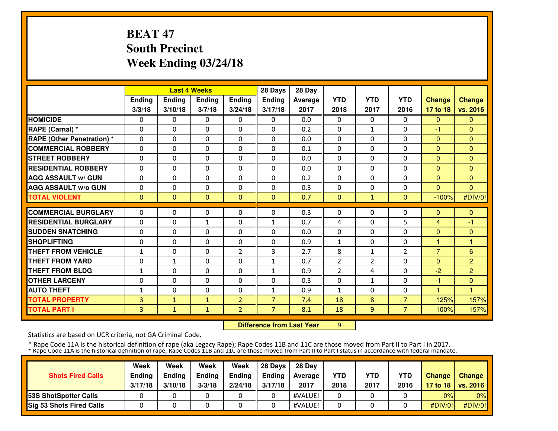# **BEAT 47 South PrecinctWeek Ending 03/24/18**

|                                   |              |               | <b>Last 4 Weeks</b> |                | 28 Days        | 28 Day  |                |                |                |                |                |
|-----------------------------------|--------------|---------------|---------------------|----------------|----------------|---------|----------------|----------------|----------------|----------------|----------------|
|                                   | Ending       | <b>Ending</b> | <b>Ending</b>       | <b>Ending</b>  | Ending         | Average | <b>YTD</b>     | <b>YTD</b>     | <b>YTD</b>     | <b>Change</b>  | <b>Change</b>  |
|                                   | 3/3/18       | 3/10/18       | 3/7/18              | 3/24/18        | 3/17/18        | 2017    | 2018           | 2017           | 2016           | 17 to 18       | vs. 2016       |
| <b>HOMICIDE</b>                   | 0            | 0             | $\mathbf{0}$        | 0              | $\mathbf{0}$   | 0.0     | $\Omega$       | $\Omega$       | 0              | $\Omega$       | $\Omega$       |
| RAPE (Carnal) *                   | 0            | 0             | $\mathbf{0}$        | $\Omega$       | 0              | 0.2     | $\mathbf{0}$   | $\mathbf{1}$   | 0              | -1             | $\Omega$       |
| <b>RAPE (Other Penetration) *</b> | 0            | $\Omega$      | $\mathbf{0}$        | 0              | $\Omega$       | 0.0     | $\mathbf{0}$   | $\Omega$       | $\Omega$       | $\overline{0}$ | $\Omega$       |
| <b>COMMERCIAL ROBBERY</b>         | 0            | 0             | $\mathbf{0}$        | 0              | $\Omega$       | 0.1     | $\mathbf{0}$   | $\mathbf{0}$   | $\Omega$       | $\Omega$       | $\Omega$       |
| <b>STREET ROBBERY</b>             | 0            | $\Omega$      | $\mathbf{0}$        | 0              | $\Omega$       | 0.0     | 0              | 0              | 0              | $\Omega$       | $\Omega$       |
| <b>RESIDENTIAL ROBBERY</b>        | $\Omega$     | $\Omega$      | $\Omega$            | $\Omega$       | $\Omega$       | 0.0     | $\Omega$       | $\Omega$       | $\Omega$       | $\Omega$       | $\Omega$       |
| <b>AGG ASSAULT w/ GUN</b>         | $\Omega$     | $\Omega$      | $\Omega$            | $\Omega$       | $\Omega$       | 0.2     | $\Omega$       | 0              | $\Omega$       | $\Omega$       | $\Omega$       |
| <b>AGG ASSAULT w/o GUN</b>        | 0            | $\Omega$      | $\Omega$            | $\Omega$       | $\Omega$       | 0.3     | $\Omega$       | 0              | 0              | $\Omega$       | $\Omega$       |
| <b>TOTAL VIOLENT</b>              | $\mathbf{0}$ | $\mathbf{0}$  | $\mathbf{0}$        | $\mathbf{0}$   | $\Omega$       | 0.7     | $\mathbf{0}$   | $\mathbf{1}$   | $\Omega$       | $-100%$        | #DIV/0!        |
| <b>COMMERCIAL BURGLARY</b>        | 0            | 0             | $\mathbf{0}$        | 0              | $\Omega$       | 0.3     | $\mathbf{0}$   | $\mathbf{0}$   | $\Omega$       | $\mathbf{0}$   | $\mathbf{0}$   |
| <b>RESIDENTIAL BURGLARY</b>       | 0            | 0             | $\mathbf{1}$        | 0              | 1              | 0.7     | 4              | 0              | 5              | 4              | $-1$           |
| <b>SUDDEN SNATCHING</b>           | $\Omega$     | $\Omega$      | $\Omega$            | $\Omega$       | $\Omega$       | 0.0     | $\Omega$       | $\Omega$       | $\Omega$       | $\Omega$       | $\Omega$       |
| <b>SHOPLIFTING</b>                | 0            | 0             | $\mathbf{0}$        | 0              | 0              | 0.9     | $\mathbf{1}$   | 0              | 0              | 1              | 1              |
| <b>THEFT FROM VEHICLE</b>         | $\mathbf{1}$ | 0             | 0                   | $\overline{2}$ | 3              | 2.7     | 8              | $\mathbf{1}$   | 2              | $\overline{7}$ | 6              |
| <b>THEFT FROM YARD</b>            | 0            | $\mathbf{1}$  | $\mathbf{0}$        | 0              | $\mathbf{1}$   | 0.7     | $\overline{2}$ | $\overline{2}$ | 0              | $\Omega$       | $\overline{2}$ |
| <b>THEFT FROM BLDG</b>            | 1            | 0             | $\mathbf{0}$        | 0              | 1              | 0.9     | $\overline{2}$ | 4              | 0              | $-2$           | $\overline{2}$ |
| <b>OTHER LARCENY</b>              | 0            | $\Omega$      | $\Omega$            | $\Omega$       | $\Omega$       | 0.3     | $\Omega$       | $\mathbf{1}$   | $\Omega$       | -1             | $\Omega$       |
| <b>AUTO THEFT</b>                 | 1            | $\Omega$      | $\mathbf{0}$        | $\Omega$       | $\mathbf{1}$   | 0.9     | $\mathbf{1}$   | 0              | $\Omega$       | 1              | н              |
| <b>TOTAL PROPERTY</b>             | 3            | $\mathbf{1}$  | $\mathbf{1}$        | $\overline{2}$ | $\overline{7}$ | 7.4     | 18             | 8              | 7 <sup>2</sup> | 125%           | 157%           |
| <b>TOTAL PART I</b>               | 3            | $\mathbf{1}$  | $\mathbf{1}$        | $\overline{2}$ | $\overline{7}$ | 8.1     | 18             | 9              | 7 <sup>1</sup> | 100%           | 157%           |
|                                   |              |               |                     |                |                |         |                |                |                |                |                |

**Difference from Last Year** 9

Statistics are based on UCR criteria, not GA Criminal Code.

| <b>Shots Fired Calls</b>        | Week<br><b>Ending</b><br>3/17/18 | Week<br><b>Endina</b><br>3/10/18 | Week<br><b>Ending</b><br>3/3/18 | Week<br>Ending<br>2/24/18 | 28 Davs<br><b>Endina</b><br>3/17/18 | 28 Dav<br>Average II<br>2017 | <b>YTD</b><br>2018 | <b>YTD</b><br>2017 | <b>YTD</b><br>2016 | <b>Change</b> | Change<br>17 to 18   vs. 2016 |
|---------------------------------|----------------------------------|----------------------------------|---------------------------------|---------------------------|-------------------------------------|------------------------------|--------------------|--------------------|--------------------|---------------|-------------------------------|
| <b>153S ShotSpotter Calls</b>   |                                  |                                  |                                 |                           |                                     | #VALUE!                      |                    |                    |                    | 0%            | $0\%$                         |
| <b>Sig 53 Shots Fired Calls</b> |                                  |                                  |                                 |                           |                                     | #VALUE!                      |                    |                    |                    | #DIV/0!       | #DIV/0!                       |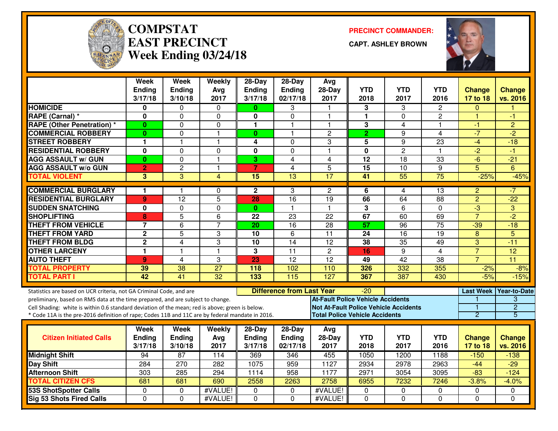

#### **COMPSTATEAST PRECINCTWeek Ending 03/24/18**

**PRECINCT COMMANDER:**

**CAPT. ASHLEY BROWN**



|                                                                                                  | Week                     | <b>Week</b>              | Weekly          | $28-Day$                 | $28$ -Day                        | <b>Avg</b>                                   |                         |                    |                    |                           |                           |
|--------------------------------------------------------------------------------------------------|--------------------------|--------------------------|-----------------|--------------------------|----------------------------------|----------------------------------------------|-------------------------|--------------------|--------------------|---------------------------|---------------------------|
|                                                                                                  | <b>Ending</b><br>3/17/18 | <b>Ending</b><br>3/10/18 | Avg<br>2017     | <b>Ending</b><br>3/17/18 | Ending<br>02/17/18               | $28-Day$<br>2017                             | <b>YTD</b><br>2018      | <b>YTD</b><br>2017 | <b>YTD</b><br>2016 | <b>Change</b><br>17 to 18 | <b>Change</b><br>vs. 2016 |
| <b>HOMICIDE</b>                                                                                  | 0                        | 0                        | $\mathbf{0}$    | $\mathbf{0}$             | 3                                |                                              | 3                       | 3                  | 2                  | 0                         |                           |
| RAPE (Carnal) *                                                                                  | 0                        | 0                        | 0               | 0                        | 0                                | $\mathbf 1$                                  | $\mathbf{1}$            | 0                  | $\overline{c}$     | 1                         | -1                        |
| <b>RAPE (Other Penetration) *</b>                                                                | $\bf{0}$                 | $\Omega$                 | 0               | 1                        | 1                                | -1                                           | 3                       | 4                  | 1.                 | -1                        | $\overline{2}$            |
| <b>COMMERCIAL ROBBERY</b>                                                                        | $\bf{0}$                 | 0                        | $\mathbf{1}$    | $\bf{0}$                 | 1                                | $\overline{c}$                               | $\overline{2}$          | 9                  | 4                  | $-7$                      | $-2$                      |
| <b>STREET ROBBERY</b>                                                                            | 1                        | $\overline{\mathbf{1}}$  | $\mathbf{1}$    | 4                        | $\Omega$                         | 3                                            | 5                       | 9                  | 23                 | $-4$                      | $-18$                     |
| <b>RESIDENTIAL ROBBERY</b>                                                                       | 0                        | $\mathbf 0$              | $\mathbf 0$     | $\mathbf 0$              | $\mathbf 0$                      | $\overline{1}$                               | $\overline{\mathbf{0}}$ | $\overline{2}$     | 1.                 | $\overline{2}$            | -1                        |
| <b>AGG ASSAULT w/ GUN</b>                                                                        | $\bf{0}$                 | $\mathbf 0$              | $\mathbf{1}$    | 3                        | $\overline{4}$                   | $\overline{\mathbf{4}}$                      | $\overline{12}$         | $\overline{18}$    | 33                 | $-6$                      | $-21$                     |
| <b>AGG ASSAULT w/o GUN</b>                                                                       | $\overline{2}$           | $\overline{2}$           | $\mathbf{1}$    | $\overline{7}$           | 4                                | 5                                            | $\overline{15}$         | 10                 | 9                  | $\overline{5}$            | 6                         |
| <b>TOTAL VIOLENT</b>                                                                             | $\overline{3}$           | 3                        | $\overline{4}$  | $\overline{15}$          | $\overline{13}$                  | 17                                           | 41                      | 55                 | $\overline{75}$    | $-25%$                    | $-45%$                    |
| <b>COMMERCIAL BURGLARY</b>                                                                       | 1                        |                          | 0               | $\mathbf{2}$             | 3                                | $\overline{2}$                               | 6                       | 4                  | 13                 | $\overline{c}$            | -7                        |
| <b>RESIDENTIAL BURGLARY</b>                                                                      | 9                        | 12                       | $\overline{5}$  | 28                       | 16                               | 19                                           | 66                      | 64                 | 88                 | $\overline{2}$            | $-22$                     |
| <b>SUDDEN SNATCHING</b>                                                                          | 0                        | $\mathbf 0$              | $\mathbf 0$     | $\mathbf{0}$             | $\mathbf{1}$                     | $\overline{1}$                               | $\overline{3}$          | 6                  | 0                  | $\overline{\cdot}$        | 3                         |
| <b>SHOPLIFTING</b>                                                                               | 8                        | 5                        | 6               | 22                       | 23                               | 22                                           | 67                      | 60                 | 69                 | $\overline{7}$            | $-2$                      |
| <b>THEFT FROM VEHICLE</b>                                                                        | $\overline{7}$           | $\overline{6}$           | $\overline{7}$  | 20                       | $\overline{16}$                  | 28                                           | $\overline{57}$         | 96                 | $\overline{75}$    | $-39$                     | $-18$                     |
| <b>THEFT FROM YARD</b>                                                                           | $\overline{2}$           | $\overline{5}$           | 3               | $\overline{10}$          | $\overline{6}$                   | 11                                           | 24                      | 16                 | $\overline{19}$    | $\overline{8}$            | $\overline{5}$            |
| <b>THEFT FROM BLDG</b>                                                                           | $\overline{2}$           | 4                        | 3               | 10                       | 14                               | $\overline{12}$                              | 38                      | $\overline{35}$    | 49                 | $\overline{3}$            | $-11$                     |
| <b>OTHER LARCENY</b>                                                                             | 1                        | $\overline{1}$           | $\mathbf{1}$    | 3                        | $\overline{11}$                  | $\overline{2}$                               | 16                      | 9                  | $\overline{4}$     | $\overline{7}$            | $\overline{12}$           |
| <b>AUTO THEFT</b>                                                                                | $\boldsymbol{9}$         | 4                        | 3               | 23                       | $\overline{12}$                  | $\overline{12}$                              | 49                      | 42                 | 38                 | $\overline{7}$            | $\overline{11}$           |
| <b>TOTAL PROPERTY</b>                                                                            | 39                       | 38                       | $\overline{27}$ | 118                      | 102                              | 110                                          | 326                     | 332                | 355                | $-2%$                     | $-8%$                     |
| <b>TOTAL PART I</b>                                                                              | 42                       | 41                       | 32              | 133                      | 115                              | 127                                          | 367                     | 387                | 430                | $-5%$                     | $-15%$                    |
| Statistics are based on UCR criteria, not GA Criminal Code, and are                              |                          |                          |                 |                          | <b>Difference from Last Year</b> |                                              | $-20$                   |                    |                    |                           | Last Week Year-to-Date    |
| preliminary, based on RMS data at the time prepared, and are subject to change.                  |                          |                          |                 |                          |                                  | <b>At-Fault Police Vehicle Accidents</b>     |                         |                    |                    |                           | 3                         |
| Cell Shading: white is within 0.6 standard deviation of the mean; red is above; green is below.  |                          |                          |                 |                          |                                  | <b>Not At-Fault Police Vehicle Accidents</b> |                         |                    |                    | 1                         | $\overline{2}$            |
| * Code 11A is the pre-2016 definition of rape; Codes 11B and 11C are by federal mandate in 2016. |                          |                          |                 |                          |                                  | <b>Total Police Vehicle Accidents</b>        |                         |                    |                    | $\overline{2}$            | 5                         |
|                                                                                                  | Week                     | <b>Week</b>              | Weekly          | $28-Day$                 | $28-Day$                         | Avg                                          |                         |                    |                    |                           |                           |
| <b>Citizen Initiated Calls</b>                                                                   | Ending                   | Ending                   | Avg             | <b>Ending</b>            | Ending                           | 28-Day                                       | <b>YTD</b>              | <b>YTD</b>         | <b>YTD</b>         | <b>Change</b>             | <b>Change</b>             |
|                                                                                                  | 3/17/18                  | 3/10/18                  | 2017            | 3/17/18                  | 02/17/18                         | 2017                                         | 2018                    | 2017               | 2016               | 17 to 18                  | vs. 2016                  |
| <b>Midnight Shift</b>                                                                            | 94                       | 87                       | 114             | 369                      | 346                              | 455                                          | 1050                    | 1200               | 1188               | $-150$                    | $-138$                    |
| <b>Day Shift</b>                                                                                 | 284                      | $\overline{270}$         | 282             | 1075                     | 959                              | 1127                                         | 2934                    | 2978               | 2963               | $-44$                     | $-29$                     |
| <b>Afternoon Shift</b>                                                                           | 303                      | 285                      | 294             | 1114                     | 958                              | 1177                                         | 2971                    | 3054               | 3095               | $-83$                     | $-124$                    |
| <b>TOTAL CITIZEN CFS</b>                                                                         | 681                      | 681                      | 690             | 2558                     | 2263                             | 2758                                         | 6955                    | 7232               | 7246               | $-3.8%$                   | $-4.0%$                   |
| <b>53S ShotSpotter Calls</b>                                                                     | $\mathbf 0$              | $\Omega$                 | #VALUE!         | $\Omega$                 | $\Omega$                         | #VALUE!                                      | $\mathbf 0$             | $\mathbf 0$        | $\Omega$           | 0                         | 0                         |
| Sig 53 Shots Fired Calls                                                                         | $\Omega$                 | $\Omega$                 | #VALUE!         | $\Omega$                 | $\Omega$                         | #VALUE!                                      | $\Omega$                | $\Omega$           | $\Omega$           | $\Omega$                  | $\Omega$                  |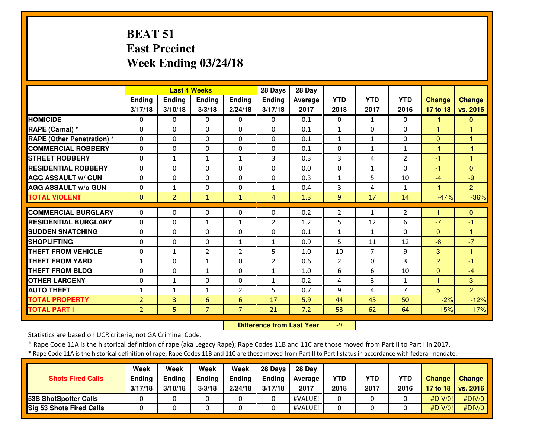# **BEAT 51 East PrecinctWeek Ending 03/24/18**

|                                  |                |                | <b>Last 4 Weeks</b> |                | 28 Days        | 28 Day  |                |                |                |               |                |
|----------------------------------|----------------|----------------|---------------------|----------------|----------------|---------|----------------|----------------|----------------|---------------|----------------|
|                                  | Ending         | Ending         | Ending              | <b>Ending</b>  | Ending         | Average | <b>YTD</b>     | <b>YTD</b>     | <b>YTD</b>     | <b>Change</b> | <b>Change</b>  |
|                                  | 3/17/18        | 3/10/18        | 3/3/18              | 2/24/18        | 3/17/18        | 2017    | 2018           | 2017           | 2016           | 17 to 18      | vs. 2016       |
| <b>HOMICIDE</b>                  | 0              | 0              | $\mathbf{0}$        | 0              | $\Omega$       | 0.1     | 0              | $\mathbf{1}$   | $\Omega$       | $-1$          | $\mathbf{0}$   |
| RAPE (Carnal) *                  | $\Omega$       | $\Omega$       | $\Omega$            | $\Omega$       | $\Omega$       | 0.1     | $\mathbf{1}$   | $\Omega$       | $\Omega$       | $\mathbf{1}$  | н              |
| <b>RAPE (Other Penetration)*</b> | $\Omega$       | $\Omega$       | $\Omega$            | $\Omega$       | $\Omega$       | 0.1     | $\mathbf{1}$   | $\mathbf{1}$   | $\Omega$       | $\Omega$      | 1              |
| <b>COMMERCIAL ROBBERY</b>        | $\Omega$       | 0              | $\Omega$            | $\Omega$       | $\Omega$       | 0.1     | 0              | $\mathbf{1}$   | 1              | -1            | -1             |
| <b>STREET ROBBERY</b>            | $\Omega$       | $\mathbf{1}$   | $\mathbf{1}$        | $\mathbf{1}$   | 3              | 0.3     | 3              | 4              | $\overline{2}$ | -1            | 1              |
| <b>RESIDENTIAL ROBBERY</b>       | $\mathbf{0}$   | 0              | $\mathbf{0}$        | 0              | $\Omega$       | 0.0     | 0              | $\mathbf{1}$   | $\Omega$       | $-1$          | $\Omega$       |
| <b>AGG ASSAULT w/ GUN</b>        | $\Omega$       | 0              | $\Omega$            | $\Omega$       | $\Omega$       | 0.3     | 1              | 5              | 10             | $-4$          | $-9$           |
| <b>AGG ASSAULT W/o GUN</b>       | 0              | 1              | $\Omega$            | $\Omega$       | $\mathbf{1}$   | 0.4     | 3              | 4              | 1              | $-1$          | $\overline{2}$ |
| <b>TOTAL VIOLENT</b>             | $\mathbf{0}$   | $\overline{2}$ | $\mathbf{1}$        | $\mathbf{1}$   | 4              | 1.3     | 9              | 17             | 14             | $-47%$        | $-36%$         |
| <b>COMMERCIAL BURGLARY</b>       | $\Omega$       | $\Omega$       | $\Omega$            | 0              | $\Omega$       | 0.2     |                |                |                |               | $\Omega$       |
|                                  |                |                |                     |                |                |         | $\overline{2}$ | $\mathbf{1}$   | $\overline{2}$ |               |                |
| <b>RESIDENTIAL BURGLARY</b>      | $\Omega$       | $\Omega$       | $\mathbf{1}$        | $\mathbf{1}$   | $\overline{2}$ | 1.2     | 5              | 12             | 6              | $-7$          | $-1$<br>н      |
| <b>SUDDEN SNATCHING</b>          | 0              | 0              | $\mathbf{0}$        | 0              | $\Omega$       | 0.1     | $\mathbf{1}$   | $\mathbf{1}$   | $\Omega$       | $\Omega$      |                |
| <b>SHOPLIFTING</b>               | 0              | 0              | 0                   | $\mathbf{1}$   | $\mathbf{1}$   | 0.9     | 5              | 11             | 12             | $-6$          | $-7$           |
| <b>THEFT FROM VEHICLE</b>        | 0              | $\mathbf{1}$   | 2                   | 2              | 5              | 1.0     | 10             | $\overline{7}$ | 9              | 3             |                |
| <b>THEFT FROM YARD</b>           | 1              | 0              | $\mathbf{1}$        | 0              | $\overline{2}$ | 0.6     | $\overline{2}$ | 0              | 3              | 2             | -1             |
| <b>THEFT FROM BLDG</b>           | 0              | 0              | $\mathbf{1}$        | 0              | $\mathbf{1}$   | 1.0     | 6              | 6              | 10             | $\Omega$      | $-4$           |
| <b>OTHER LARCENY</b>             | $\Omega$       | 1              | $\Omega$            | $\Omega$       | $\mathbf{1}$   | 0.2     | 4              | 3              | 1              | 1             | 3              |
| <b>AUTO THEFT</b>                | $\mathbf{1}$   | $\mathbf{1}$   | $\mathbf{1}$        | $\overline{2}$ | 5.             | 0.7     | 9              | 4              | $\overline{7}$ | 5             | $\overline{2}$ |
| <b>TOTAL PROPERTY</b>            | $\overline{2}$ | 3              | 6                   | 6              | 17             | 5.9     | 44             | 45             | 50             | $-2%$         | $-12%$         |
| <b>TOTAL PART I</b>              | $\overline{2}$ | 5.             | $\overline{7}$      | 7              | 21             | 7.2     | 53             | 62             | 64             | $-15%$        | $-17%$         |

 **Difference from Last Year**-9

Statistics are based on UCR criteria, not GA Criminal Code.

\* Rape Code 11A is the historical definition of rape (aka Legacy Rape); Rape Codes 11B and 11C are those moved from Part II to Part I in 2017.

\* Rape Code 11A is the historical definition of rape; Rape Codes 11B and 11C are those moved from Part II to Part I status in accordance with federal mandate.

| <b>Shots Fired Calls</b>        | Week<br><b>Ending</b><br>3/17/18 | Week<br>Ending<br>3/10/18 | Week<br><b>Ending</b><br>3/3/18 | Week<br>Ending<br>2/24/18 | 28 Davs<br><b>Ending</b><br>3/17/18 | 28 Day<br><b>Average</b><br>2017 | <b>YTD</b><br>2018 | YTD<br>2017 | <b>YTD</b><br>2016 | <b>Change</b> | Change<br>17 to 18   vs. 2016 |
|---------------------------------|----------------------------------|---------------------------|---------------------------------|---------------------------|-------------------------------------|----------------------------------|--------------------|-------------|--------------------|---------------|-------------------------------|
| 53S ShotSpotter Calls           |                                  |                           |                                 |                           |                                     | #VALUE!                          |                    |             |                    | #DIV/0!       | #DIV/0!                       |
| <b>Sig 53 Shots Fired Calls</b> |                                  |                           |                                 |                           |                                     | #VALUE!                          |                    |             |                    | #DIV/0!       | #DIV/0!                       |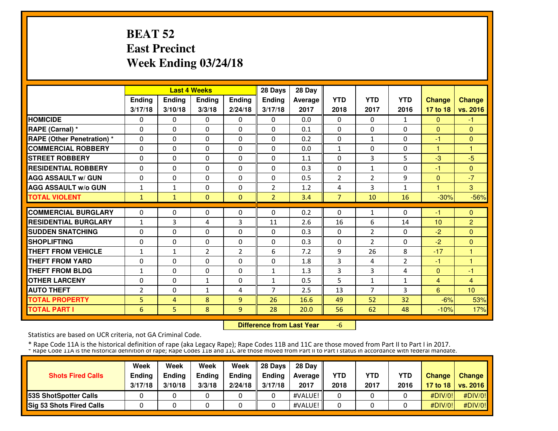# **BEAT 52 East PrecinctWeek Ending 03/24/18**

|                                   |                |               | <b>Last 4 Weeks</b> |                | 28 Days        | 28 Day  |                    |                |                |                 |                            |
|-----------------------------------|----------------|---------------|---------------------|----------------|----------------|---------|--------------------|----------------|----------------|-----------------|----------------------------|
|                                   | Ending         | <b>Ending</b> | <b>Ending</b>       | Ending         | Ending         | Average | <b>YTD</b>         | <b>YTD</b>     | <b>YTD</b>     | <b>Change</b>   | <b>Change</b>              |
|                                   | 3/17/18        | 3/10/18       | 3/3/18              | 2/24/18        | 3/17/18        | 2017    | 2018               | 2017           | 2016           | 17 to 18        | vs. 2016                   |
| <b>HOMICIDE</b>                   | 0              | 0             | $\Omega$            | 0              | $\Omega$       | 0.0     | $\mathbf{0}$       | 0              | 1              | $\mathbf{0}$    | $-1$                       |
| <b>RAPE (Carnal) *</b>            | $\mathbf{0}$   | 0             | 0                   | $\mathbf{0}$   | $\Omega$       | 0.1     | $\mathbf{0}$       | 0              | 0              | $\Omega$        | $\mathbf{0}$               |
| <b>RAPE (Other Penetration) *</b> | $\mathbf{0}$   | $\Omega$      | 0                   | $\mathbf{0}$   | $\Omega$       | 0.2     | 0                  | $\mathbf{1}$   | 0              | -1              | $\Omega$                   |
| <b>COMMERCIAL ROBBERY</b>         | $\mathbf{0}$   | 0             | 0                   | $\mathbf{0}$   | $\Omega$       | 0.0     | $\mathbf{1}$       | 0              | 0              | $\mathbf{1}$    | 1                          |
| <b>STREET ROBBERY</b>             | $\mathbf{0}$   | 0             | 0                   | $\mathbf{0}$   | $\Omega$       | 1.1     | 0                  | 3              | 5              | $-3$            | $-5$                       |
| <b>RESIDENTIAL ROBBERY</b>        | $\Omega$       | $\Omega$      | $\Omega$            | $\Omega$       | $\Omega$       | 0.3     | $\Omega$           | $\mathbf{1}$   | 0              | $-1$            | $\mathbf{0}$               |
| <b>AGG ASSAULT w/ GUN</b>         | $\Omega$       | $\Omega$      | $\Omega$            | $\Omega$       | 0              | 0.5     | $\overline{2}$     | $\overline{2}$ | 9              | $\Omega$        | $-7$                       |
| <b>AGG ASSAULT w/o GUN</b>        | $\mathbf{1}$   | $\mathbf{1}$  | $\Omega$            | $\Omega$       | $\overline{2}$ | 1.2     | 4                  | 3              | 1              |                 | $\overline{3}$             |
| <b>TOTAL VIOLENT</b>              | 1              | $\mathbf{1}$  | $\Omega$            | $\mathbf{0}$   | $\overline{2}$ | 3.4     | $\overline{7}$     | 10             | 16             | $-30%$          | $-56%$                     |
| <b>COMMERCIAL BURGLARY</b>        | $\mathbf{0}$   | 0             | 0                   | $\mathbf{0}$   | $\Omega$       | 0.2     | 0                  | 1              | $\Omega$       | -1              | $\Omega$                   |
| <b>RESIDENTIAL BURGLARY</b>       |                | 3             |                     | 3              |                | 2.6     |                    | 6              | 14             | 10 <sup>1</sup> |                            |
| <b>SUDDEN SNATCHING</b>           | 1<br>$\Omega$  | $\Omega$      | 4<br>$\Omega$       | $\Omega$       | 11<br>$\Omega$ | 0.3     | 16<br>$\mathbf{0}$ | $\overline{2}$ | 0              | $-2$            | $\overline{2}$<br>$\Omega$ |
| <b>SHOPLIFTING</b>                | $\mathbf{0}$   | $\Omega$      | 0                   | $\mathbf{0}$   | 0              | 0.3     | $\mathbf{0}$       | $\overline{2}$ | 0              | $-2$            | $\Omega$                   |
| <b>THEFT FROM VEHICLE</b>         | $\mathbf{1}$   | $\mathbf{1}$  | $\overline{2}$      | $\overline{2}$ | 6              | 7.2     | 9                  | 26             | 8              | $-17$           | н                          |
| <b>THEFT FROM YARD</b>            | 0              | 0             | 0                   | $\mathbf{0}$   | 0              | 1.8     | 3                  | 4              | $\overline{2}$ | $-1$            | н                          |
| <b>THEFT FROM BLDG</b>            | 1              | 0             | $\Omega$            | 0              | 1              | 1.3     | 3                  | 3              | 4              | $\mathbf{0}$    | -1                         |
| <b>OTHER LARCENY</b>              | $\mathbf{0}$   | $\Omega$      | $\mathbf{1}$        | $\mathbf{0}$   | 1              | 0.5     | 5                  | $\mathbf{1}$   | $\mathbf{1}$   | $\overline{4}$  | $\overline{4}$             |
| <b>AUTO THEFT</b>                 | $\overline{2}$ | $\Omega$      | $\mathbf{1}$        | 4              | $\overline{7}$ | 2.5     | 13                 | $\overline{7}$ | 3              | 6               | 10                         |
| <b>TOTAL PROPERTY</b>             | 5.             | 4             | 8                   | 9              | 26             | 16.6    | 49                 | 52             | 32             | $-6%$           | 53%                        |
| <b>TOTAL PART I</b>               | 6              | 5             | 8                   | 9              | 28             | 20.0    | 56                 | 62             | 48             | $-10%$          |                            |
|                                   |                |               |                     |                |                |         |                    |                |                |                 | 17%                        |

 **Difference from Last Year**-6

Statistics are based on UCR criteria, not GA Criminal Code.

|                                 | Week          | Week          | Week          | Week    | 28 Davs       | 28 Day            |            |            |            |               |                     |
|---------------------------------|---------------|---------------|---------------|---------|---------------|-------------------|------------|------------|------------|---------------|---------------------|
| <b>Shots Fired Calls</b>        | <b>Ending</b> | <b>Ending</b> | <b>Ending</b> | Ending  | <b>Endina</b> | <b>Average II</b> | <b>YTD</b> | <b>YTD</b> | <b>YTD</b> | <b>Change</b> | <b>Change</b>       |
|                                 | 3/17/18       | 3/10/18       | 3/3/18        | 2/24/18 | 3/17/18       | 2017              | 2018       | 2017       | 2016       |               | 17 to 18   vs. 2016 |
| <b>153S ShotSpotter Calls</b>   |               |               |               |         |               | #VALUE!           |            |            |            | #DIV/O!!      | #DIV/0!             |
| <b>Sig 53 Shots Fired Calls</b> |               |               |               |         |               | #VALUE!           |            |            |            | #DIV/0!       | #DIV/0!             |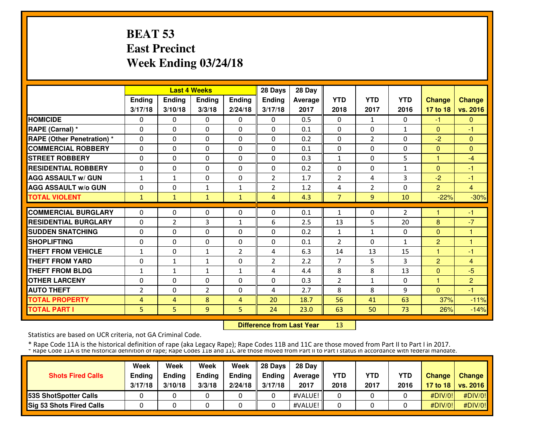# **BEAT 53 East PrecinctWeek Ending 03/24/18**

|                                   |              |                | <b>Last 4 Weeks</b> |                | 28 Days        | 28 Day  |                |                |              |                |                |
|-----------------------------------|--------------|----------------|---------------------|----------------|----------------|---------|----------------|----------------|--------------|----------------|----------------|
|                                   | Ending       | <b>Ending</b>  | <b>Ending</b>       | <b>Ending</b>  | <b>Ending</b>  | Average | <b>YTD</b>     | <b>YTD</b>     | <b>YTD</b>   | <b>Change</b>  | <b>Change</b>  |
|                                   | 3/17/18      | 3/10/18        | 3/3/18              | 2/24/18        | 3/17/18        | 2017    | 2018           | 2017           | 2016         | 17 to 18       | vs. 2016       |
| <b>HOMICIDE</b>                   | 0            | 0              | $\Omega$            | 0              | 0              | 0.5     | $\mathbf{0}$   | $\mathbf{1}$   | 0            | $-1$           | $\mathbf{0}$   |
| RAPE (Carnal) *                   | 0            | 0              | 0                   | $\mathbf{0}$   | $\Omega$       | 0.1     | $\mathbf{0}$   | 0              | $\mathbf{1}$ | $\Omega$       | -1             |
| <b>RAPE (Other Penetration)</b> * | $\Omega$     | $\Omega$       | $\Omega$            | $\mathbf{0}$   | $\Omega$       | 0.2     | 0              | $\overline{2}$ | 0            | $-2$           | $\mathbf{0}$   |
| <b>COMMERCIAL ROBBERY</b>         | 0            | 0              | 0                   | $\mathbf{0}$   | $\Omega$       | 0.1     | $\mathbf{0}$   | 0              | 0            | $\mathbf{0}$   | $\Omega$       |
| <b>STREET ROBBERY</b>             | $\Omega$     | 0              | $\Omega$            | $\mathbf{0}$   | $\Omega$       | 0.3     | $\mathbf{1}$   | 0              | 5            | $\mathbf{1}$   | $-4$           |
| <b>RESIDENTIAL ROBBERY</b>        | $\mathbf{0}$ | $\Omega$       | 0                   | $\mathbf{0}$   | $\Omega$       | 0.2     | $\mathbf{0}$   | 0              | 1            | $\Omega$       | $-1$           |
| <b>AGG ASSAULT w/ GUN</b>         | $\mathbf{1}$ | $\mathbf{1}$   | $\Omega$            | $\mathbf{0}$   | $\overline{2}$ | 1.7     | $\overline{2}$ | 4              | 3            | $-2$           | $-1$           |
| <b>AGG ASSAULT w/o GUN</b>        | $\mathbf{0}$ | $\Omega$       | $\mathbf{1}$        | $\mathbf{1}$   | $\overline{2}$ | 1.2     | 4              | $\overline{2}$ | $\Omega$     | $\overline{2}$ | $\overline{4}$ |
| <b>TOTAL VIOLENT</b>              | 1            | $\mathbf{1}$   | $\mathbf{1}$        | $\mathbf{1}$   | 4              | 4.3     | $\overline{7}$ | 9              | 10           | $-22%$         | $-30%$         |
| <b>COMMERCIAL BURGLARY</b>        | $\mathbf{0}$ | 0              | 0                   | $\mathbf{0}$   | 0              | 0.1     | 1              | 0              | 2            |                | -1             |
| <b>RESIDENTIAL BURGLARY</b>       | $\mathbf{0}$ | $\overline{2}$ | 3                   | $\mathbf{1}$   | 6              | 2.5     | 13             | 5              | 20           | 8              | $-7$           |
| <b>SUDDEN SNATCHING</b>           | 0            | 0              | $\Omega$            | $\mathbf{0}$   | 0              | 0.2     | $\mathbf{1}$   | $\mathbf{1}$   | 0            | $\mathbf{0}$   | 1              |
| <b>SHOPLIFTING</b>                | $\mathbf{0}$ | $\Omega$       | $\Omega$            | $\mathbf{0}$   | $\Omega$       | 0.1     | $\overline{2}$ | 0              | $\mathbf{1}$ | $\overline{2}$ | 1              |
| <b>THEFT FROM VEHICLE</b>         | $\mathbf{1}$ | $\Omega$       | $\mathbf{1}$        | $\overline{2}$ | 4              | 6.3     | 14             | 13             | 15           | $\mathbf{1}$   | $-1$           |
| <b>THEFT FROM YARD</b>            | $\mathbf{0}$ | $\mathbf{1}$   | $\mathbf{1}$        | $\Omega$       | $\overline{2}$ | 2.2     | 7              | 5              | 3            | $\overline{2}$ | $\overline{4}$ |
| <b>THEFT FROM BLDG</b>            | 1            | $\mathbf{1}$   | $\mathbf{1}$        | $\mathbf 1$    | 4              | 4.4     | 8              | 8              | 13           | $\mathbf{0}$   | $-5$           |
| <b>OTHER LARCENY</b>              | $\mathbf{0}$ | 0              | 0                   | $\mathbf{0}$   | 0              | 0.3     | 2              | $\mathbf{1}$   | 0            | 1              | $\overline{2}$ |
| <b>AUTO THEFT</b>                 | 2            | 0              | $\overline{2}$      | 0              | 4              | 2.7     | 8              | 8              | 9            | $\Omega$       | -1             |
| <b>TOTAL PROPERTY</b>             | 4            | 4              | 8                   | 4              | 20             | 18.7    | 56             | 41             | 63           | 37%            | $-11%$         |
| <b>TOTAL PART I</b>               | 5.           | 5              | 9                   | 5              | 24             | 23.0    | 63             | 50             | 73           | 26%            | $-14%$         |

 **Difference from Last Year**<sup>13</sup>

Statistics are based on UCR criteria, not GA Criminal Code.

|                                 | Week          | Week          | Week          | Week    | 28 Davs       | 28 Day            |            |            |            |               |                     |
|---------------------------------|---------------|---------------|---------------|---------|---------------|-------------------|------------|------------|------------|---------------|---------------------|
| <b>Shots Fired Calls</b>        | <b>Ending</b> | <b>Ending</b> | <b>Ending</b> | Ending  | <b>Endina</b> | <b>Average II</b> | <b>YTD</b> | <b>YTD</b> | <b>YTD</b> | <b>Change</b> | <b>Change</b>       |
|                                 | 3/17/18       | 3/10/18       | 3/3/18        | 2/24/18 | 3/17/18       | 2017              | 2018       | 2017       | 2016       |               | 17 to 18   vs. 2016 |
| <b>153S ShotSpotter Calls</b>   |               |               |               |         |               | #VALUE!           |            |            |            | #DIV/O!!      | #DIV/0!             |
| <b>Sig 53 Shots Fired Calls</b> |               |               |               |         |               | #VALUE!           |            |            |            | #DIV/0!       | #DIV/0!             |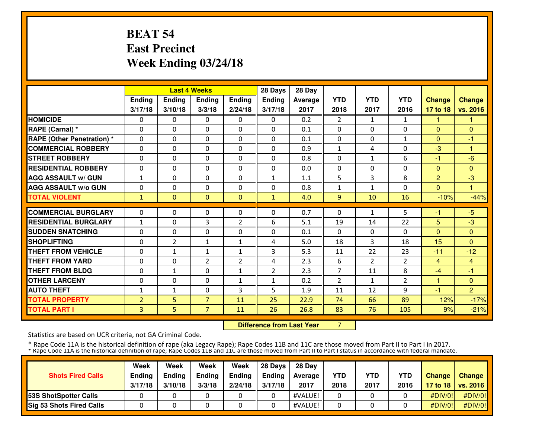# **BEAT 54 East PrecinctWeek Ending 03/24/18**

| <b>Last 4 Weeks</b><br>Ending                                                                                                             |          |                                                                                          |                                                                                                                                       | 28 Days                                                                            | 28 Day                                                                          |                                                                     |                                                                               |                                                                                       |                                                                        |                                                                     |
|-------------------------------------------------------------------------------------------------------------------------------------------|----------|------------------------------------------------------------------------------------------|---------------------------------------------------------------------------------------------------------------------------------------|------------------------------------------------------------------------------------|---------------------------------------------------------------------------------|---------------------------------------------------------------------|-------------------------------------------------------------------------------|---------------------------------------------------------------------------------------|------------------------------------------------------------------------|---------------------------------------------------------------------|
|                                                                                                                                           | Ending   | <b>Ending</b>                                                                            | <b>Ending</b>                                                                                                                         | <b>Ending</b>                                                                      | Average                                                                         | <b>YTD</b>                                                          | <b>YTD</b>                                                                    | <b>YTD</b>                                                                            | <b>Change</b>                                                          | <b>Change</b>                                                       |
|                                                                                                                                           | 3/10/18  | 3/3/18                                                                                   | 2/24/18                                                                                                                               | 3/17/18                                                                            | 2017                                                                            | 2018                                                                | 2017                                                                          | 2016                                                                                  | 17 to 18                                                               | vs. 2016                                                            |
|                                                                                                                                           | 0        | 0                                                                                        | 0                                                                                                                                     | 0                                                                                  | 0.2                                                                             | $\overline{2}$                                                      | $\mathbf{1}$                                                                  | 1                                                                                     | 1                                                                      |                                                                     |
|                                                                                                                                           | 0        | $\mathbf{0}$                                                                             | $\Omega$                                                                                                                              | $\Omega$                                                                           | 0.1                                                                             | 0                                                                   | $\Omega$                                                                      | $\Omega$                                                                              | $\Omega$                                                               | $\Omega$                                                            |
|                                                                                                                                           | $\Omega$ | $\mathbf{0}$                                                                             | 0                                                                                                                                     | $\Omega$                                                                           | 0.1                                                                             | 0                                                                   | 0                                                                             | 1                                                                                     | $\Omega$                                                               | -1                                                                  |
|                                                                                                                                           | 0        | $\mathbf{0}$                                                                             | 0                                                                                                                                     | $\mathbf{0}$                                                                       | 0.9                                                                             | $\mathbf{1}$                                                        | 4                                                                             | 0                                                                                     | $-3$                                                                   | 1                                                                   |
|                                                                                                                                           | 0        | $\mathbf{0}$                                                                             | 0                                                                                                                                     | 0                                                                                  | 0.8                                                                             | 0                                                                   | $\mathbf{1}$                                                                  | 6                                                                                     | -1                                                                     | $-6$                                                                |
|                                                                                                                                           | 0        | $\Omega$                                                                                 | $\Omega$                                                                                                                              | $\Omega$                                                                           | 0.0                                                                             | 0                                                                   | 0                                                                             | $\Omega$                                                                              | $\mathbf{0}$                                                           | $\Omega$                                                            |
|                                                                                                                                           | 0        | $\Omega$                                                                                 | 0                                                                                                                                     | $\mathbf{1}$                                                                       | 1.1                                                                             | 5                                                                   | 3                                                                             | 8                                                                                     | $\overline{2}$                                                         | $-3$                                                                |
|                                                                                                                                           | 0        | $\Omega$                                                                                 | 0                                                                                                                                     | 0                                                                                  | 0.8                                                                             | 1                                                                   | $\mathbf{1}$                                                                  | $\Omega$                                                                              | $\Omega$                                                               |                                                                     |
|                                                                                                                                           | $\Omega$ | $\mathbf{0}$                                                                             | $\Omega$                                                                                                                              | $\mathbf{1}$                                                                       | 4.0                                                                             | 9                                                                   | 10                                                                            | 16                                                                                    | $-10%$                                                                 | $-44%$                                                              |
|                                                                                                                                           |          |                                                                                          |                                                                                                                                       |                                                                                    |                                                                                 |                                                                     |                                                                               |                                                                                       |                                                                        | $-5$                                                                |
|                                                                                                                                           |          |                                                                                          |                                                                                                                                       |                                                                                    |                                                                                 |                                                                     |                                                                               |                                                                                       |                                                                        | $-3$                                                                |
|                                                                                                                                           |          |                                                                                          |                                                                                                                                       |                                                                                    |                                                                                 |                                                                     |                                                                               |                                                                                       |                                                                        | $\Omega$                                                            |
|                                                                                                                                           |          |                                                                                          |                                                                                                                                       |                                                                                    |                                                                                 |                                                                     |                                                                               |                                                                                       |                                                                        | $\mathbf{0}$                                                        |
|                                                                                                                                           |          |                                                                                          |                                                                                                                                       |                                                                                    |                                                                                 |                                                                     |                                                                               |                                                                                       |                                                                        | $-12$                                                               |
|                                                                                                                                           |          |                                                                                          |                                                                                                                                       |                                                                                    |                                                                                 |                                                                     |                                                                               |                                                                                       |                                                                        | $\overline{4}$                                                      |
|                                                                                                                                           |          |                                                                                          |                                                                                                                                       |                                                                                    |                                                                                 |                                                                     |                                                                               |                                                                                       |                                                                        | $-1$                                                                |
|                                                                                                                                           |          |                                                                                          |                                                                                                                                       |                                                                                    |                                                                                 |                                                                     |                                                                               |                                                                                       |                                                                        | $\mathbf{0}$                                                        |
|                                                                                                                                           |          |                                                                                          |                                                                                                                                       |                                                                                    |                                                                                 |                                                                     |                                                                               |                                                                                       |                                                                        | $\overline{2}$                                                      |
|                                                                                                                                           |          |                                                                                          |                                                                                                                                       |                                                                                    |                                                                                 |                                                                     |                                                                               |                                                                                       |                                                                        | $-17%$                                                              |
|                                                                                                                                           | 5        | $\overline{7}$                                                                           | 11                                                                                                                                    | 26                                                                                 | 26.8                                                                            | 83                                                                  | 76                                                                            | 105                                                                                   | 9%                                                                     | $-21%$                                                              |
| 0<br>0<br>0<br>0<br>0<br>0<br>0<br>$\mathbf{1}$<br>$\mathbf{0}$<br>$\mathbf{1}$<br>0<br>0<br>0<br>0<br>0<br>0<br>1<br>$\overline{2}$<br>3 | 3/17/18  | 0<br>0<br>0<br>$\overline{2}$<br>1<br>0<br>$\mathbf{1}$<br>$\Omega$<br>$\mathbf{1}$<br>5 | $\mathbf{0}$<br>3<br>$\Omega$<br>$\mathbf{1}$<br>$\mathbf{1}$<br>$\overline{2}$<br>$\Omega$<br>$\Omega$<br>$\Omega$<br>$\overline{7}$ | 0<br>2<br>0<br>$\mathbf{1}$<br>1<br>$\overline{2}$<br>1<br>$\mathbf{1}$<br>3<br>11 | 0<br>6<br>$\Omega$<br>4<br>3<br>4<br>$\overline{2}$<br>$\mathbf{1}$<br>5.<br>25 | 0.7<br>5.1<br>0.1<br>5.0<br>5.3<br>2.3<br>2.3<br>0.2<br>1.9<br>22.9 | 0<br>19<br>0<br>18<br>11<br>6<br>$\overline{7}$<br>$\overline{2}$<br>11<br>74 | $\mathbf{1}$<br>14<br>0<br>3<br>22<br>$\mathcal{P}$<br>11<br>$\mathbf{1}$<br>12<br>66 | 5<br>22<br>$\Omega$<br>18<br>23<br>2<br>8<br>$\overline{2}$<br>9<br>89 | -1<br>5<br>$\Omega$<br>15<br>$-11$<br>4<br>$-4$<br>1<br>$-1$<br>12% |

**Difference from Last Year** 7

Statistics are based on UCR criteria, not GA Criminal Code.

|                                 | Week          | Week          | Week          | Week    | 28 Davs       | 28 Dav            |            |            |            |               |                     |
|---------------------------------|---------------|---------------|---------------|---------|---------------|-------------------|------------|------------|------------|---------------|---------------------|
| <b>Shots Fired Calls</b>        | <b>Ending</b> | <b>Ending</b> | <b>Ending</b> | Ending  | <b>Endina</b> | <b>Average II</b> | <b>YTD</b> | <b>YTD</b> | <b>YTD</b> | <b>Change</b> | <b>Change</b>       |
|                                 | 3/17/18       | 3/10/18       | 3/3/18        | 2/24/18 | 3/17/18       | 2017              | 2018       | 2017       | 2016       |               | 17 to 18   vs. 2016 |
| <b>153S ShotSpotter Calls</b>   |               |               |               |         |               | #VALUE!           |            |            |            | #DIV/O!!      | #DIV/0!             |
| <b>Sig 53 Shots Fired Calls</b> |               |               |               |         |               | #VALUE!           |            |            |            | #DIV/0!       | #DIV/0!             |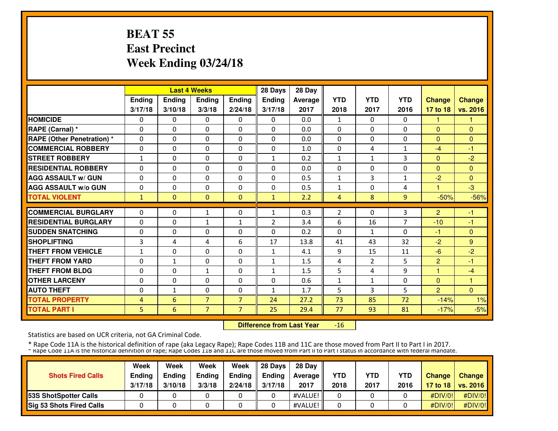# **BEAT 55 East PrecinctWeek Ending 03/24/18**

|                                   |              |              | <b>Last 4 Weeks</b> |                | 28 Days        | 28 Day  |                |                |                |                |               |
|-----------------------------------|--------------|--------------|---------------------|----------------|----------------|---------|----------------|----------------|----------------|----------------|---------------|
|                                   | Ending       | Ending       | <b>Ending</b>       | <b>Ending</b>  | <b>Ending</b>  | Average | <b>YTD</b>     | <b>YTD</b>     | <b>YTD</b>     | <b>Change</b>  | <b>Change</b> |
|                                   | 3/17/18      | 3/10/18      | 3/3/18              | 2/24/18        | 3/17/18        | 2017    | 2018           | 2017           | 2016           | 17 to 18       | vs. 2016      |
| <b>HOMICIDE</b>                   | 0            | 0            | 0                   | 0              | $\Omega$       | 0.0     | 1              | 0              | 0              | 1              | 1             |
| <b>RAPE (Carnal)</b> *            | $\mathbf{0}$ | $\Omega$     | 0                   | $\Omega$       | $\Omega$       | 0.0     | $\mathbf{0}$   | 0              | $\Omega$       | $\Omega$       | $\Omega$      |
| <b>RAPE (Other Penetration) *</b> | $\mathbf{0}$ | $\Omega$     | 0                   | $\mathbf{0}$   | $\Omega$       | 0.0     | $\mathbf{0}$   | 0              | 0              | $\Omega$       | $\Omega$      |
| <b>COMMERCIAL ROBBERY</b>         | $\mathbf{0}$ | 0            | 0                   | $\mathbf{0}$   | $\Omega$       | 1.0     | $\mathbf{0}$   | 4              | $\mathbf{1}$   | $-4$           | $-1$          |
| <b>STREET ROBBERY</b>             | $\mathbf{1}$ | 0            | 0                   | $\mathbf{0}$   | $\mathbf{1}$   | 0.2     | 1              | $\mathbf{1}$   | 3              | $\Omega$       | $-2$          |
| <b>RESIDENTIAL ROBBERY</b>        | $\mathbf{0}$ | $\Omega$     | $\Omega$            | $\mathbf{0}$   | 0              | 0.0     | 0              | 0              | 0              | $\mathbf{0}$   | $\Omega$      |
| <b>AGG ASSAULT w/ GUN</b>         | $\mathbf{0}$ | 0            | 0                   | $\mathbf{0}$   | 0              | 0.5     | 1              | 3              | 1              | $-2$           | $\mathbf{0}$  |
| <b>AGG ASSAULT w/o GUN</b>        | 0            | 0            | $\Omega$            | 0              | 0              | 0.5     | 1              | 0              | 4              |                | $-3$          |
| <b>TOTAL VIOLENT</b>              | $\mathbf{1}$ | $\Omega$     | $\Omega$            | $\mathbf{0}$   | $\mathbf{1}$   | 2.2     | 4              | 8              | $\overline{9}$ | $-50%$         | $-56%$        |
| <b>COMMERCIAL BURGLARY</b>        | $\mathbf{0}$ | 0            | $\mathbf{1}$        | $\mathbf{0}$   | $\mathbf{1}$   | 0.3     | $\overline{2}$ | 0              | 3              | $\overline{2}$ | $-1$          |
| <b>RESIDENTIAL BURGLARY</b>       | $\mathbf{0}$ |              |                     |                |                |         |                | 16             | $\overline{7}$ | $-10$          | -1            |
|                                   |              | 0            | $\mathbf{1}$        | $\mathbf{1}$   | $\overline{2}$ | 3.4     | 6              |                |                |                |               |
| <b>SUDDEN SNATCHING</b>           | $\mathbf{0}$ | 0            | $\Omega$            | 0              | 0              | 0.2     | 0              | 1              | $\Omega$       | -1             | $\mathbf{0}$  |
| <b>SHOPLIFTING</b>                | 3            | 4            | 4                   | 6              | 17             | 13.8    | 41             | 43             | 32             | $-2$           | 9             |
| <b>THEFT FROM VEHICLE</b>         | 1            | $\Omega$     | $\Omega$            | $\Omega$       | 1              | 4.1     | 9              | 15             | 11             | $-6$           | $-2$          |
| <b>THEFT FROM YARD</b>            | $\mathbf{0}$ | $\mathbf{1}$ | 0                   | $\Omega$       | $\mathbf{1}$   | 1.5     | 4              | $\overline{2}$ | 5              | $\overline{2}$ | $-1$          |
| <b>THEFT FROM BLDG</b>            | $\mathbf{0}$ | $\Omega$     | $\mathbf{1}$        | $\Omega$       | $\mathbf{1}$   | 1.5     | 5              | 4              | 9              | $\mathbf{1}$   | $-4$          |
| <b>OTHER LARCENY</b>              | 0            | $\Omega$     | $\Omega$            | $\Omega$       | 0              | 0.6     | 1              | 1              | $\Omega$       | $\Omega$       | 1             |
| <b>AUTO THEFT</b>                 | $\mathbf{0}$ | $\mathbf{1}$ | $\Omega$            | 0              | $\mathbf{1}$   | 1.7     | 5              | 3              | 5              | $\overline{2}$ | $\Omega$      |
| <b>TOTAL PROPERTY</b>             | 4            | 6            | $\overline{7}$      | $\overline{7}$ | 24             | 27.2    | 73             | 85             | 72             | $-14%$         | 1%            |
| <b>TOTAL PART I</b>               | 5            | 6            | $\overline{7}$      | $\overline{7}$ | 25             | 29.4    | 77             | 93             | 81             | $-17%$         | $-5%$         |

 **Difference from Last Year**-16

Statistics are based on UCR criteria, not GA Criminal Code.

|                                 | Week          | Week          | Week          | Week    | 28 Davs       | 28 Dav            |            |            |            |               |                     |
|---------------------------------|---------------|---------------|---------------|---------|---------------|-------------------|------------|------------|------------|---------------|---------------------|
| <b>Shots Fired Calls</b>        | <b>Ending</b> | <b>Ending</b> | <b>Ending</b> | Ending  | <b>Endina</b> | <b>Average II</b> | <b>YTD</b> | <b>YTD</b> | <b>YTD</b> | <b>Change</b> | <b>Change</b>       |
|                                 | 3/17/18       | 3/10/18       | 3/3/18        | 2/24/18 | 3/17/18       | 2017              | 2018       | 2017       | 2016       |               | 17 to 18   vs. 2016 |
| <b>153S ShotSpotter Calls</b>   |               |               |               |         |               | #VALUE!           |            |            |            | #DIV/O!!      | #DIV/0!             |
| <b>Sig 53 Shots Fired Calls</b> |               |               |               |         |               | #VALUE!           |            |            |            | #DIV/0!       | #DIV/0!             |